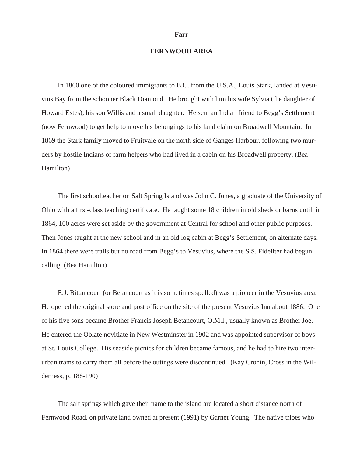#### **Farr**

## **FERNWOOD AREA**

In 1860 one of the coloured immigrants to B.C. from the U.S.A., Louis Stark, landed at Vesuvius Bay from the schooner Black Diamond. He brought with him his wife Sylvia (the daughter of Howard Estes), his son Willis and a small daughter. He sent an Indian friend to Begg's Settlement (now Fernwood) to get help to move his belongings to his land claim on Broadwell Mountain. In 1869 the Stark family moved to Fruitvale on the north side of Ganges Harbour, following two murders by hostile Indians of farm helpers who had lived in a cabin on his Broadwell property. (Bea Hamilton)

The first schoolteacher on Salt Spring Island was John C. Jones, a graduate of the University of Ohio with a first-class teaching certificate. He taught some 18 children in old sheds or barns until, in 1864, 100 acres were set aside by the government at Central for school and other public purposes. Then Jones taught at the new school and in an old log cabin at Begg's Settlement, on alternate days. In 1864 there were trails but no road from Begg's to Vesuvius, where the S.S. Fideliter had begun calling. (Bea Hamilton)

E.J. Bittancourt (or Betancourt as it is sometimes spelled) was a pioneer in the Vesuvius area. He opened the original store and post office on the site of the present Vesuvius Inn about 1886. One of his five sons became Brother Francis Joseph Betancourt, O.M.I., usually known as Brother Joe. He entered the Oblate novitiate in New Westminster in 1902 and was appointed supervisor of boys at St. Louis College. His seaside picnics for children became famous, and he had to hire two interurban trams to carry them all before the outings were discontinued. (Kay Cronin, Cross in the Wilderness, p. 188-190)

The salt springs which gave their name to the island are located a short distance north of Fernwood Road, on private land owned at present (1991) by Garnet Young. The native tribes who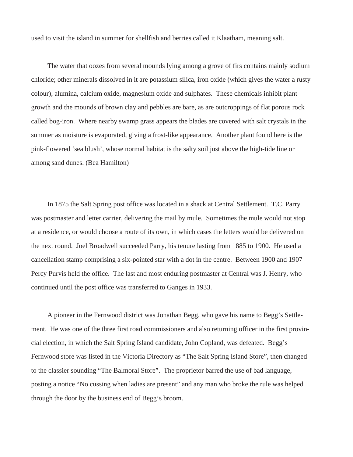used to visit the island in summer for shellfish and berries called it Klaatham, meaning salt.

The water that oozes from several mounds lying among a grove of firs contains mainly sodium chloride; other minerals dissolved in it are potassium silica, iron oxide (which gives the water a rusty colour), alumina, calcium oxide, magnesium oxide and sulphates. These chemicals inhibit plant growth and the mounds of brown clay and pebbles are bare, as are outcroppings of flat porous rock called bog-iron. Where nearby swamp grass appears the blades are covered with salt crystals in the summer as moisture is evaporated, giving a frost-like appearance. Another plant found here is the pink-flowered 'sea blush', whose normal habitat is the salty soil just above the high-tide line or among sand dunes. (Bea Hamilton)

In 1875 the Salt Spring post office was located in a shack at Central Settlement. T.C. Parry was postmaster and letter carrier, delivering the mail by mule. Sometimes the mule would not stop at a residence, or would choose a route of its own, in which cases the letters would be delivered on the next round. Joel Broadwell succeeded Parry, his tenure lasting from 1885 to 1900. He used a cancellation stamp comprising a six-pointed star with a dot in the centre. Between 1900 and 1907 Percy Purvis held the office. The last and most enduring postmaster at Central was J. Henry, who continued until the post office was transferred to Ganges in 1933.

A pioneer in the Fernwood district was Jonathan Begg, who gave his name to Begg's Settlement. He was one of the three first road commissioners and also returning officer in the first provincial election, in which the Salt Spring Island candidate, John Copland, was defeated. Begg's Fernwood store was listed in the Victoria Directory as "The Salt Spring Island Store", then changed to the classier sounding "The Balmoral Store". The proprietor barred the use of bad language, posting a notice "No cussing when ladies are present" and any man who broke the rule was helped through the door by the business end of Begg's broom.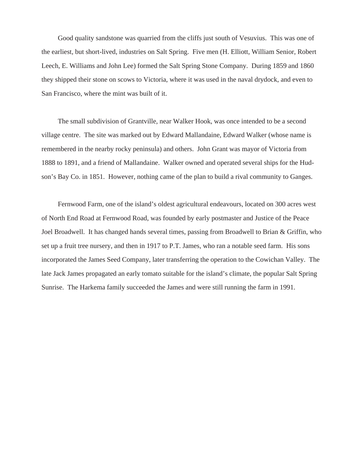Good quality sandstone was quarried from the cliffs just south of Vesuvius. This was one of the earliest, but short-lived, industries on Salt Spring. Five men (H. Elliott, William Senior, Robert Leech, E. Williams and John Lee) formed the Salt Spring Stone Company. During 1859 and 1860 they shipped their stone on scows to Victoria, where it was used in the naval drydock, and even to San Francisco, where the mint was built of it.

The small subdivision of Grantville, near Walker Hook, was once intended to be a second village centre. The site was marked out by Edward Mallandaine, Edward Walker (whose name is remembered in the nearby rocky peninsula) and others. John Grant was mayor of Victoria from 1888 to 1891, and a friend of Mallandaine. Walker owned and operated several ships for the Hudson's Bay Co. in 1851. However, nothing came of the plan to build a rival community to Ganges.

Fernwood Farm, one of the island's oldest agricultural endeavours, located on 300 acres west of North End Road at Fernwood Road, was founded by early postmaster and Justice of the Peace Joel Broadwell. It has changed hands several times, passing from Broadwell to Brian & Griffin, who set up a fruit tree nursery, and then in 1917 to P.T. James, who ran a notable seed farm. His sons incorporated the James Seed Company, later transferring the operation to the Cowichan Valley. The late Jack James propagated an early tomato suitable for the island's climate, the popular Salt Spring Sunrise. The Harkema family succeeded the James and were still running the farm in 1991.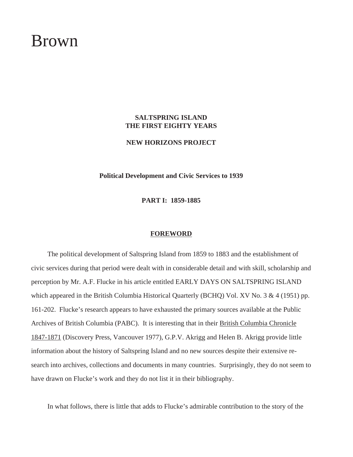## Brown

## **SALTSPRING ISLAND THE FIRST EIGHTY YEARS**

**NEW HORIZONS PROJECT**

**Political Development and Civic Services to 1939**

**PART I: 1859-1885**

#### **FOREWORD**

The political development of Saltspring Island from 1859 to 1883 and the establishment of civic services during that period were dealt with in considerable detail and with skill, scholarship and perception by Mr. A.F. Flucke in his article entitled EARLY DAYS ON SALTSPRING ISLAND which appeared in the British Columbia Historical Quarterly (BCHQ) Vol. XV No. 3 & 4 (1951) pp. 161-202. Flucke's research appears to have exhausted the primary sources available at the Public Archives of British Columbia (PABC). It is interesting that in their British Columbia Chronicle 1847-1871 (Discovery Press, Vancouver 1977), G.P.V. Akrigg and Helen B. Akrigg provide little information about the history of Saltspring Island and no new sources despite their extensive research into archives, collections and documents in many countries. Surprisingly, they do not seem to have drawn on Flucke's work and they do not list it in their bibliography.

In what follows, there is little that adds to Flucke's admirable contribution to the story of the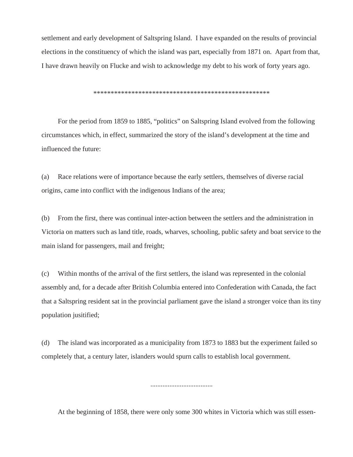settlement and early development of Saltspring Island. I have expanded on the results of provincial elections in the constituency of which the island was part, especially from 1871 on. Apart from that, I have drawn heavily on Flucke and wish to acknowledge my debt to his work of forty years ago.

\*\*\*\*\*\*\*\*\*\*\*\*\*\*\*\*\*\*\*\*\*\*\*\*\*\*\*\*\*\*\*\*\*\*\*\*\*\*\*\*\*\*\*\*\*\*\*\*\*\*\*

For the period from 1859 to 1885, "politics" on Saltspring Island evolved from the following circumstances which, in effect, summarized the story of the island's development at the time and influenced the future:

(a) Race relations were of importance because the early settlers, themselves of diverse racial origins, came into conflict with the indigenous Indians of the area;

(b) From the first, there was continual inter-action between the settlers and the administration in Victoria on matters such as land title, roads, wharves, schooling, public safety and boat service to the main island for passengers, mail and freight;

(c) Within months of the arrival of the first settlers, the island was represented in the colonial assembly and, for a decade after British Columbia entered into Confederation with Canada, the fact that a Saltspring resident sat in the provincial parliament gave the island a stronger voice than its tiny population jusitified;

(d) The island was incorporated as a municipality from 1873 to 1883 but the experiment failed so completely that, a century later, islanders would spurn calls to establish local government.

....................................

At the beginning of 1858, there were only some 300 whites in Victoria which was still essen-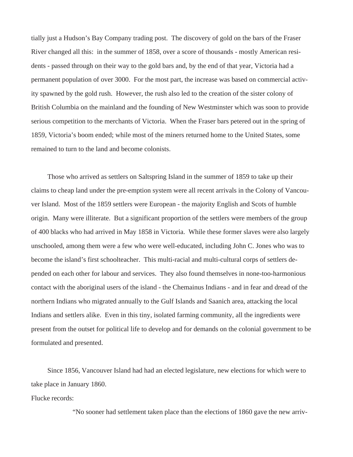tially just a Hudson's Bay Company trading post. The discovery of gold on the bars of the Fraser River changed all this: in the summer of 1858, over a score of thousands - mostly American residents - passed through on their way to the gold bars and, by the end of that year, Victoria had a permanent population of over 3000. For the most part, the increase was based on commercial activity spawned by the gold rush. However, the rush also led to the creation of the sister colony of British Columbia on the mainland and the founding of New Westminster which was soon to provide serious competition to the merchants of Victoria. When the Fraser bars petered out in the spring of 1859, Victoria's boom ended; while most of the miners returned home to the United States, some remained to turn to the land and become colonists.

Those who arrived as settlers on Saltspring Island in the summer of 1859 to take up their claims to cheap land under the pre-emption system were all recent arrivals in the Colony of Vancouver Island. Most of the 1859 settlers were European - the majority English and Scots of humble origin. Many were illiterate. But a significant proportion of the settlers were members of the group of 400 blacks who had arrived in May 1858 in Victoria. While these former slaves were also largely unschooled, among them were a few who were well-educated, including John C. Jones who was to become the island's first schoolteacher. This multi-racial and multi-cultural corps of settlers depended on each other for labour and services. They also found themselves in none-too-harmonious contact with the aboriginal users of the island - the Chemainus Indians - and in fear and dread of the northern Indians who migrated annually to the Gulf Islands and Saanich area, attacking the local Indians and settlers alike. Even in this tiny, isolated farming community, all the ingredients were present from the outset for political life to develop and for demands on the colonial government to be formulated and presented.

Since 1856, Vancouver Island had had an elected legislature, new elections for which were to take place in January 1860.

Flucke records:

"No sooner had settlement taken place than the elections of 1860 gave the new arriv-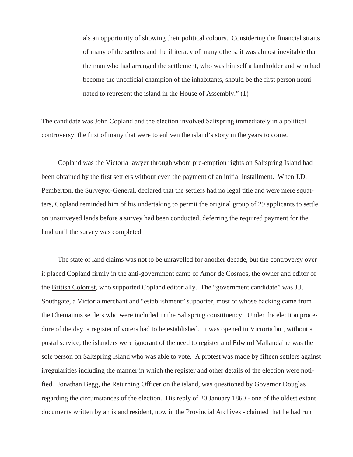als an opportunity of showing their political colours. Considering the financial straits of many of the settlers and the illiteracy of many others, it was almost inevitable that the man who had arranged the settlement, who was himself a landholder and who had become the unofficial champion of the inhabitants, should be the first person nominated to represent the island in the House of Assembly." (1)

The candidate was John Copland and the election involved Saltspring immediately in a political controversy, the first of many that were to enliven the island's story in the years to come.

Copland was the Victoria lawyer through whom pre-emption rights on Saltspring Island had been obtained by the first settlers without even the payment of an initial installment. When J.D. Pemberton, the Surveyor-General, declared that the settlers had no legal title and were mere squatters, Copland reminded him of his undertaking to permit the original group of 29 applicants to settle on unsurveyed lands before a survey had been conducted, deferring the required payment for the land until the survey was completed.

The state of land claims was not to be unravelled for another decade, but the controversy over it placed Copland firmly in the anti-government camp of Amor de Cosmos, the owner and editor of the British Colonist, who supported Copland editorially. The "government candidate" was J.J. Southgate, a Victoria merchant and "establishment" supporter, most of whose backing came from the Chemainus settlers who were included in the Saltspring constituency. Under the election procedure of the day, a register of voters had to be established. It was opened in Victoria but, without a postal service, the islanders were ignorant of the need to register and Edward Mallandaine was the sole person on Saltspring Island who was able to vote. A protest was made by fifteen settlers against irregularities including the manner in which the register and other details of the election were notified. Jonathan Begg, the Returning Officer on the island, was questioned by Governor Douglas regarding the circumstances of the election. His reply of 20 January 1860 - one of the oldest extant documents written by an island resident, now in the Provincial Archives - claimed that he had run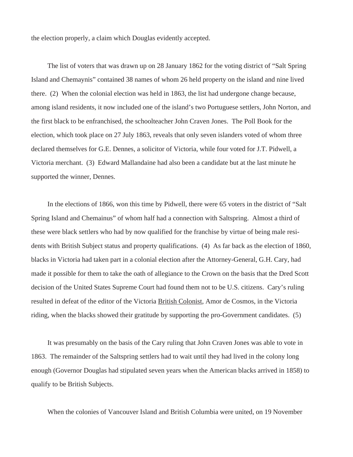the election properly, a claim which Douglas evidently accepted.

The list of voters that was drawn up on 28 January 1862 for the voting district of "Salt Spring Island and Chemaynis" contained 38 names of whom 26 held property on the island and nine lived there. (2) When the colonial election was held in 1863, the list had undergone change because, among island residents, it now included one of the island's two Portuguese settlers, John Norton, and the first black to be enfranchised, the schoolteacher John Craven Jones. The Poll Book for the election, which took place on 27 July 1863, reveals that only seven islanders voted of whom three declared themselves for G.E. Dennes, a solicitor of Victoria, while four voted for J.T. Pidwell, a Victoria merchant. (3) Edward Mallandaine had also been a candidate but at the last minute he supported the winner, Dennes.

In the elections of 1866, won this time by Pidwell, there were 65 voters in the district of "Salt Spring Island and Chemainus" of whom half had a connection with Saltspring. Almost a third of these were black settlers who had by now qualified for the franchise by virtue of being male residents with British Subject status and property qualifications. (4) As far back as the election of 1860, blacks in Victoria had taken part in a colonial election after the Attorney-General, G.H. Cary, had made it possible for them to take the oath of allegiance to the Crown on the basis that the Dred Scott decision of the United States Supreme Court had found them not to be U.S. citizens. Cary's ruling resulted in defeat of the editor of the Victoria British Colonist, Amor de Cosmos, in the Victoria riding, when the blacks showed their gratitude by supporting the pro-Government candidates. (5)

It was presumably on the basis of the Cary ruling that John Craven Jones was able to vote in 1863. The remainder of the Saltspring settlers had to wait until they had lived in the colony long enough (Governor Douglas had stipulated seven years when the American blacks arrived in 1858) to qualify to be British Subjects.

When the colonies of Vancouver Island and British Columbia were united, on 19 November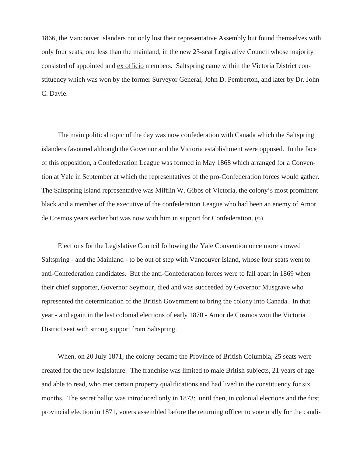1866, the Vancouver islanders not only lost their representative Assembly but found themselves with only four seats, one less than the mainland, in the new 23-seat Legislative Council whose majority consisted of appointed and ex officio members. Saltspring came within the Victoria District constituency which was won by the former Surveyor General, John D. Pemberton, and later by Dr. John C. Davie.

The main political topic of the day was now confederation with Canada which the Saltspring islanders favoured although the Governor and the Victoria establishment were opposed. In the face of this opposition, a Confederation League was formed in May 1868 which arranged for a Convention at Yale in September at which the representatives of the pro-Confederation forces would gather. The Saltspring Island representative was Mifflin W. Gibbs of Victoria, the colony's most prominent black and a member of the executive of the confederation League who had been an enemy of Amor de Cosmos years earlier but was now with him in support for Confederation. (6)

Elections for the Legislative Council following the Yale Convention once more showed Saltspring - and the Mainland - to be out of step with Vancouver Island, whose four seats went to anti-Confederation candidates. But the anti-Confederation forces were to fall apart in 1869 when their chief supporter, Governor Seymour, died and was succeeded by Governor Musgrave who represented the determination of the British Government to bring the colony into Canada. In that year - and again in the last colonial elections of early 1870 - Amor de Cosmos won the Victoria District seat with strong support from Saltspring.

When, on 20 July 1871, the colony became the Province of British Columbia, 25 seats were created for the new legislature. The franchise was limited to male British subjects, 21 years of age and able to read, who met certain property qualifications and had lived in the constituency for six months. The secret ballot was introduced only in 1873: until then, in colonial elections and the first provincial election in 1871, voters assembled before the returning officer to vote orally for the candi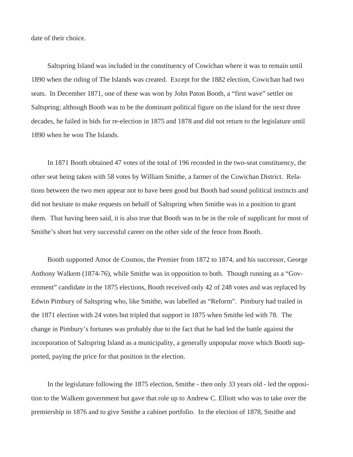date of their choice.

Saltspring Island was included in the constituency of Cowichan where it was to remain until 1890 when the riding of The Islands was created. Except for the 1882 election, Cowichan had two seats. In December 1871, one of these was won by John Paton Booth, a "first wave" settler on Saltspring; although Booth was to be the dominant political figure on the island for the next three decades, he failed in bids for re-election in 1875 and 1878 and did not return to the legislature until 1890 when he won The Islands.

In 1871 Booth obtained 47 votes of the total of 196 recorded in the two-seat constituency, the other seat being taken with 58 votes by William Smithe, a farmer of the Cowichan District. Relations between the two men appear not to have been good but Booth had sound political instincts and did not hesitate to make requests on behalf of Saltspring when Smithe was in a position to grant them. That having been said, it is also true that Booth was to be in the role of supplicant for most of Smithe's short but very successful career on the other side of the fence from Booth.

Booth supported Amor de Cosmos, the Premier from 1872 to 1874, and his successor, George Anthony Walkem (1874-76), while Smithe was in opposition to both. Though running as a "Government" candidate in the 1875 elections, Booth received only 42 of 248 votes and was replaced by Edwin Pimbury of Saltspring who, like Smithe, was labelled as "Reform". Pimbury had trailed in the 1871 election with 24 votes but tripled that support in 1875 when Smithe led with 78. The change in Pimbury's fortunes was probably due to the fact that he had led the battle against the incorporation of Saltspring Island as a municipality, a generally unpopular move which Booth supported, paying the price for that position in the election.

In the legislature following the 1875 election, Smithe - then only 33 years old - led the opposition to the Walkem government but gave that role up to Andrew C. Elliott who was to take over the premiership in 1876 and to give Smithe a cabinet portfolio. In the election of 1878, Smithe and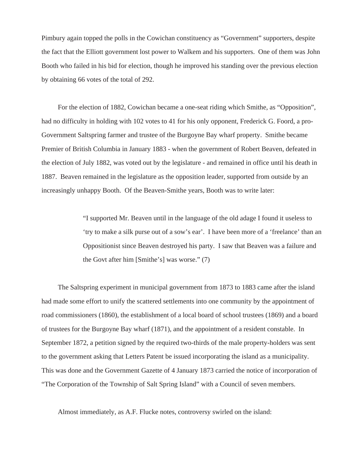Pimbury again topped the polls in the Cowichan constituency as "Government" supporters, despite the fact that the Elliott government lost power to Walkem and his supporters. One of them was John Booth who failed in his bid for election, though he improved his standing over the previous election by obtaining 66 votes of the total of 292.

For the election of 1882, Cowichan became a one-seat riding which Smithe, as "Opposition", had no difficulty in holding with 102 votes to 41 for his only opponent, Frederick G. Foord, a pro-Government Saltspring farmer and trustee of the Burgoyne Bay wharf property. Smithe became Premier of British Columbia in January 1883 - when the government of Robert Beaven, defeated in the election of July 1882, was voted out by the legislature - and remained in office until his death in 1887. Beaven remained in the legislature as the opposition leader, supported from outside by an increasingly unhappy Booth. Of the Beaven-Smithe years, Booth was to write later:

> "I supported Mr. Beaven until in the language of the old adage I found it useless to 'try to make a silk purse out of a sow's ear'. I have been more of a 'freelance' than an Oppositionist since Beaven destroyed his party. I saw that Beaven was a failure and the Govt after him [Smithe's] was worse." (7)

The Saltspring experiment in municipal government from 1873 to 1883 came after the island had made some effort to unify the scattered settlements into one community by the appointment of road commissioners (1860), the establishment of a local board of school trustees (1869) and a board of trustees for the Burgoyne Bay wharf (1871), and the appointment of a resident constable. In September 1872, a petition signed by the required two-thirds of the male property-holders was sent to the government asking that Letters Patent be issued incorporating the island as a municipality. This was done and the Government Gazette of 4 January 1873 carried the notice of incorporation of "The Corporation of the Township of Salt Spring Island" with a Council of seven members.

Almost immediately, as A.F. Flucke notes, controversy swirled on the island: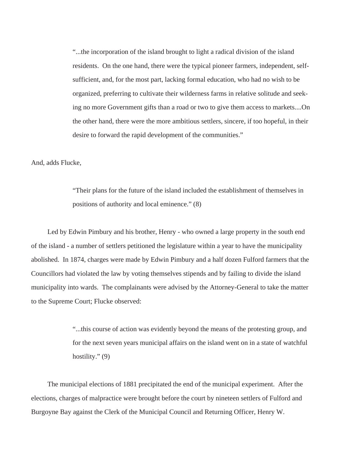"...the incorporation of the island brought to light a radical division of the island residents. On the one hand, there were the typical pioneer farmers, independent, selfsufficient, and, for the most part, lacking formal education, who had no wish to be organized, preferring to cultivate their wilderness farms in relative solitude and seeking no more Government gifts than a road or two to give them access to markets....On the other hand, there were the more ambitious settlers, sincere, if too hopeful, in their desire to forward the rapid development of the communities."

And, adds Flucke,

"Their plans for the future of the island included the establishment of themselves in positions of authority and local eminence." (8)

Led by Edwin Pimbury and his brother, Henry - who owned a large property in the south end of the island - a number of settlers petitioned the legislature within a year to have the municipality abolished. In 1874, charges were made by Edwin Pimbury and a half dozen Fulford farmers that the Councillors had violated the law by voting themselves stipends and by failing to divide the island municipality into wards. The complainants were advised by the Attorney-General to take the matter to the Supreme Court; Flucke observed:

> "...this course of action was evidently beyond the means of the protesting group, and for the next seven years municipal affairs on the island went on in a state of watchful hostility." (9)

The municipal elections of 1881 precipitated the end of the municipal experiment. After the elections, charges of malpractice were brought before the court by nineteen settlers of Fulford and Burgoyne Bay against the Clerk of the Municipal Council and Returning Officer, Henry W.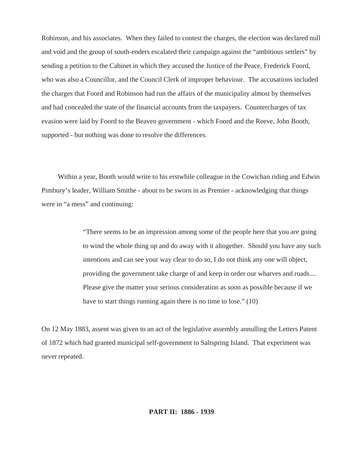Robinson, and his associates. When they failed to contest the charges, the election was declared null and void and the group of south-enders escalated their campaign against the "ambitious settlers" by sending a petition to the Cabinet in which they accused the Justice of the Peace, Frederick Foord, who was also a Councillor, and the Council Clerk of improper behaviour. The accusations included the charges that Foord and Robinson had run the affairs of the municipality almost by themselves and had concealed the state of the financial accounts from the taxpayers. Countercharges of tax evasion were laid by Foord to the Beaven government - which Foord and the Reeve, John Booth, supported - but nothing was done to resolve the differences.

Within a year, Booth would write to his erstwhile colleague in the Cowichan riding and Edwin Pimbury's leader, William Smithe - about to be sworn in as Premier - acknowledging that things were in "a mess" and continuing:

> "There seems to be an impression among some of the people here that you are going to wind the whole thing up and do away with it altogether. Should you have any such intentions and can see your way clear to do so, I do not think any one will object, providing the government take charge of and keep in order our wharves and roads.... Please give the matter your serious consideration as soon as possible because if we have to start things running again there is no time to lose." (10)

On 12 May 1883, assent was given to an act of the legislative assembly annulling the Letters Patent of 1872 which had granted municipal self-government to Saltspring Island. That experiment was never repeated.

### **PART II: 1886 - 1939**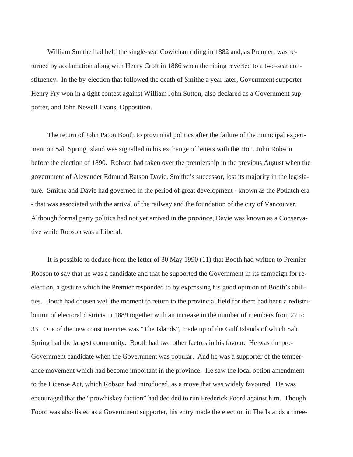William Smithe had held the single-seat Cowichan riding in 1882 and, as Premier, was returned by acclamation along with Henry Croft in 1886 when the riding reverted to a two-seat constituency. In the by-election that followed the death of Smithe a year later, Government supporter Henry Fry won in a tight contest against William John Sutton, also declared as a Government supporter, and John Newell Evans, Opposition.

The return of John Paton Booth to provincial politics after the failure of the municipal experiment on Salt Spring Island was signalled in his exchange of letters with the Hon. John Robson before the election of 1890. Robson had taken over the premiership in the previous August when the government of Alexander Edmund Batson Davie, Smithe's successor, lost its majority in the legislature. Smithe and Davie had governed in the period of great development - known as the Potlatch era - that was associated with the arrival of the railway and the foundation of the city of Vancouver. Although formal party politics had not yet arrived in the province, Davie was known as a Conservative while Robson was a Liberal.

It is possible to deduce from the letter of 30 May 1990 (11) that Booth had written to Premier Robson to say that he was a candidate and that he supported the Government in its campaign for reelection, a gesture which the Premier responded to by expressing his good opinion of Booth's abilities. Booth had chosen well the moment to return to the provincial field for there had been a redistribution of electoral districts in 1889 together with an increase in the number of members from 27 to 33. One of the new constituencies was "The Islands", made up of the Gulf Islands of which Salt Spring had the largest community. Booth had two other factors in his favour. He was the pro-Government candidate when the Government was popular. And he was a supporter of the temperance movement which had become important in the province. He saw the local option amendment to the License Act, which Robson had introduced, as a move that was widely favoured. He was encouraged that the "prowhiskey faction" had decided to run Frederick Foord against him. Though Foord was also listed as a Government supporter, his entry made the election in The Islands a three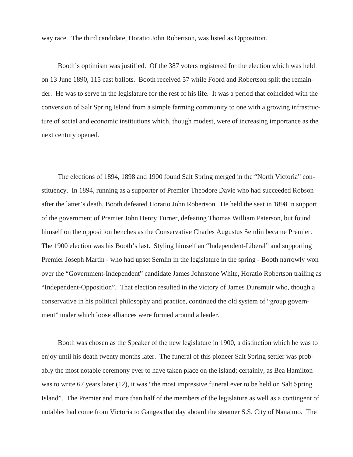way race. The third candidate, Horatio John Robertson, was listed as Opposition.

Booth's optimism was justified. Of the 387 voters registered for the election which was held on 13 June 1890, 115 cast ballots. Booth received 57 while Foord and Robertson split the remainder. He was to serve in the legislature for the rest of his life. It was a period that coincided with the conversion of Salt Spring Island from a simple farming community to one with a growing infrastructure of social and economic institutions which, though modest, were of increasing importance as the next century opened.

The elections of 1894, 1898 and 1900 found Salt Spring merged in the "North Victoria" constituency. In 1894, running as a supporter of Premier Theodore Davie who had succeeded Robson after the latter's death, Booth defeated Horatio John Robertson. He held the seat in 1898 in support of the government of Premier John Henry Turner, defeating Thomas William Paterson, but found himself on the opposition benches as the Conservative Charles Augustus Semlin became Premier. The 1900 election was his Booth's last. Styling himself an "Independent-Liberal" and supporting Premier Joseph Martin - who had upset Semlin in the legislature in the spring - Booth narrowly won over the "Government-Independent" candidate James Johnstone White, Horatio Robertson trailing as "Independent-Opposition". That election resulted in the victory of James Dunsmuir who, though a conservative in his political philosophy and practice, continued the old system of "group government" under which loose alliances were formed around a leader.

Booth was chosen as the Speaker of the new legislature in 1900, a distinction which he was to enjoy until his death twenty months later. The funeral of this pioneer Salt Spring settler was probably the most notable ceremony ever to have taken place on the island; certainly, as Bea Hamilton was to write 67 years later (12), it was "the most impressive funeral ever to be held on Salt Spring Island". The Premier and more than half of the members of the legislature as well as a contingent of notables had come from Victoria to Ganges that day aboard the steamer S.S. City of Nanaimo. The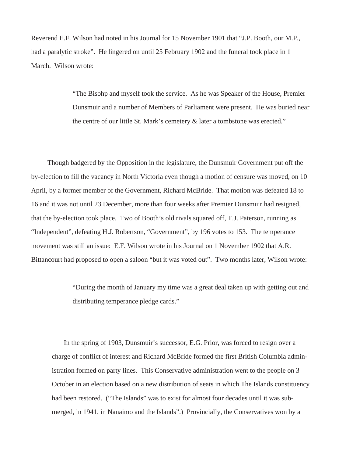Reverend E.F. Wilson had noted in his Journal for 15 November 1901 that "J.P. Booth, our M.P., had a paralytic stroke". He lingered on until 25 February 1902 and the funeral took place in 1 March. Wilson wrote:

> "The Bisohp and myself took the service. As he was Speaker of the House, Premier Dunsmuir and a number of Members of Parliament were present. He was buried near the centre of our little St. Mark's cemetery & later a tombstone was erected."

Though badgered by the Opposition in the legislature, the Dunsmuir Government put off the by-election to fill the vacancy in North Victoria even though a motion of censure was moved, on 10 April, by a former member of the Government, Richard McBride. That motion was defeated 18 to 16 and it was not until 23 December, more than four weeks after Premier Dunsmuir had resigned, that the by-election took place. Two of Booth's old rivals squared off, T.J. Paterson, running as "Independent", defeating H.J. Robertson, "Government", by 196 votes to 153. The temperance movement was still an issue: E.F. Wilson wrote in his Journal on 1 November 1902 that A.R. Bittancourt had proposed to open a saloon "but it was voted out". Two months later, Wilson wrote:

> "During the month of January my time was a great deal taken up with getting out and distributing temperance pledge cards."

In the spring of 1903, Dunsmuir's successor, E.G. Prior, was forced to resign over a charge of conflict of interest and Richard McBride formed the first British Columbia administration formed on party lines. This Conservative administration went to the people on 3 October in an election based on a new distribution of seats in which The Islands constituency had been restored. ("The Islands" was to exist for almost four decades until it was submerged, in 1941, in Nanaimo and the Islands".) Provincially, the Conservatives won by a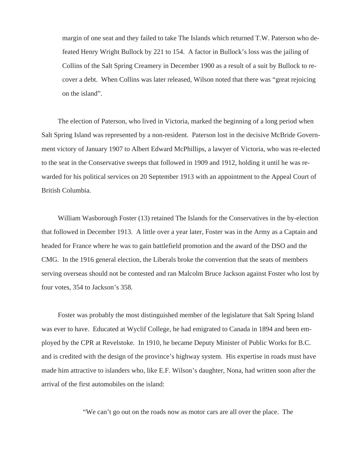margin of one seat and they failed to take The Islands which returned T.W. Paterson who defeated Henry Wright Bullock by 221 to 154. A factor in Bullock's loss was the jailing of Collins of the Salt Spring Creamery in December 1900 as a result of a suit by Bullock to recover a debt. When Collins was later released, Wilson noted that there was "great rejoicing on the island".

The election of Paterson, who lived in Victoria, marked the beginning of a long period when Salt Spring Island was represented by a non-resident. Paterson lost in the decisive McBride Government victory of January 1907 to Albert Edward McPhillips, a lawyer of Victoria, who was re-elected to the seat in the Conservative sweeps that followed in 1909 and 1912, holding it until he was rewarded for his political services on 20 September 1913 with an appointment to the Appeal Court of British Columbia.

William Wasborough Foster (13) retained The Islands for the Conservatives in the by-election that followed in December 1913. A little over a year later, Foster was in the Army as a Captain and headed for France where he was to gain battlefield promotion and the award of the DSO and the CMG. In the 1916 general election, the Liberals broke the convention that the seats of members serving overseas should not be contested and ran Malcolm Bruce Jackson against Foster who lost by four votes, 354 to Jackson's 358.

Foster was probably the most distinguished member of the legislature that Salt Spring Island was ever to have. Educated at Wyclif College, he had emigrated to Canada in 1894 and been employed by the CPR at Revelstoke. In 1910, he became Deputy Minister of Public Works for B.C. and is credited with the design of the province's highway system. His expertise in roads must have made him attractive to islanders who, like E.F. Wilson's daughter, Nona, had written soon after the arrival of the first automobiles on the island:

"We can't go out on the roads now as motor cars are all over the place. The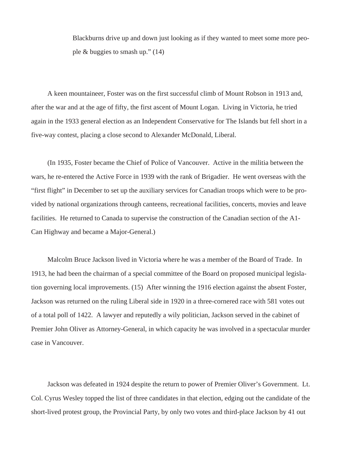Blackburns drive up and down just looking as if they wanted to meet some more people & buggies to smash up." (14)

A keen mountaineer, Foster was on the first successful climb of Mount Robson in 1913 and, after the war and at the age of fifty, the first ascent of Mount Logan. Living in Victoria, he tried again in the 1933 general election as an Independent Conservative for The Islands but fell short in a five-way contest, placing a close second to Alexander McDonald, Liberal.

(In 1935, Foster became the Chief of Police of Vancouver. Active in the militia between the wars, he re-entered the Active Force in 1939 with the rank of Brigadier. He went overseas with the "first flight" in December to set up the auxiliary services for Canadian troops which were to be provided by national organizations through canteens, recreational facilities, concerts, movies and leave facilities. He returned to Canada to supervise the construction of the Canadian section of the A1- Can Highway and became a Major-General.)

Malcolm Bruce Jackson lived in Victoria where he was a member of the Board of Trade. In 1913, he had been the chairman of a special committee of the Board on proposed municipal legislation governing local improvements. (15) After winning the 1916 election against the absent Foster, Jackson was returned on the ruling Liberal side in 1920 in a three-cornered race with 581 votes out of a total poll of 1422. A lawyer and reputedly a wily politician, Jackson served in the cabinet of Premier John Oliver as Attorney-General, in which capacity he was involved in a spectacular murder case in Vancouver.

Jackson was defeated in 1924 despite the return to power of Premier Oliver's Government. Lt. Col. Cyrus Wesley topped the list of three candidates in that election, edging out the candidate of the short-lived protest group, the Provincial Party, by only two votes and third-place Jackson by 41 out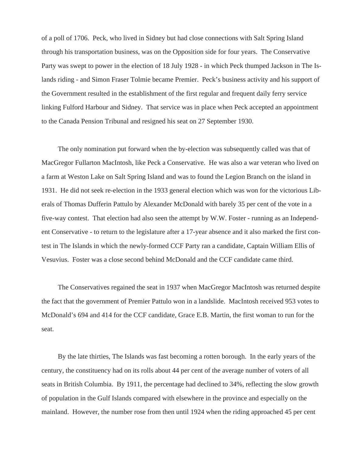of a poll of 1706. Peck, who lived in Sidney but had close connections with Salt Spring Island through his transportation business, was on the Opposition side for four years. The Conservative Party was swept to power in the election of 18 July 1928 - in which Peck thumped Jackson in The Islands riding - and Simon Fraser Tolmie became Premier. Peck's business activity and his support of the Government resulted in the establishment of the first regular and frequent daily ferry service linking Fulford Harbour and Sidney. That service was in place when Peck accepted an appointment to the Canada Pension Tribunal and resigned his seat on 27 September 1930.

The only nomination put forward when the by-election was subsequently called was that of MacGregor Fullarton MacIntosh, like Peck a Conservative. He was also a war veteran who lived on a farm at Weston Lake on Salt Spring Island and was to found the Legion Branch on the island in 1931. He did not seek re-election in the 1933 general election which was won for the victorious Liberals of Thomas Dufferin Pattulo by Alexander McDonald with barely 35 per cent of the vote in a five-way contest. That election had also seen the attempt by W.W. Foster - running as an Independent Conservative - to return to the legislature after a 17-year absence and it also marked the first contest in The Islands in which the newly-formed CCF Party ran a candidate, Captain William Ellis of Vesuvius. Foster was a close second behind McDonald and the CCF candidate came third.

The Conservatives regained the seat in 1937 when MacGregor MacIntosh was returned despite the fact that the government of Premier Pattulo won in a landslide. MacIntosh received 953 votes to McDonald's 694 and 414 for the CCF candidate, Grace E.B. Martin, the first woman to run for the seat.

By the late thirties, The Islands was fast becoming a rotten borough. In the early years of the century, the constituency had on its rolls about 44 per cent of the average number of voters of all seats in British Columbia. By 1911, the percentage had declined to 34%, reflecting the slow growth of population in the Gulf Islands compared with elsewhere in the province and especially on the mainland. However, the number rose from then until 1924 when the riding approached 45 per cent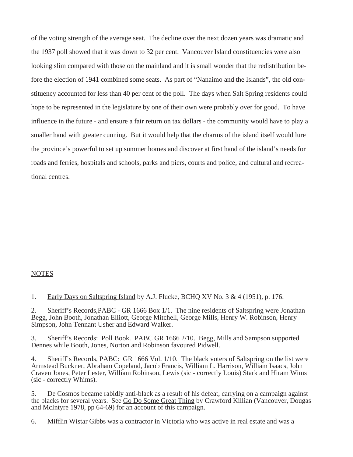of the voting strength of the average seat. The decline over the next dozen years was dramatic and the 1937 poll showed that it was down to 32 per cent. Vancouver Island constituencies were also looking slim compared with those on the mainland and it is small wonder that the redistribution before the election of 1941 combined some seats. As part of "Nanaimo and the Islands", the old constituency accounted for less than 40 per cent of the poll. The days when Salt Spring residents could hope to be represented in the legislature by one of their own were probably over for good. To have influence in the future - and ensure a fair return on tax dollars - the community would have to play a smaller hand with greater cunning. But it would help that the charms of the island itself would lure the province's powerful to set up summer homes and discover at first hand of the island's needs for roads and ferries, hospitals and schools, parks and piers, courts and police, and cultural and recreational centres.

#### **NOTES**

1. Early Days on Saltspring Island by A.J. Flucke, BCHQ XV No. 3 & 4 (1951), p. 176.

2. Sheriff's Records,PABC - GR 1666 Box 1/1. The nine residents of Saltspring were Jonathan Begg, John Booth, Jonathan Elliott, George Mitchell, George Mills, Henry W. Robinson, Henry Simpson, John Tennant Usher and Edward Walker.

3. Sheriff's Records: Poll Book. PABC GR 1666 2/10. Begg, Mills and Sampson supported Dennes while Booth, Jones, Norton and Robinson favoured Pidwell.

4. Sheriff's Records, PABC: GR 1666 Vol. 1/10. The black voters of Saltspring on the list were Armstead Buckner, Abraham Copeland, Jacob Francis, William L. Harrison, William Isaacs, John Craven Jones, Peter Lester, William Robinson, Lewis (sic - correctly Louis) Stark and Hiram Wims (sic - correctly Whims).

5. De Cosmos became rabidly anti-black as a result of his defeat, carrying on a campaign against the blacks for several years. See Go Do Some Great Thing by Crawford Killian (Vancouver, Dougas and McIntyre 1978, pp 64-69) for an account of this campaign.

6. Mifflin Wistar Gibbs was a contractor in Victoria who was active in real estate and was a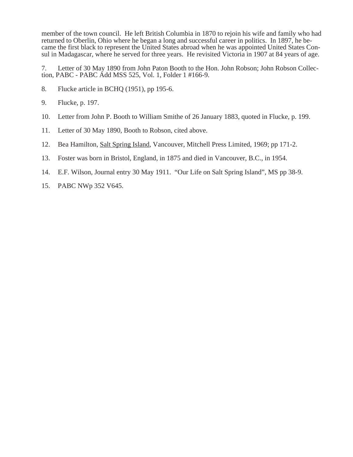member of the town council. He left British Columbia in 1870 to rejoin his wife and family who had returned to Oberlin, Ohio where he began a long and successful career in politics. In 1897, he became the first black to represent the United States abroad when he was appointed United States Consul in Madagascar, where he served for three years. He revisited Victoria in 1907 at 84 years of age.

7. Letter of 30 May 1890 from John Paton Booth to the Hon. John Robson; John Robson Collection, PABC - PABC Add MSS 525, Vol. 1, Folder 1 #166-9.

- 8. Flucke article in BCHQ (1951), pp 195-6.
- 9. Flucke, p. 197.
- 10. Letter from John P. Booth to William Smithe of 26 January 1883, quoted in Flucke, p. 199.
- 11. Letter of 30 May 1890, Booth to Robson, cited above.
- 12. Bea Hamilton, Salt Spring Island, Vancouver, Mitchell Press Limited, 1969; pp 171-2.
- 13. Foster was born in Bristol, England, in 1875 and died in Vancouver, B.C., in 1954.
- 14. E.F. Wilson, Journal entry 30 May 1911. "Our Life on Salt Spring Island", MS pp 38-9.
- 15. PABC NWp 352 V645.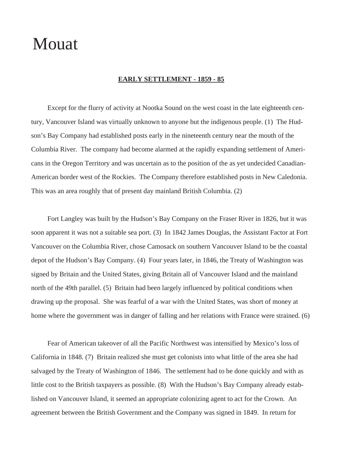# Mouat

#### **EARLY SETTLEMENT - 1859 - 85**

Except for the flurry of activity at Nootka Sound on the west coast in the late eighteenth century, Vancouver Island was virtually unknown to anyone but the indigenous people. (1) The Hudson's Bay Company had established posts early in the nineteenth century near the mouth of the Columbia River. The company had become alarmed at the rapidly expanding settlement of Americans in the Oregon Territory and was uncertain as to the position of the as yet undecided Canadian-American border west of the Rockies. The Company therefore established posts in New Caledonia. This was an area roughly that of present day mainland British Columbia. (2)

Fort Langley was built by the Hudson's Bay Company on the Fraser River in 1826, but it was soon apparent it was not a suitable sea port. (3) In 1842 James Douglas, the Assistant Factor at Fort Vancouver on the Columbia River, chose Camosack on southern Vancouver Island to be the coastal depot of the Hudson's Bay Company. (4) Four years later, in 1846, the Treaty of Washington was signed by Britain and the United States, giving Britain all of Vancouver Island and the mainland north of the 49th parallel. (5) Britain had been largely influenced by political conditions when drawing up the proposal. She was fearful of a war with the United States, was short of money at home where the government was in danger of falling and her relations with France were strained. (6)

Fear of American takeover of all the Pacific Northwest was intensified by Mexico's loss of California in 1848. (7) Britain realized she must get colonists into what little of the area she had salvaged by the Treaty of Washington of 1846. The settlement had to be done quickly and with as little cost to the British taxpayers as possible. (8) With the Hudson's Bay Company already established on Vancouver Island, it seemed an appropriate colonizing agent to act for the Crown. An agreement between the British Government and the Company was signed in 1849. In return for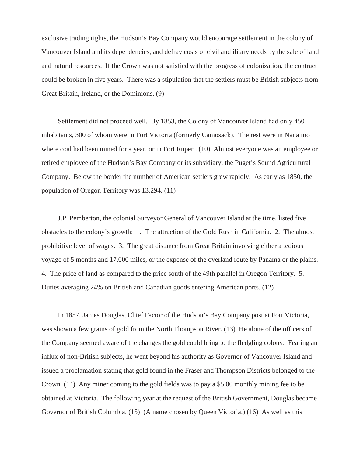exclusive trading rights, the Hudson's Bay Company would encourage settlement in the colony of Vancouver Island and its dependencies, and defray costs of civil and ilitary needs by the sale of land and natural resources. If the Crown was not satisfied with the progress of colonization, the contract could be broken in five years. There was a stipulation that the settlers must be British subjects from Great Britain, Ireland, or the Dominions. (9)

Settlement did not proceed well. By 1853, the Colony of Vancouver Island had only 450 inhabitants, 300 of whom were in Fort Victoria (formerly Camosack). The rest were in Nanaimo where coal had been mined for a year, or in Fort Rupert. (10) Almost everyone was an employee or retired employee of the Hudson's Bay Company or its subsidiary, the Puget's Sound Agricultural Company. Below the border the number of American settlers grew rapidly. As early as 1850, the population of Oregon Territory was 13,294. (11)

J.P. Pemberton, the colonial Surveyor General of Vancouver Island at the time, listed five obstacles to the colony's growth: 1. The attraction of the Gold Rush in California. 2. The almost prohibitive level of wages. 3. The great distance from Great Britain involving either a tedious voyage of 5 months and 17,000 miles, or the expense of the overland route by Panama or the plains. 4. The price of land as compared to the price south of the 49th parallel in Oregon Territory. 5. Duties averaging 24% on British and Canadian goods entering American ports. (12)

In 1857, James Douglas, Chief Factor of the Hudson's Bay Company post at Fort Victoria, was shown a few grains of gold from the North Thompson River. (13) He alone of the officers of the Company seemed aware of the changes the gold could bring to the fledgling colony. Fearing an influx of non-British subjects, he went beyond his authority as Governor of Vancouver Island and issued a proclamation stating that gold found in the Fraser and Thompson Districts belonged to the Crown. (14) Any miner coming to the gold fields was to pay a \$5.00 monthly mining fee to be obtained at Victoria. The following year at the request of the British Government, Douglas became Governor of British Columbia. (15) (A name chosen by Queen Victoria.) (16) As well as this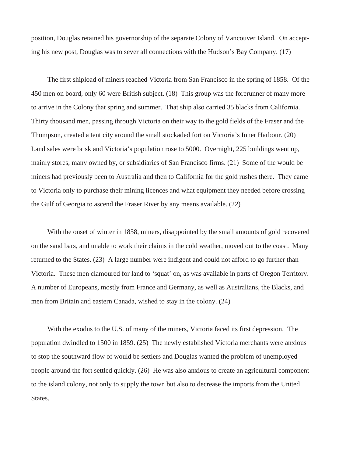position, Douglas retained his governorship of the separate Colony of Vancouver Island. On accepting his new post, Douglas was to sever all connections with the Hudson's Bay Company. (17)

The first shipload of miners reached Victoria from San Francisco in the spring of 1858. Of the 450 men on board, only 60 were British subject. (18) This group was the forerunner of many more to arrive in the Colony that spring and summer. That ship also carried 35 blacks from California. Thirty thousand men, passing through Victoria on their way to the gold fields of the Fraser and the Thompson, created a tent city around the small stockaded fort on Victoria's Inner Harbour. (20) Land sales were brisk and Victoria's population rose to 5000. Overnight, 225 buildings went up, mainly stores, many owned by, or subsidiaries of San Francisco firms. (21) Some of the would be miners had previously been to Australia and then to California for the gold rushes there. They came to Victoria only to purchase their mining licences and what equipment they needed before crossing the Gulf of Georgia to ascend the Fraser River by any means available. (22)

With the onset of winter in 1858, miners, disappointed by the small amounts of gold recovered on the sand bars, and unable to work their claims in the cold weather, moved out to the coast. Many returned to the States. (23) A large number were indigent and could not afford to go further than Victoria. These men clamoured for land to 'squat' on, as was available in parts of Oregon Territory. A number of Europeans, mostly from France and Germany, as well as Australians, the Blacks, and men from Britain and eastern Canada, wished to stay in the colony. (24)

With the exodus to the U.S. of many of the miners, Victoria faced its first depression. The population dwindled to 1500 in 1859. (25) The newly established Victoria merchants were anxious to stop the southward flow of would be settlers and Douglas wanted the problem of unemployed people around the fort settled quickly. (26) He was also anxious to create an agricultural component to the island colony, not only to supply the town but also to decrease the imports from the United States.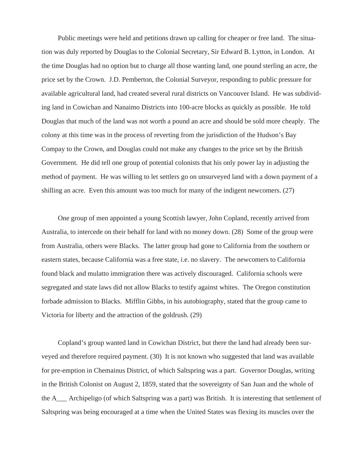Public meetings were held and petitions drawn up calling for cheaper or free land. The situation was duly reported by Douglas to the Colonial Secretary, Sir Edward B. Lytton, in London. At the time Douglas had no option but to charge all those wanting land, one pound sterling an acre, the price set by the Crown. J.D. Pemberton, the Colonial Surveyor, responding to public pressure for available agricultural land, had created several rural districts on Vancouver Island. He was subdividing land in Cowichan and Nanaimo Districts into 100-acre blocks as quickly as possible. He told Douglas that much of the land was not worth a pound an acre and should be sold more cheaply. The colony at this time was in the process of reverting from the jurisdiction of the Hudson's Bay Compay to the Crown, and Douglas could not make any changes to the price set by the British Government. He did tell one group of potential colonists that his only power lay in adjusting the method of payment. He was willing to let settlers go on unsurveyed land with a down payment of a shilling an acre. Even this amount was too much for many of the indigent newcomers. (27)

One group of men appointed a young Scottish lawyer, John Copland, recently arrived from Australia, to intercede on their behalf for land with no money down. (28) Some of the group were from Australia, others were Blacks. The latter group had gone to California from the southern or eastern states, because California was a free state, i.e. no slavery. The newcomers to California found black and mulatto immigration there was actively discouraged. California schools were segregated and state laws did not allow Blacks to testify against whites. The Oregon constitution forbade admission to Blacks. Mifflin Gibbs, in his autobiography, stated that the group came to Victoria for liberty and the attraction of the goldrush. (29)

Copland's group wanted land in Cowichan District, but there the land had already been surveyed and therefore required payment. (30) It is not known who suggested that land was available for pre-emption in Chemainus District, of which Saltspring was a part. Governor Douglas, writing in the British Colonist on August 2, 1859, stated that the sovereignty of San Juan and the whole of the A\_\_\_ Archipeligo (of which Saltspring was a part) was British. It is interesting that settlement of Saltspring was being encouraged at a time when the United States was flexing its muscles over the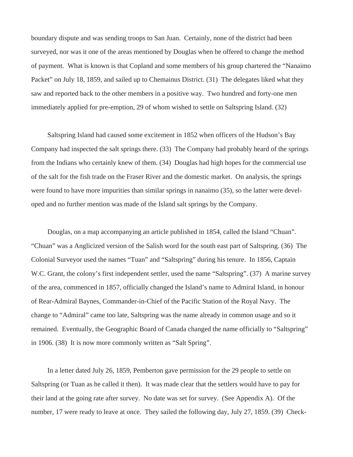boundary dispute and was sending troops to San Juan. Certainly, none of the district had been surveyed, nor was it one of the areas mentioned by Douglas when he offered to change the method of payment. What is known is that Copland and some members of his group chartered the "Nanaimo Packet" on July 18, 1859, and sailed up to Chemainus District. (31) The delegates liked what they saw and reported back to the other members in a positive way. Two hundred and forty-one men immediately applied for pre-emption, 29 of whom wished to settle on Saltspring Island. (32)

Saltspring Island had caused some excitement in 1852 when officers of the Hudson's Bay Company had inspected the salt springs there. (33) The Company had probably heard of the springs from the Indians who certainly knew of them. (34) Douglas had high hopes for the commercial use of the salt for the fish trade on the Fraser River and the domestic market. On analysis, the springs were found to have more impurities than similar springs in nanaimo (35), so the latter were developed and no further mention was made of the Island salt springs by the Company.

Douglas, on a map accompanying an article published in 1854, called the Island "Chuan". "Chuan" was a Anglicized version of the Salish word for the south east part of Saltspring. (36) The Colonial Surveyor used the names "Tuan" and "Saltspring" during his tenure. In 1856, Captain W.C. Grant, the colony's first independent settler, used the name "Saltspring". (37) A marine survey of the area, commenced in 1857, officially changed the Island's name to Admiral Island, in honour of Rear-Admiral Baynes, Commander-in-Chief of the Pacific Station of the Royal Navy. The change to "Admiral" came too late, Saltspring was the name already in common usage and so it remained. Eventually, the Geographic Board of Canada changed the name officially to "Saltspring" in 1906. (38) It is now more commonly written as "Salt Spring".

In a letter dated July 26, 1859, Pemberton gave permission for the 29 people to settle on Saltspring (or Tuan as he called it then). It was made clear that the settlers would have to pay for their land at the going rate after survey. No date was set for survey. (See Appendix A). Of the number, 17 were ready to leave at once. They sailed the following day, July 27, 1859. (39) Check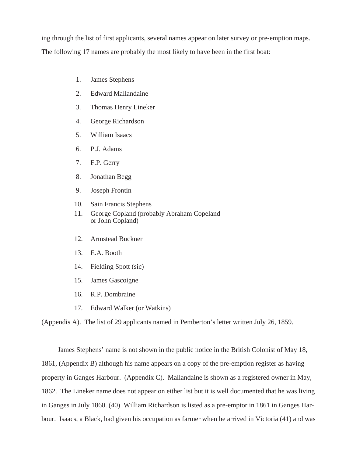ing through the list of first applicants, several names appear on later survey or pre-emption maps.

The following 17 names are probably the most likely to have been in the first boat:

- 1. James Stephens
- 2. Edward Mallandaine
- 3. Thomas Henry Lineker
- 4. George Richardson
- 5. William Isaacs
- 6. P.J. Adams
- 7. F.P. Gerry
- 8. Jonathan Begg
- 9. Joseph Frontin
- 10. Sain Francis Stephens
- 11. George Copland (probably Abraham Copeland or John Copland)
- 12. Armstead Buckner
- 13. E.A. Booth
- 14. Fielding Spott (sic)
- 15. James Gascoigne
- 16. R.P. Dombraine
- 17. Edward Walker (or Watkins)

(Appendis A). The list of 29 applicants named in Pemberton's letter written July 26, 1859.

James Stephens' name is not shown in the public notice in the British Colonist of May 18, 1861, (Appendix B) although his name appears on a copy of the pre-emption register as having property in Ganges Harbour. (Appendix C). Mallandaine is shown as a registered owner in May, 1862. The Lineker name does not appear on either list but it is well documented that he was living in Ganges in July 1860. (40) William Richardson is listed as a pre-emptor in 1861 in Ganges Harbour. Isaacs, a Black, had given his occupation as farmer when he arrived in Victoria (41) and was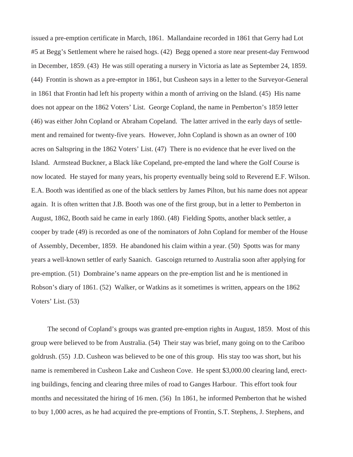issued a pre-emption certificate in March, 1861. Mallandaine recorded in 1861 that Gerry had Lot #5 at Begg's Settlement where he raised hogs. (42) Begg opened a store near present-day Fernwood in December, 1859. (43) He was still operating a nursery in Victoria as late as September 24, 1859. (44) Frontin is shown as a pre-emptor in 1861, but Cusheon says in a letter to the Surveyor-General in 1861 that Frontin had left his property within a month of arriving on the Island. (45) His name does not appear on the 1862 Voters' List. George Copland, the name in Pemberton's 1859 letter (46) was either John Copland or Abraham Copeland. The latter arrived in the early days of settlement and remained for twenty-five years. However, John Copland is shown as an owner of 100 acres on Saltspring in the 1862 Voters' List. (47) There is no evidence that he ever lived on the Island. Armstead Buckner, a Black like Copeland, pre-empted the land where the Golf Course is now located. He stayed for many years, his property eventually being sold to Reverend E.F. Wilson. E.A. Booth was identified as one of the black settlers by James Pilton, but his name does not appear again. It is often written that J.B. Booth was one of the first group, but in a letter to Pemberton in August, 1862, Booth said he came in early 1860. (48) Fielding Spotts, another black settler, a cooper by trade (49) is recorded as one of the nominators of John Copland for member of the House of Assembly, December, 1859. He abandoned his claim within a year. (50) Spotts was for many years a well-known settler of early Saanich. Gascoign returned to Australia soon after applying for pre-emption. (51) Dombraine's name appears on the pre-emption list and he is mentioned in Robson's diary of 1861. (52) Walker, or Watkins as it sometimes is written, appears on the 1862 Voters' List. (53)

The second of Copland's groups was granted pre-emption rights in August, 1859. Most of this group were believed to be from Australia. (54) Their stay was brief, many going on to the Cariboo goldrush. (55) J.D. Cusheon was believed to be one of this group. His stay too was short, but his name is remembered in Cusheon Lake and Cusheon Cove. He spent \$3,000.00 clearing land, erecting buildings, fencing and clearing three miles of road to Ganges Harbour. This effort took four months and necessitated the hiring of 16 men. (56) In 1861, he informed Pemberton that he wished to buy 1,000 acres, as he had acquired the pre-emptions of Frontin, S.T. Stephens, J. Stephens, and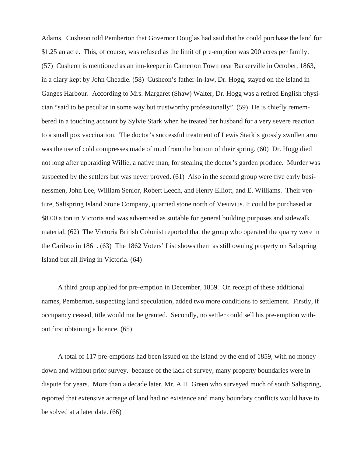Adams. Cusheon told Pemberton that Governor Douglas had said that he could purchase the land for \$1.25 an acre. This, of course, was refused as the limit of pre-emption was 200 acres per family. (57) Cusheon is mentioned as an inn-keeper in Camerton Town near Barkerville in October, 1863, in a diary kept by John Cheadle. (58) Cusheon's father-in-law, Dr. Hogg, stayed on the Island in Ganges Harbour. According to Mrs. Margaret (Shaw) Walter, Dr. Hogg was a retired English physician "said to be peculiar in some way but trustworthy professionally". (59) He is chiefly remembered in a touching account by Sylvie Stark when he treated her husband for a very severe reaction to a small pox vaccination. The doctor's successful treatment of Lewis Stark's grossly swollen arm was the use of cold compresses made of mud from the bottom of their spring. (60) Dr. Hogg died not long after upbraiding Willie, a native man, for stealing the doctor's garden produce. Murder was suspected by the settlers but was never proved. (61) Also in the second group were five early businessmen, John Lee, William Senior, Robert Leech, and Henry Elliott, and E. Williams. Their venture, Saltspring Island Stone Company, quarried stone north of Vesuvius. It could be purchased at \$8.00 a ton in Victoria and was advertised as suitable for general building purposes and sidewalk material. (62) The Victoria British Colonist reported that the group who operated the quarry were in the Cariboo in 1861. (63) The 1862 Voters' List shows them as still owning property on Saltspring Island but all living in Victoria. (64)

A third group applied for pre-emption in December, 1859. On receipt of these additional names, Pemberton, suspecting land speculation, added two more conditions to settlement. Firstly, if occupancy ceased, title would not be granted. Secondly, no settler could sell his pre-emption without first obtaining a licence. (65)

A total of 117 pre-emptions had been issued on the Island by the end of 1859, with no money down and without prior survey. because of the lack of survey, many property boundaries were in dispute for years. More than a decade later, Mr. A.H. Green who surveyed much of south Saltspring, reported that extensive acreage of land had no existence and many boundary conflicts would have to be solved at a later date. (66)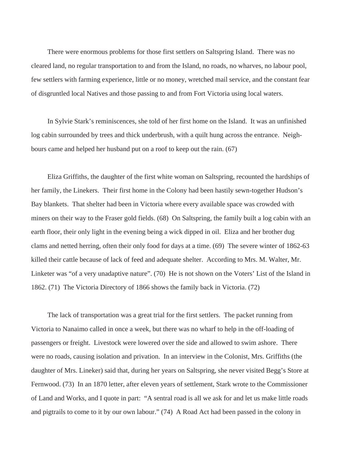There were enormous problems for those first settlers on Saltspring Island. There was no cleared land, no regular transportation to and from the Island, no roads, no wharves, no labour pool, few settlers with farming experience, little or no money, wretched mail service, and the constant fear of disgruntled local Natives and those passing to and from Fort Victoria using local waters.

In Sylvie Stark's reminiscences, she told of her first home on the Island. It was an unfinished log cabin surrounded by trees and thick underbrush, with a quilt hung across the entrance. Neighbours came and helped her husband put on a roof to keep out the rain. (67)

Eliza Griffiths, the daughter of the first white woman on Saltspring, recounted the hardships of her family, the Linekers. Their first home in the Colony had been hastily sewn-together Hudson's Bay blankets. That shelter had been in Victoria where every available space was crowded with miners on their way to the Fraser gold fields. (68) On Saltspring, the family built a log cabin with an earth floor, their only light in the evening being a wick dipped in oil. Eliza and her brother dug clams and netted herring, often their only food for days at a time. (69) The severe winter of 1862-63 killed their cattle because of lack of feed and adequate shelter. According to Mrs. M. Walter, Mr. Linketer was "of a very unadaptive nature". (70) He is not shown on the Voters' List of the Island in 1862. (71) The Victoria Directory of 1866 shows the family back in Victoria. (72)

The lack of transportation was a great trial for the first settlers. The packet running from Victoria to Nanaimo called in once a week, but there was no wharf to help in the off-loading of passengers or freight. Livestock were lowered over the side and allowed to swim ashore. There were no roads, causing isolation and privation. In an interview in the Colonist, Mrs. Griffiths (the daughter of Mrs. Lineker) said that, during her years on Saltspring, she never visited Begg's Store at Fernwood. (73) In an 1870 letter, after eleven years of settlement, Stark wrote to the Commissioner of Land and Works, and I quote in part: "A sentral road is all we ask for and let us make little roads and pigtrails to come to it by our own labour." (74) A Road Act had been passed in the colony in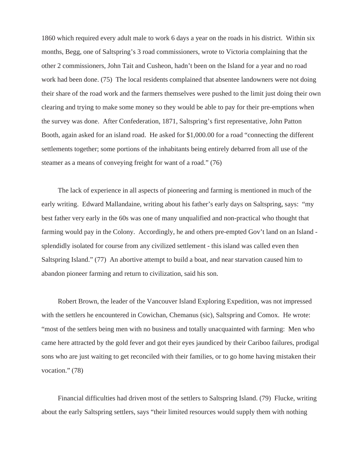1860 which required every adult male to work 6 days a year on the roads in his district. Within six months, Begg, one of Saltspring's 3 road commissioners, wrote to Victoria complaining that the other 2 commissioners, John Tait and Cusheon, hadn't been on the Island for a year and no road work had been done. (75) The local residents complained that absentee landowners were not doing their share of the road work and the farmers themselves were pushed to the limit just doing their own clearing and trying to make some money so they would be able to pay for their pre-emptions when the survey was done. After Confederation, 1871, Saltspring's first representative, John Patton Booth, again asked for an island road. He asked for \$1,000.00 for a road "connecting the different settlements together; some portions of the inhabitants being entirely debarred from all use of the steamer as a means of conveying freight for want of a road." (76)

The lack of experience in all aspects of pioneering and farming is mentioned in much of the early writing. Edward Mallandaine, writing about his father's early days on Saltspring, says: "my best father very early in the 60s was one of many unqualified and non-practical who thought that farming would pay in the Colony. Accordingly, he and others pre-empted Gov't land on an Island splendidly isolated for course from any civilized settlement - this island was called even then Saltspring Island." (77) An abortive attempt to build a boat, and near starvation caused him to abandon pioneer farming and return to civilization, said his son.

Robert Brown, the leader of the Vancouver Island Exploring Expedition, was not impressed with the settlers he encountered in Cowichan, Chemanus (sic), Saltspring and Comox. He wrote: "most of the settlers being men with no business and totally unacquainted with farming: Men who came here attracted by the gold fever and got their eyes jaundiced by their Cariboo failures, prodigal sons who are just waiting to get reconciled with their families, or to go home having mistaken their vocation." (78)

Financial difficulties had driven most of the settlers to Saltspring Island. (79) Flucke, writing about the early Saltspring settlers, says "their limited resources would supply them with nothing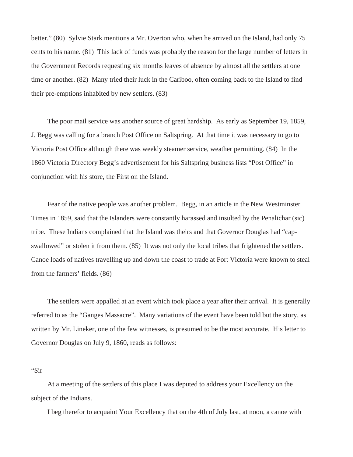better." (80) Sylvie Stark mentions a Mr. Overton who, when he arrived on the Island, had only 75 cents to his name. (81) This lack of funds was probably the reason for the large number of letters in the Government Records requesting six months leaves of absence by almost all the settlers at one time or another. (82) Many tried their luck in the Cariboo, often coming back to the Island to find their pre-emptions inhabited by new settlers. (83)

The poor mail service was another source of great hardship. As early as September 19, 1859, J. Begg was calling for a branch Post Office on Saltspring. At that time it was necessary to go to Victoria Post Office although there was weekly steamer service, weather permitting. (84) In the 1860 Victoria Directory Begg's advertisement for his Saltspring business lists "Post Office" in conjunction with his store, the First on the Island.

Fear of the native people was another problem. Begg, in an article in the New Westminster Times in 1859, said that the Islanders were constantly harassed and insulted by the Penalichar (sic) tribe. These Indians complained that the Island was theirs and that Governor Douglas had "capswallowed" or stolen it from them. (85) It was not only the local tribes that frightened the settlers. Canoe loads of natives travelling up and down the coast to trade at Fort Victoria were known to steal from the farmers' fields. (86)

The settlers were appalled at an event which took place a year after their arrival. It is generally referred to as the "Ganges Massacre". Many variations of the event have been told but the story, as written by Mr. Lineker, one of the few witnesses, is presumed to be the most accurate. His letter to Governor Douglas on July 9, 1860, reads as follows:

"Sir

At a meeting of the settlers of this place I was deputed to address your Excellency on the subject of the Indians.

I beg therefor to acquaint Your Excellency that on the 4th of July last, at noon, a canoe with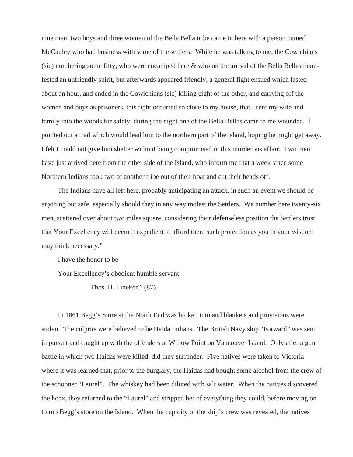nine men, two boys and three women of the Bella Bella tribe came in here with a person named McCauley who had business with some of the settlers. While he was talking to me, the Cowichians (sic) numbering some fifty, who were encamped here & who on the arrival of the Bella Bellas manifested an unfriendly spirit, but afterwards appeared friendly, a general fight ensued which lasted about an hour, and ended in the Cowichians (sic) killing eight of the other, and carrying off the women and boys as prisoners, this fight occurred so close to my house, that I sent my wife and family into the woods for safety, during the night one of the Bella Bellas came to me wounded. I pointed out a trail which would lead him to the northern part of the island, hoping he might get away. I felt I could not give him shelter without being compromised in this murderous affair. Two men have just arrived here from the other side of the Island, who inform me that a week since some Northern Indians took two of another tribe out of their boat and cut their heads off.

The Indians have all left here, probably anticipating an attack, in such an event we should be anything but safe, especially should they in any way molest the Settlers. We number here twenty-six men, scattered over about two miles square, considering their defenseless position the Settlers trust that Your Excellency will deem it expedient to afford them such protection as you in your wisdom may think necessary."

I have the honor to be

Your Excellency's obedient humble servant

Thos. H. Lineker." (87)

In 1861 Begg's Store at the North End was broken into and blankets and provisions were stolen. The culprits were believed to be Haida Indians. The British Navy ship "Forward" was sent in pursuit and caught up with the offenders at Willow Point on Vancouver Island. Only after a gun battle in which two Haidas were killed, did they surrender. Five natives were taken to Victoria where it was learned that, prior to the burglary, the Haidas had bought some alcohol from the crew of the schooner "Laurel". The whiskey had been diluted with salt water. When the natives discovered the hoax, they returned to the "Laurel" and stripped her of everything they could, before moving on to rob Begg's store on the Island. When the cupidity of the ship's crew was revealed, the natives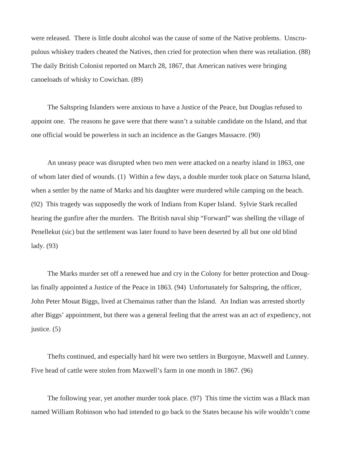were released. There is little doubt alcohol was the cause of some of the Native problems. Unscrupulous whiskey traders cheated the Natives, then cried for protection when there was retaliation. (88) The daily British Colonist reported on March 28, 1867, that American natives were bringing canoeloads of whisky to Cowichan. (89)

The Saltspring Islanders were anxious to have a Justice of the Peace, but Douglas refused to appoint one. The reasons he gave were that there wasn't a suitable candidate on the Island, and that one official would be powerless in such an incidence as the Ganges Massacre. (90)

An uneasy peace was disrupted when two men were attacked on a nearby island in 1863, one of whom later died of wounds. (1) Within a few days, a double murder took place on Saturna Island, when a settler by the name of Marks and his daughter were murdered while camping on the beach. (92) This tragedy was supposedly the work of Indians from Kuper Island. Sylvie Stark recalled hearing the gunfire after the murders. The British naval ship "Forward" was shelling the village of Penellekut (sic) but the settlement was later found to have been deserted by all but one old blind lady. (93)

The Marks murder set off a renewed hue and cry in the Colony for better protection and Douglas finally appointed a Justice of the Peace in 1863. (94) Unfortunately for Saltspring, the officer, John Peter Mouat Biggs, lived at Chemainus rather than the Island. An Indian was arrested shortly after Biggs' appointment, but there was a general feeling that the arrest was an act of expediency, not justice. (5)

Thefts continued, and especially hard hit were two settlers in Burgoyne, Maxwell and Lunney. Five head of cattle were stolen from Maxwell's farm in one month in 1867. (96)

The following year, yet another murder took place. (97) This time the victim was a Black man named William Robinson who had intended to go back to the States because his wife wouldn't come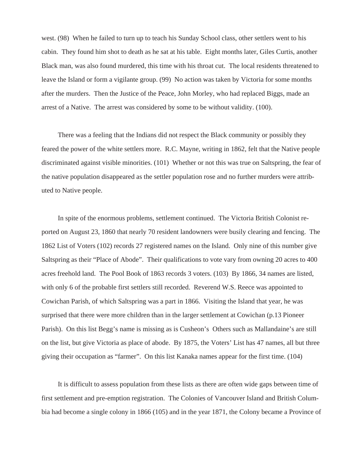west. (98) When he failed to turn up to teach his Sunday School class, other settlers went to his cabin. They found him shot to death as he sat at his table. Eight months later, Giles Curtis, another Black man, was also found murdered, this time with his throat cut. The local residents threatened to leave the Island or form a vigilante group. (99) No action was taken by Victoria for some months after the murders. Then the Justice of the Peace, John Morley, who had replaced Biggs, made an arrest of a Native. The arrest was considered by some to be without validity. (100).

There was a feeling that the Indians did not respect the Black community or possibly they feared the power of the white settlers more. R.C. Mayne, writing in 1862, felt that the Native people discriminated against visible minorities. (101) Whether or not this was true on Saltspring, the fear of the native population disappeared as the settler population rose and no further murders were attributed to Native people.

In spite of the enormous problems, settlement continued. The Victoria British Colonist reported on August 23, 1860 that nearly 70 resident landowners were busily clearing and fencing. The 1862 List of Voters (102) records 27 registered names on the Island. Only nine of this number give Saltspring as their "Place of Abode". Their qualifications to vote vary from owning 20 acres to 400 acres freehold land. The Pool Book of 1863 records 3 voters. (103) By 1866, 34 names are listed, with only 6 of the probable first settlers still recorded. Reverend W.S. Reece was appointed to Cowichan Parish, of which Saltspring was a part in 1866. Visiting the Island that year, he was surprised that there were more children than in the larger settlement at Cowichan (p.13 Pioneer Parish). On this list Begg's name is missing as is Cusheon's Others such as Mallandaine's are still on the list, but give Victoria as place of abode. By 1875, the Voters' List has 47 names, all but three giving their occupation as "farmer". On this list Kanaka names appear for the first time. (104)

It is difficult to assess population from these lists as there are often wide gaps between time of first settlement and pre-emption registration. The Colonies of Vancouver Island and British Columbia had become a single colony in 1866 (105) and in the year 1871, the Colony became a Province of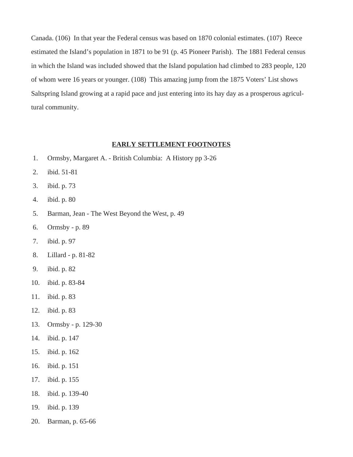Canada. (106) In that year the Federal census was based on 1870 colonial estimates. (107) Reece estimated the Island's population in 1871 to be 91 (p. 45 Pioneer Parish). The 1881 Federal census in which the Island was included showed that the Island population had climbed to 283 people, 120 of whom were 16 years or younger. (108) This amazing jump from the 1875 Voters' List shows Saltspring Island growing at a rapid pace and just entering into its hay day as a prosperous agricultural community.

### **EARLY SETTLEMENT FOOTNOTES**

- 1. Ormsby, Margaret A. British Columbia: A History pp 3-26
- 2. ibid. 51-81
- 3. ibid. p. 73
- 4. ibid. p. 80
- 5. Barman, Jean The West Beyond the West, p. 49
- 6. Ormsby p. 89
- 7. ibid. p. 97
- 8. Lillard p. 81-82
- 9. ibid. p. 82
- 10. ibid. p. 83-84
- 11. ibid. p. 83
- 12. ibid. p. 83
- 13. Ormsby p. 129-30
- 14. ibid. p. 147
- 15. ibid. p. 162
- 16. ibid. p. 151
- 17. ibid. p. 155
- 18. ibid. p. 139-40
- 19. ibid. p. 139
- 20. Barman, p. 65-66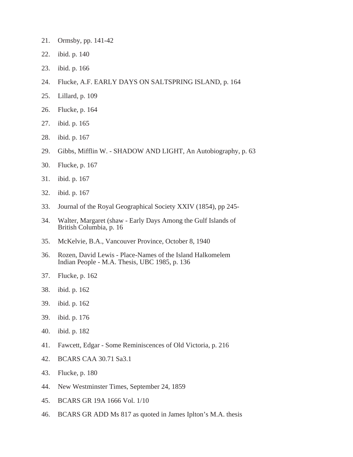- 21. Ormsby, pp. 141-42
- 22. ibid. p. 140
- 23. ibid. p. 166
- 24. Flucke, A.F. EARLY DAYS ON SALTSPRING ISLAND, p. 164
- 25. Lillard, p. 109
- 26. Flucke, p. 164
- 27. ibid. p. 165
- 28. ibid. p. 167
- 29. Gibbs, Mifflin W. SHADOW AND LIGHT, An Autobiography, p. 63
- 30. Flucke, p. 167
- 31. ibid. p. 167
- 32. ibid. p. 167
- 33. Journal of the Royal Geographical Society XXIV (1854), pp 245-
- 34. Walter, Margaret (shaw Early Days Among the Gulf Islands of British Columbia, p. 16
- 35. McKelvie, B.A., Vancouver Province, October 8, 1940
- 36. Rozen, David Lewis Place-Names of the Island Halkomelem Indian People - M.A. Thesis, UBC 1985, p. 136
- 37. Flucke, p. 162
- 38. ibid. p. 162
- 39. ibid. p. 162
- 39. ibid. p. 176
- 40. ibid. p. 182
- 41. Fawcett, Edgar Some Reminiscences of Old Victoria, p. 216
- 42. BCARS CAA 30.71 Sa3.1
- 43. Flucke, p. 180
- 44. New Westminster Times, September 24, 1859
- 45. BCARS GR 19A 1666 Vol. 1/10
- 46. BCARS GR ADD Ms 817 as quoted in James Iplton's M.A. thesis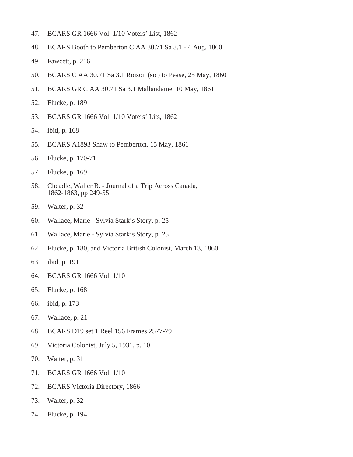- 47. BCARS GR 1666 Vol. 1/10 Voters' List, 1862
- 48. BCARS Booth to Pemberton C AA 30.71 Sa 3.1 4 Aug. 1860
- 49. Fawcett, p. 216
- 50. BCARS C AA 30.71 Sa 3.1 Roison (sic) to Pease, 25 May, 1860
- 51. BCARS GR C AA 30.71 Sa 3.1 Mallandaine, 10 May, 1861
- 52. Flucke, p. 189
- 53. BCARS GR 1666 Vol. 1/10 Voters' Lits, 1862
- 54. ibid, p. 168
- 55. BCARS A1893 Shaw to Pemberton, 15 May, 1861
- 56. Flucke, p. 170-71
- 57. Flucke, p. 169
- 58. Cheadle, Walter B. Journal of a Trip Across Canada, 1862-1863, pp 249-55
- 59. Walter, p. 32
- 60. Wallace, Marie Sylvia Stark's Story, p. 25
- 61. Wallace, Marie Sylvia Stark's Story, p. 25
- 62. Flucke, p. 180, and Victoria British Colonist, March 13, 1860
- 63. ibid, p. 191
- 64. BCARS GR 1666 Vol. 1/10
- 65. Flucke, p. 168
- 66. ibid, p. 173
- 67. Wallace, p. 21
- 68. BCARS D19 set 1 Reel 156 Frames 2577-79
- 69. Victoria Colonist, July 5, 1931, p. 10
- 70. Walter, p. 31
- 71. BCARS GR 1666 Vol. 1/10
- 72. BCARS Victoria Directory, 1866
- 73. Walter, p. 32
- 74. Flucke, p. 194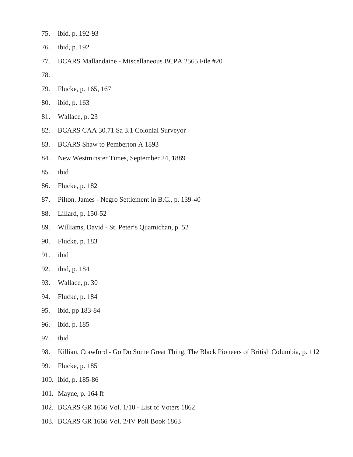- 75. ibid, p. 192-93
- 76. ibid, p. 192
- 77. BCARS Mallandaine Miscellaneous BCPA 2565 File #20
- 78.
- 79. Flucke, p. 165, 167
- 80. ibid, p. 163
- 81. Wallace, p. 23
- 82. BCARS CAA 30.71 Sa 3.1 Colonial Surveyor
- 83. BCARS Shaw to Pemberton A 1893
- 84. New Westminster Times, September 24, 1889
- 85. ibid
- 86. Flucke, p. 182
- 87. Pilton, James Negro Settlement in B.C., p. 139-40
- 88. Lillard, p. 150-52
- 89. Williams, David St. Peter's Quamichan, p. 52
- 90. Flucke, p. 183
- 91. ibid
- 92. ibid, p. 184
- 93. Wallace, p. 30
- 94. Flucke, p. 184
- 95. ibid, pp 183-84
- 96. ibid, p. 185
- 97. ibid
- 98. Killian, Crawford Go Do Some Great Thing, The Black Pioneers of British Columbia, p. 112
- 99. Flucke, p. 185
- 100. ibid, p. 185-86
- 101. Mayne, p. 164 ff
- 102. BCARS GR 1666 Vol. 1/10 List of Voters 1862
- 103. BCARS GR 1666 Vol. 2/IV Poll Book 1863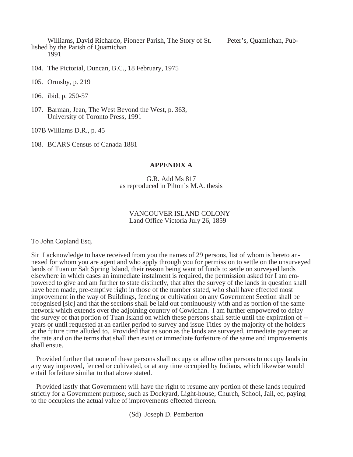Williams, David Richardo, Pioneer Parish, The Story of St. Peter's, Quamichan, Published by the Parish of Quamichan 1991

104. The Pictorial, Duncan, B.C., 18 February, 1975

105. Ormsby, p. 219

106. ibid, p. 250-57

107. Barman, Jean, The West Beyond the West, p. 363, University of Toronto Press, 1991

107B Williams D.R., p. 45

108. BCARS Census of Canada 1881

#### **APPENDIX A**

G.R. Add Ms 817 as reproduced in Pilton's M.A. thesis

#### VANCOUVER ISLAND COLONY Land Office Victoria July 26, 1859

To John Copland Esq.

Sir I acknowledge to have received from you the names of 29 persons, list of whom is hereto annexed for whom you are agent and who apply through you for permission to settle on the unsurveyed lands of Tuan or Salt Spring Island, their reason being want of funds to settle on surveyed lands elsewhere in which cases an immediate instalment is required, the permission asked for I am empowered to give and am further to state distinctly, that after the survey of the lands in question shall have been made, pre-emptive right in those of the number stated, who shall have effected most improvement in the way of Buildings, fencing or cultivation on any Government Section shall be recognised [sic] and that the sections shall be laid out continuously with and as portion of the same network which extends over the adjoining country of Cowichan. I am further empowered to delay the survey of that portion of Tuan Island on which these persons shall settle until the expiration of - years or until requested at an earlier period to survey and issue Titles by the majority of the holders at the future time alluded to. Provided that as soon as the lands are surveyed, immediate payment at the rate and on the terms that shall then exist or immediate forfeiture of the same and improvements shall ensue.

 Provided further that none of these persons shall occupy or allow other persons to occupy lands in any way improved, fenced or cultivated, or at any time occupied by Indians, which likewise would entail forfeiture similar to that above stated.

 Provided lastly that Government will have the right to resume any portion of these lands required strictly for a Government purpose, such as Dockyard, Light-house, Church, School, Jail, ec, paying to the occupiers the actual value of improvements effected thereon.

(Sd) Joseph D. Pemberton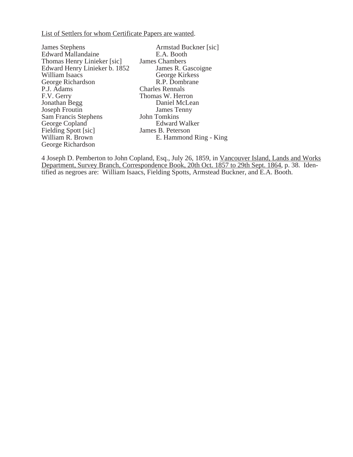List of Settlers for whom Certificate Papers are wanted.

| <b>James Stephens</b>         | Armstad Buckner [sic]  |
|-------------------------------|------------------------|
| <b>Edward Mallandaine</b>     | E.A. Booth             |
| Thomas Henry Linieker [sic]   | James Chambers         |
| Edward Henry Linieker b. 1852 | James R. Gascoigne     |
| William Isaacs                | George Kirkess         |
| George Richardson             | R.P. Dombrane          |
| P.J. Adams                    | <b>Charles Rennals</b> |
| F.V. Gerry                    | Thomas W. Herron       |
| Jonathan Begg                 | Daniel McLean          |
| Joseph Froutin                | James Tenny            |
| Sam Francis Stephens          | <b>John Tomkins</b>    |
| George Copland                | <b>Edward Walker</b>   |
| Fielding Spott [sic]          | James B. Peterson      |
| William R. Brown              | E. Hammond Ring - King |
| George Richardson             |                        |
|                               |                        |

4 Joseph D. Pemberton to John Copland, Esq., July 26, 1859, in Vancouver Island, Lands and Works Department, Survey Branch, Correspondence Book, 20th Oct. 1857 to 29th Sept. 1864, p. 38. Identified as negroes are: William Isaacs, Fielding Spotts, Armstead Buckner, and E.A. Booth.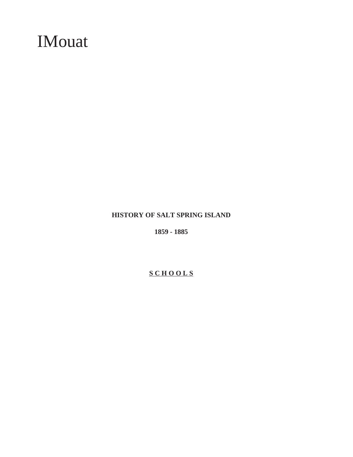# IMouat

### **HISTORY OF SALT SPRING ISLAND**

**1859 - 1885**

### **S C H O O L S**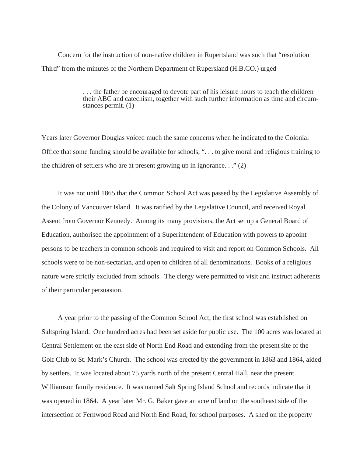Concern for the instruction of non-native children in Rupertsland was such that "resolution Third" from the minutes of the Northern Department of Rupersland (H.B.CO.) urged

> . . . the father be encouraged to devote part of his leisure hours to teach the children their ABC and catechism, together with such further information as time and circumstances permit. (1)

Years later Governor Douglas voiced much the same concerns when he indicated to the Colonial Office that some funding should be available for schools, ". . . to give moral and religious training to the children of settlers who are at present growing up in ignorance. . ." (2)

It was not until 1865 that the Common School Act was passed by the Legislative Assembly of the Colony of Vancouver Island. It was ratified by the Legislative Council, and received Royal Assent from Governor Kennedy. Among its many provisions, the Act set up a General Board of Education, authorised the appointment of a Superintendent of Education with powers to appoint persons to be teachers in common schools and required to visit and report on Common Schools. All schools were to be non-sectarian, and open to children of all denominations. Books of a religious nature were strictly excluded from schools. The clergy were permitted to visit and instruct adherents of their particular persuasion.

A year prior to the passing of the Common School Act, the first school was established on Saltspring Island. One hundred acres had been set aside for public use. The 100 acres was located at Central Settlement on the east side of North End Road and extending from the present site of the Golf Club to St. Mark's Church. The school was erected by the government in 1863 and 1864, aided by settlers. It was located about 75 yards north of the present Central Hall, near the present Williamson family residence. It was named Salt Spring Island School and records indicate that it was opened in 1864. A year later Mr. G. Baker gave an acre of land on the southeast side of the intersection of Fernwood Road and North End Road, for school purposes. A shed on the property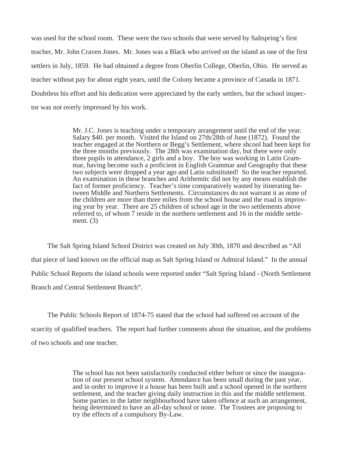was used for the school room. These were the two schools that were served by Saltspring's first teacher, Mr. John Craven Jones. Mr. Jones was a Black who arrived on the island as one of the first settlers in July, 1859. He had obtained a degree from Oberlin College, Oberlin, Ohio. He served as teacher without pay for about eight years, until the Colony became a province of Canada in 1871. Doubtless his effort and his dedication were appreciated by the early settlers, but the school inspector was not overly impressed by his work.

> Mr. J.C. Jones is teaching under a temporary arrangement until the end of the year. Salary \$40. per month. Visited the Island on 27th/28th of June (1872). Found the teacher engaged at the Northern or Begg's Settlement, where shcool had been kept for the three months previously. The 28th was examination day, but there were only three pupils in attendance, 2 girls and a boy. The boy was working in Latin Grammar, having become such a proficient in English Grammar and Geography that these two subjects were dropped a year ago and Latin substituted! So the teacher reported. An examination in these branches and Arithemitc did not by any means establish the fact of former proficiency. Teacher's time comparatively wasted by itinerating between Middle and Northern Settlements. Circumstances do not warrant it as none of the children are more than three miles from the school house and the road is improving year by year. There are 25 children of school age in the two settlements above referred to, of whom 7 reside in the northern settlement and 16 in the middle settlement. (3)

The Salt Spring Island School District was created on July 30th, 1870 and described as "All that piece of land known on the official map as Salt Spring Island or Admiral Island." In the annual Public School Reports the island schools were reported under "Salt Spring Island - (North Settlement Branch and Central Settlement Branch".

The Public Schools Report of 1874-75 stated that the school had suffered on account of the scarcity of qualified teachers. The report had further comments about the situation, and the problems of two schools and one teacher.

> The school has not been satisfactorily conducted either before or since the inauguration of our present school system. Attendance has been small during the past year, and in order to improve it a house has been built and a school opened in the northern settlement, and the teacher giving daily instruction in this and the middle settlement. Some parties in the latter neighbourhood have taken offence at such an arrangement, being determined to have an all-day school or none. The Trustees are proposing to try the effects of a compulsory By-Law.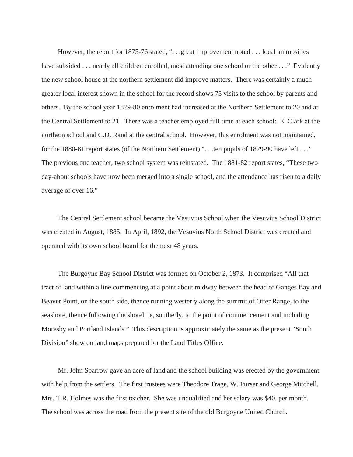However, the report for 1875-76 stated, "...great improvement noted ... local animosities have subsided . . . nearly all children enrolled, most attending one school or the other . . ." Evidently the new school house at the northern settlement did improve matters. There was certainly a much greater local interest shown in the school for the record shows 75 visits to the school by parents and others. By the school year 1879-80 enrolment had increased at the Northern Settlement to 20 and at the Central Settlement to 21. There was a teacher employed full time at each school: E. Clark at the northern school and C.D. Rand at the central school. However, this enrolment was not maintained, for the 1880-81 report states (of the Northern Settlement) ". . .ten pupils of 1879-90 have left . . ." The previous one teacher, two school system was reinstated. The 1881-82 report states, "These two day-about schools have now been merged into a single school, and the attendance has risen to a daily average of over 16."

The Central Settlement school became the Vesuvius School when the Vesuvius School District was created in August, 1885. In April, 1892, the Vesuvius North School District was created and operated with its own school board for the next 48 years.

The Burgoyne Bay School District was formed on October 2, 1873. It comprised "All that tract of land within a line commencing at a point about midway between the head of Ganges Bay and Beaver Point, on the south side, thence running westerly along the summit of Otter Range, to the seashore, thence following the shoreline, southerly, to the point of commencement and including Moresby and Portland Islands." This description is approximately the same as the present "South Division" show on land maps prepared for the Land Titles Office.

Mr. John Sparrow gave an acre of land and the school building was erected by the government with help from the settlers. The first trustees were Theodore Trage, W. Purser and George Mitchell. Mrs. T.R. Holmes was the first teacher. She was unqualified and her salary was \$40. per month. The school was across the road from the present site of the old Burgoyne United Church.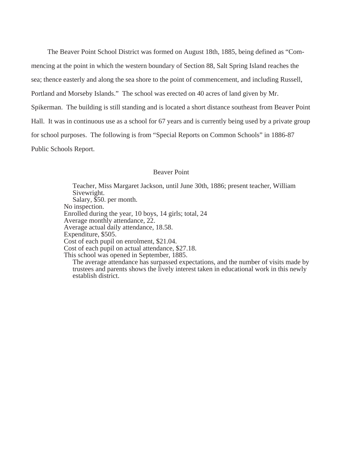The Beaver Point School District was formed on August 18th, 1885, being defined as "Commencing at the point in which the western boundary of Section 88, Salt Spring Island reaches the sea; thence easterly and along the sea shore to the point of commencement, and including Russell, Portland and Morseby Islands." The school was erected on 40 acres of land given by Mr. Spikerman. The building is still standing and is located a short distance southeast from Beaver Point Hall. It was in continuous use as a school for 67 years and is currently being used by a private group for school purposes. The following is from "Special Reports on Common Schools" in 1886-87 Public Schools Report.

#### Beaver Point

Teacher, Miss Margaret Jackson, until June 30th, 1886; present teacher, William Sivewright. Salary, \$50. per month. No inspection. Enrolled during the year, 10 boys, 14 girls; total, 24 Average monthly attendance, 22. Average actual daily attendance, 18.58. Expenditure, \$505. Cost of each pupil on enrolment, \$21.04. Cost of each pupil on actual attendance, \$27.18. This school was opened in September, 1885. The average attendance has surpassed expectations, and the number of visits made by trustees and parents shows the lively interest taken in educational work in this newly establish district.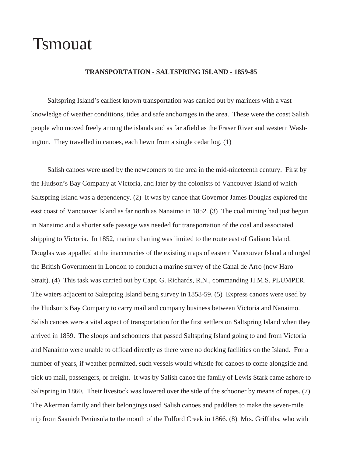### Tsmouat

#### **TRANSPORTATION - SALTSPRING ISLAND - 1859-85**

Saltspring Island's earliest known transportation was carried out by mariners with a vast knowledge of weather conditions, tides and safe anchorages in the area. These were the coast Salish people who moved freely among the islands and as far afield as the Fraser River and western Washington. They travelled in canoes, each hewn from a single cedar log. (1)

Salish canoes were used by the newcomers to the area in the mid-nineteenth century. First by the Hudson's Bay Company at Victoria, and later by the colonists of Vancouver Island of which Saltspring Island was a dependency. (2) It was by canoe that Governor James Douglas explored the east coast of Vancouver Island as far north as Nanaimo in 1852. (3) The coal mining had just begun in Nanaimo and a shorter safe passage was needed for transportation of the coal and associated shipping to Victoria. In 1852, marine charting was limited to the route east of Galiano Island. Douglas was appalled at the inaccuracies of the existing maps of eastern Vancouver Island and urged the British Government in London to conduct a marine survey of the Canal de Arro (now Haro Strait). (4) This task was carried out by Capt. G. Richards, R.N., commanding H.M.S. PLUMPER. The waters adjacent to Saltspring Island being survey in 1858-59. (5) Express canoes were used by the Hudson's Bay Company to carry mail and company business between Victoria and Nanaimo. Salish canoes were a vital aspect of transportation for the first settlers on Saltspring Island when they arrived in 1859. The sloops and schooners that passed Saltspring Island going to and from Victoria and Nanaimo were unable to offload directly as there were no docking facilities on the Island. For a number of years, if weather permitted, such vessels would whistle for canoes to come alongside and pick up mail, passengers, or freight. It was by Salish canoe the family of Lewis Stark came ashore to Saltspring in 1860. Their livestock was lowered over the side of the schooner by means of ropes. (7) The Akerman family and their belongings used Salish canoes and paddlers to make the seven-mile trip from Saanich Peninsula to the mouth of the Fulford Creek in 1866. (8) Mrs. Griffiths, who with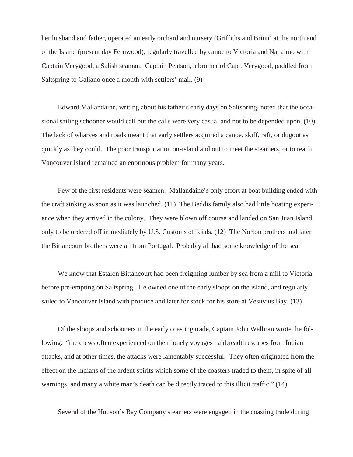her husband and father, operated an early orchard and nursery (Griffiths and Brinn) at the north end of the Island (present day Fernwood), regularly travelled by canoe to Victoria and Nanaimo with Captain Verygood, a Salish seaman. Captain Peatson, a brother of Capt. Verygood, paddled from Saltspring to Galiano once a month with settlers' mail. (9)

Edward Mallandaine, writing about his father's early days on Saltspring, noted that the occasional sailing schooner would call but the calls were very casual and not to be depended upon. (10) The lack of wharves and roads meant that early settlers acquired a canoe, skiff, raft, or dugout as quickly as they could. The poor transportation on-island and out to meet the steamers, or to reach Vancouver Island remained an enormous problem for many years.

Few of the first residents were seamen. Mallandaine's only effort at boat building ended with the craft sinking as soon as it was launched. (11) The Beddis family also had little boating experience when they arrived in the colony. They were blown off course and landed on San Juan Island only to be ordered off immediately by U.S. Customs officials. (12) The Norton brothers and later the Bittancourt brothers were all from Portugal. Probably all had some knowledge of the sea.

We know that Estalon Bittancourt had been freighting lumber by sea from a mill to Victoria before pre-empting on Saltspring. He owned one of the early sloops on the island, and regularly sailed to Vancouver Island with produce and later for stock for his store at Vesuvius Bay. (13)

Of the sloops and schooners in the early coasting trade, Captain John Walbran wrote the following: "the crews often experienced on their lonely voyages hairbreadth escapes from Indian attacks, and at other times, the attacks were lamentably successful. They often originated from the effect on the Indians of the ardent spirits which some of the coasters traded to them, in spite of all warnings, and many a white man's death can be directly traced to this illicit traffic." (14)

Several of the Hudson's Bay Company steamers were engaged in the coasting trade during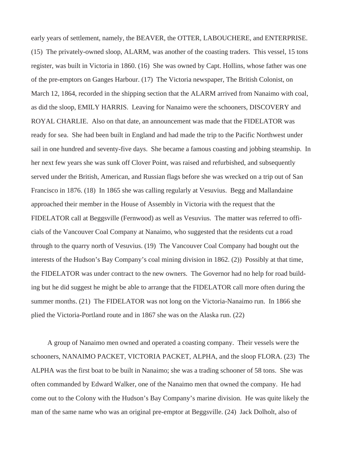early years of settlement, namely, the BEAVER, the OTTER, LABOUCHERE, and ENTERPRISE. (15) The privately-owned sloop, ALARM, was another of the coasting traders. This vessel, 15 tons register, was built in Victoria in 1860. (16) She was owned by Capt. Hollins, whose father was one of the pre-emptors on Ganges Harbour. (17) The Victoria newspaper, The British Colonist, on March 12, 1864, recorded in the shipping section that the ALARM arrived from Nanaimo with coal, as did the sloop, EMILY HARRIS. Leaving for Nanaimo were the schooners, DISCOVERY and ROYAL CHARLIE. Also on that date, an announcement was made that the FIDELATOR was ready for sea. She had been built in England and had made the trip to the Pacific Northwest under sail in one hundred and seventy-five days. She became a famous coasting and jobbing steamship. In her next few years she was sunk off Clover Point, was raised and refurbished, and subsequently served under the British, American, and Russian flags before she was wrecked on a trip out of San Francisco in 1876. (18) In 1865 she was calling regularly at Vesuvius. Begg and Mallandaine approached their member in the House of Assembly in Victoria with the request that the FIDELATOR call at Beggsville (Fernwood) as well as Vesuvius. The matter was referred to officials of the Vancouver Coal Company at Nanaimo, who suggested that the residents cut a road through to the quarry north of Vesuvius. (19) The Vancouver Coal Company had bought out the interests of the Hudson's Bay Company's coal mining division in 1862. (2)) Possibly at that time, the FIDELATOR was under contract to the new owners. The Governor had no help for road building but he did suggest he might be able to arrange that the FIDELATOR call more often during the summer months. (21) The FIDELATOR was not long on the Victoria-Nanaimo run. In 1866 she plied the Victoria-Portland route and in 1867 she was on the Alaska run. (22)

A group of Nanaimo men owned and operated a coasting company. Their vessels were the schooners, NANAIMO PACKET, VICTORIA PACKET, ALPHA, and the sloop FLORA. (23) The ALPHA was the first boat to be built in Nanaimo; she was a trading schooner of 58 tons. She was often commanded by Edward Walker, one of the Nanaimo men that owned the company. He had come out to the Colony with the Hudson's Bay Company's marine division. He was quite likely the man of the same name who was an original pre-emptor at Beggsville. (24) Jack Dolholt, also of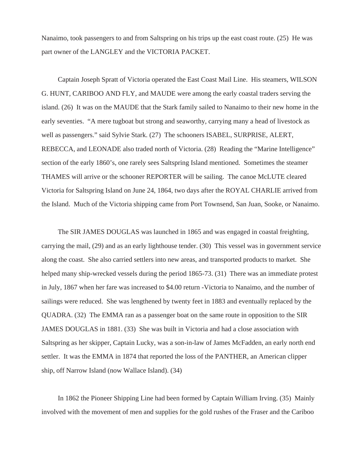Nanaimo, took passengers to and from Saltspring on his trips up the east coast route. (25) He was part owner of the LANGLEY and the VICTORIA PACKET.

Captain Joseph Spratt of Victoria operated the East Coast Mail Line. His steamers, WILSON G. HUNT, CARIBOO AND FLY, and MAUDE were among the early coastal traders serving the island. (26) It was on the MAUDE that the Stark family sailed to Nanaimo to their new home in the early seventies. "A mere tugboat but strong and seaworthy, carrying many a head of livestock as well as passengers." said Sylvie Stark. (27) The schooners ISABEL, SURPRISE, ALERT, REBECCA, and LEONADE also traded north of Victoria. (28) Reading the "Marine Intelligence" section of the early 1860's, one rarely sees Saltspring Island mentioned. Sometimes the steamer THAMES will arrive or the schooner REPORTER will be sailing. The canoe McLUTE cleared Victoria for Saltspring Island on June 24, 1864, two days after the ROYAL CHARLIE arrived from the Island. Much of the Victoria shipping came from Port Townsend, San Juan, Sooke, or Nanaimo.

The SIR JAMES DOUGLAS was launched in 1865 and was engaged in coastal freighting, carrying the mail, (29) and as an early lighthouse tender. (30) This vessel was in government service along the coast. She also carried settlers into new areas, and transported products to market. She helped many ship-wrecked vessels during the period 1865-73. (31) There was an immediate protest in July, 1867 when her fare was increased to \$4.00 return -Victoria to Nanaimo, and the number of sailings were reduced. She was lengthened by twenty feet in 1883 and eventually replaced by the QUADRA. (32) The EMMA ran as a passenger boat on the same route in opposition to the SIR JAMES DOUGLAS in 1881. (33) She was built in Victoria and had a close association with Saltspring as her skipper, Captain Lucky, was a son-in-law of James McFadden, an early north end settler. It was the EMMA in 1874 that reported the loss of the PANTHER, an American clipper ship, off Narrow Island (now Wallace Island). (34)

In 1862 the Pioneer Shipping Line had been formed by Captain William Irving. (35) Mainly involved with the movement of men and supplies for the gold rushes of the Fraser and the Cariboo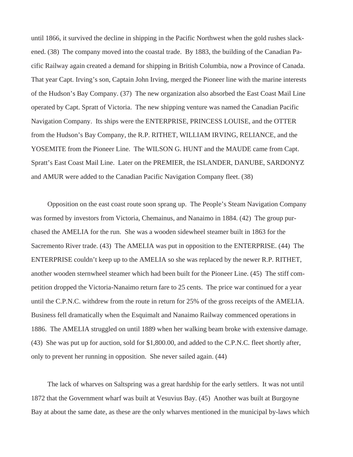until 1866, it survived the decline in shipping in the Pacific Northwest when the gold rushes slackened. (38) The company moved into the coastal trade. By 1883, the building of the Canadian Pacific Railway again created a demand for shipping in British Columbia, now a Province of Canada. That year Capt. Irving's son, Captain John Irving, merged the Pioneer line with the marine interests of the Hudson's Bay Company. (37) The new organization also absorbed the East Coast Mail Line operated by Capt. Spratt of Victoria. The new shipping venture was named the Canadian Pacific Navigation Company. Its ships were the ENTERPRISE, PRINCESS LOUISE, and the OTTER from the Hudson's Bay Company, the R.P. RITHET, WILLIAM IRVING, RELIANCE, and the YOSEMITE from the Pioneer Line. The WILSON G. HUNT and the MAUDE came from Capt. Spratt's East Coast Mail Line. Later on the PREMIER, the ISLANDER, DANUBE, SARDONYZ and AMUR were added to the Canadian Pacific Navigation Company fleet. (38)

Opposition on the east coast route soon sprang up. The People's Steam Navigation Company was formed by investors from Victoria, Chemainus, and Nanaimo in 1884. (42) The group purchased the AMELIA for the run. She was a wooden sidewheel steamer built in 1863 for the Sacremento River trade. (43) The AMELIA was put in opposition to the ENTERPRISE. (44) The ENTERPRISE couldn't keep up to the AMELIA so she was replaced by the newer R.P. RITHET, another wooden sternwheel steamer which had been built for the Pioneer Line. (45) The stiff competition dropped the Victoria-Nanaimo return fare to 25 cents. The price war continued for a year until the C.P.N.C. withdrew from the route in return for 25% of the gross receipts of the AMELIA. Business fell dramatically when the Esquimalt and Nanaimo Railway commenced operations in 1886. The AMELIA struggled on until 1889 when her walking beam broke with extensive damage. (43) She was put up for auction, sold for \$1,800.00, and added to the C.P.N.C. fleet shortly after, only to prevent her running in opposition. She never sailed again. (44)

The lack of wharves on Saltspring was a great hardship for the early settlers. It was not until 1872 that the Government wharf was built at Vesuvius Bay. (45) Another was built at Burgoyne Bay at about the same date, as these are the only wharves mentioned in the municipal by-laws which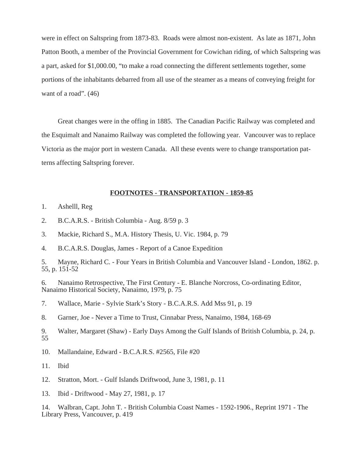were in effect on Saltspring from 1873-83. Roads were almost non-existent. As late as 1871, John Patton Booth, a member of the Provincial Government for Cowichan riding, of which Saltspring was a part, asked for \$1,000.00, "to make a road connecting the different settlements together, some portions of the inhabitants debarred from all use of the steamer as a means of conveying freight for want of a road".  $(46)$ 

Great changes were in the offing in 1885. The Canadian Pacific Railway was completed and the Esquimalt and Nanaimo Railway was completed the following year. Vancouver was to replace Victoria as the major port in western Canada. All these events were to change transportation patterns affecting Saltspring forever.

#### **FOOTNOTES - TRANSPORTATION - 1859-85**

- 1. Ashelll, Reg
- 2. B.C.A.R.S. British Columbia Aug. 8/59 p. 3
- 3. Mackie, Richard S., M.A. History Thesis, U. Vic. 1984, p. 79
- 4. B.C.A.R.S. Douglas, James Report of a Canoe Expedition

5. Mayne, Richard C. - Four Years in British Columbia and Vancouver Island - London, 1862. p. 55, p. 151-52

6. Nanaimo Retrospective, The First Century - E. Blanche Norcross, Co-ordinating Editor, Nanaimo Historical Society, Nanaimo, 1979, p. 75

7. Wallace, Marie - Sylvie Stark's Story - B.C.A.R.S. Add Mss 91, p. 19

8. Garner, Joe - Never a Time to Trust, Cinnabar Press, Nanaimo, 1984, 168-69

9. Walter, Margaret (Shaw) - Early Days Among the Gulf Islands of British Columbia, p. 24, p. 55

10. Mallandaine, Edward - B.C.A.R.S. #2565, File #20

11. Ibid

12. Stratton, Mort. - Gulf Islands Driftwood, June 3, 1981, p. 11

13. Ibid - Driftwood - May 27, 1981, p. 17

14. Walbran, Capt. John T. - British Columbia Coast Names - 1592-1906., Reprint 1971 - The Library Press, Vancouver, p. 419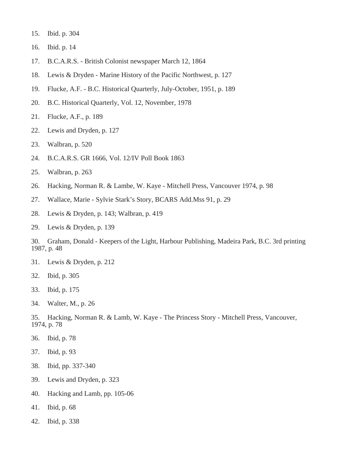- 15. Ibid. p. 304
- 16. Ibid. p. 14
- 17. B.C.A.R.S. British Colonist newspaper March 12, 1864
- 18. Lewis & Dryden Marine History of the Pacific Northwest, p. 127
- 19. Flucke, A.F. B.C. Historical Quarterly, July-October, 1951, p. 189
- 20. B.C. Historical Quarterly, Vol. 12, November, 1978
- 21. Flucke, A.F., p. 189
- 22. Lewis and Dryden, p. 127
- 23. Walbran, p. 520
- 24. B.C.A.R.S. GR 1666, Vol. 12/IV Poll Book 1863
- 25. Walbran, p. 263
- 26. Hacking, Norman R. & Lambe, W. Kaye Mitchell Press, Vancouver 1974, p. 98
- 27. Wallace, Marie Sylvie Stark's Story, BCARS Add.Mss 91, p. 29
- 28. Lewis & Dryden, p. 143; Walbran, p. 419
- 29. Lewis & Dryden, p. 139

30. Graham, Donald - Keepers of the Light, Harbour Publishing, Madeira Park, B.C. 3rd printing 1987, p. 48

- 31. Lewis & Dryden, p. 212
- 32. Ibid, p. 305
- 33. Ibid, p. 175
- 34. Walter, M., p. 26

35. Hacking, Norman R. & Lamb, W. Kaye - The Princess Story - Mitchell Press, Vancouver, 1974, p. 78

- 36. Ibid, p. 78
- 37. Ibid, p. 93
- 38. Ibid, pp. 337-340
- 39. Lewis and Dryden, p. 323
- 40. Hacking and Lamb, pp. 105-06
- 41. Ibid, p. 68
- 42. Ibid, p. 338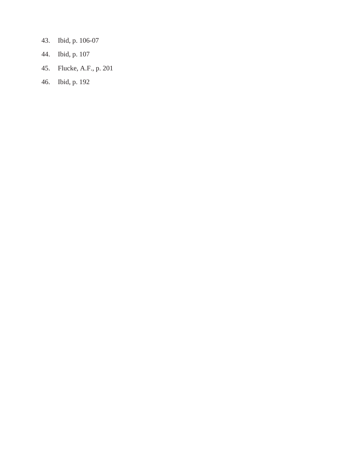- 43. Ibid, p. 106-07
- 44. Ibid, p. 107
- 45. Flucke, A.F., p. 201
- 46. Ibid, p. 192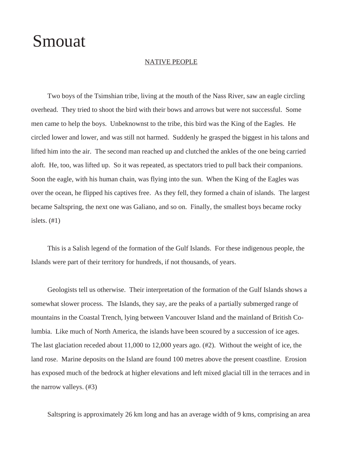## Smouat

#### NATIVE PEOPLE

Two boys of the Tsimshian tribe, living at the mouth of the Nass River, saw an eagle circling overhead. They tried to shoot the bird with their bows and arrows but were not successful. Some men came to help the boys. Unbeknownst to the tribe, this bird was the King of the Eagles. He circled lower and lower, and was still not harmed. Suddenly he grasped the biggest in his talons and lifted him into the air. The second man reached up and clutched the ankles of the one being carried aloft. He, too, was lifted up. So it was repeated, as spectators tried to pull back their companions. Soon the eagle, with his human chain, was flying into the sun. When the King of the Eagles was over the ocean, he flipped his captives free. As they fell, they formed a chain of islands. The largest became Saltspring, the next one was Galiano, and so on. Finally, the smallest boys became rocky islets. (#1)

This is a Salish legend of the formation of the Gulf Islands. For these indigenous people, the Islands were part of their territory for hundreds, if not thousands, of years.

Geologists tell us otherwise. Their interpretation of the formation of the Gulf Islands shows a somewhat slower process. The Islands, they say, are the peaks of a partially submerged range of mountains in the Coastal Trench, lying between Vancouver Island and the mainland of British Columbia. Like much of North America, the islands have been scoured by a succession of ice ages. The last glaciation receded about 11,000 to 12,000 years ago. (#2). Without the weight of ice, the land rose. Marine deposits on the Island are found 100 metres above the present coastline. Erosion has exposed much of the bedrock at higher elevations and left mixed glacial till in the terraces and in the narrow valleys. (#3)

Saltspring is approximately 26 km long and has an average width of 9 kms, comprising an area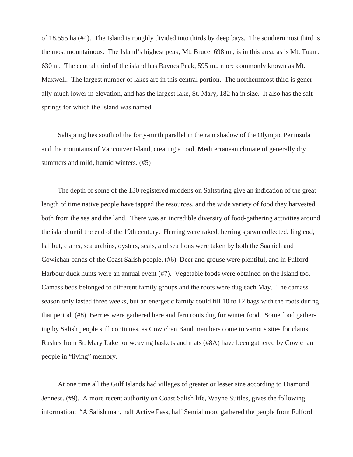of 18,555 ha (#4). The Island is roughly divided into thirds by deep bays. The southernmost third is the most mountainous. The Island's highest peak, Mt. Bruce, 698 m., is in this area, as is Mt. Tuam, 630 m. The central third of the island has Baynes Peak, 595 m., more commonly known as Mt. Maxwell. The largest number of lakes are in this central portion. The northernmost third is generally much lower in elevation, and has the largest lake, St. Mary, 182 ha in size. It also has the salt springs for which the Island was named.

Saltspring lies south of the forty-ninth parallel in the rain shadow of the Olympic Peninsula and the mountains of Vancouver Island, creating a cool, Mediterranean climate of generally dry summers and mild, humid winters. (#5)

The depth of some of the 130 registered middens on Saltspring give an indication of the great length of time native people have tapped the resources, and the wide variety of food they harvested both from the sea and the land. There was an incredible diversity of food-gathering activities around the island until the end of the 19th century. Herring were raked, herring spawn collected, ling cod, halibut, clams, sea urchins, oysters, seals, and sea lions were taken by both the Saanich and Cowichan bands of the Coast Salish people. (#6) Deer and grouse were plentiful, and in Fulford Harbour duck hunts were an annual event (#7). Vegetable foods were obtained on the Island too. Camass beds belonged to different family groups and the roots were dug each May. The camass season only lasted three weeks, but an energetic family could fill 10 to 12 bags with the roots during that period. (#8) Berries were gathered here and fern roots dug for winter food. Some food gathering by Salish people still continues, as Cowichan Band members come to various sites for clams. Rushes from St. Mary Lake for weaving baskets and mats (#8A) have been gathered by Cowichan people in "living" memory.

At one time all the Gulf Islands had villages of greater or lesser size according to Diamond Jenness. (#9). A more recent authority on Coast Salish life, Wayne Suttles, gives the following information: "A Salish man, half Active Pass, half Semiahmoo, gathered the people from Fulford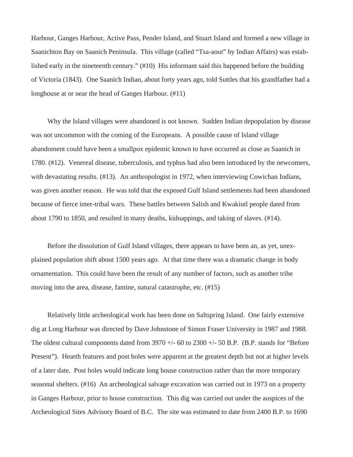Harbour, Ganges Harbour, Active Pass, Pender Island, and Stuart Island and formed a new village in Saanichton Bay on Saanich Peninsula. This village (called "Tsa-aout" by Indian Affairs) was established early in the nineteenth century." (#10) His informant said this happened before the building of Victoria (1843). One Saanich Indian, about forty years ago, told Suttles that his grandfather had a longhouse at or near the head of Ganges Harbour. (#11)

Why the Island villages were abandoned is not known. Sudden Indian depopulation by disease was not uncommon with the coming of the Europeans. A possible cause of Island village abandoment could have been a smallpox epidemic known to have occurred as close as Saanich in 1780. (#12). Venereal disease, tuberculosis, and typhus had also been introduced by the newcomers, with devastating results. (#13). An anthropologist in 1972, when interviewing Cowichan Indians, was given another reason. He was told that the exposed Gulf Island settlements had been abandoned because of fierce inter-tribal wars. These battles between Salish and Kwakiutl people dated from about 1790 to 1850, and resulted in many deaths, kidnappings, and taking of slaves. (#14).

Before the dissolution of Gulf Island villages, there appears to have been an, as yet, unexplained population shift about 1500 years ago. At that time there was a dramatic change in body ornamentation. This could have been the result of any number of factors, such as another tribe moving into the area, disease, famine, natural catastrophe, etc. (#15)

Relatively little archeological work has been done on Saltspring Island. One fairly extensive dig at Long Harbour was directed by Dave Johnstone of Simon Fraser University in 1987 and 1988. The oldest cultural components dated from  $3970 +/- 60$  to  $2300 +/- 50$  B.P. (B.P. stands for "Before" Present"). Hearth features and post holes were apparent at the greatest depth but not at higher levels of a later date. Post holes would indicate long house construction rather than the more temporary seasonal shelters. (#16) An archeological salvage excavation was carried out in 1973 on a property in Ganges Harbour, prior to house construction. This dig was carried out under the auspices of the Archeological Sites Advisory Board of B.C. The site was estimated to date from 2400 B.P. to 1690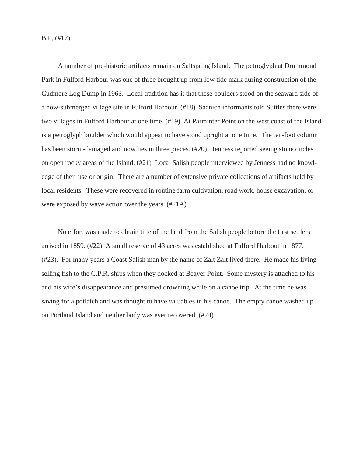B.P. (#17)

A number of pre-historic artifacts remain on Saltspring Island. The petroglyph at Drummond Park in Fulford Harbour was one of three brought up from low tide mark during construction of the Cudmore Log Dump in 1963. Local tradition has it that these boulders stood on the seaward side of a now-submerged village site in Fulford Harbour. (#18) Saanich informants told Suttles there were two villages in Fulford Harbour at one time. (#19) At Parminter Point on the west coast of the Island is a petroglyph boulder which would appear to have stood upright at one time. The ten-foot column has been storm-damaged and now lies in three pieces. (#20). Jenness reported seeing stone circles on open rocky areas of the Island. (#21) Local Salish people interviewed by Jenness had no knowledge of their use or origin. There are a number of extensive private collections of artifacts held by local residents. These were recovered in routine farm cultivation, road work, house excavation, or were exposed by wave action over the years. (#21A)

No effort was made to obtain title of the land from the Salish people before the first settlers arrived in 1859. (#22) A small reserve of 43 acres was established at Fulford Harbout in 1877. (#23). For many years a Coast Salish man by the name of Zalt Zalt lived there. He made his living selling fish to the C.P.R. ships when they docked at Beaver Point. Some mystery is attached to his and his wife's disappearance and presumed drowning while on a canoe trip. At the time he was saving for a potlatch and was thought to have valuables in his canoe. The empty canoe washed up on Portland Island and neither body was ever recovered. (#24)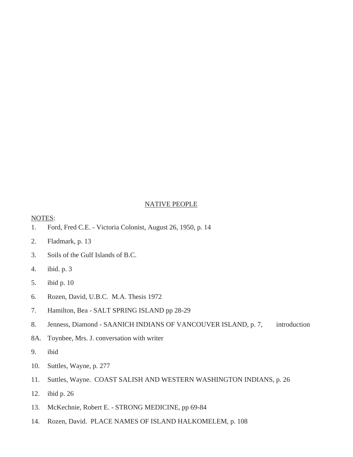#### NATIVE PEOPLE

#### NOTES:

- 1. Ford, Fred C.E. Victoria Colonist, August 26, 1950, p. 14
- 2. Fladmark, p. 13
- 3. Soils of the Gulf Islands of B.C.
- 4. ibid. p. 3
- 5. ibid p. 10
- 6. Rozen, David, U.B.C. M.A. Thesis 1972
- 7. Hamilton, Bea SALT SPRING ISLAND pp 28-29
- 8. Jenness, Diamond SAANICH INDIANS OF VANCOUVER ISLAND, p. 7, introduction
- 8A. Toynbee, Mrs. J. conversation with writer
- 9. ibid
- 10. Suttles, Wayne, p. 277
- 11. Suttles, Wayne. COAST SALISH AND WESTERN WASHINGTON INDIANS, p. 26
- 12. ibid p. 26
- 13. McKechnie, Robert E. STRONG MEDICINE, pp 69-84
- 14. Rozen, David. PLACE NAMES OF ISLAND HALKOMELEM, p. 108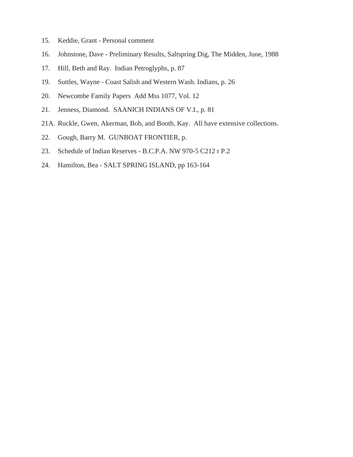- 15. Keddie, Grant Personal comment
- 16. Johnstone, Dave Preliminary Results, Saltspring Dig, The Midden, June, 1988
- 17. Hill, Beth and Ray. Indian Petroglyphs, p. 87
- 19. Suttles, Wayne Coast Salish and Western Wash. Indians, p. 26
- 20. Newcombe Family Papers Add Mss 1077, Vol. 12
- 21. Jenness, Diamond. SAANICH INDIANS OF V.I., p. 81
- 21A. Ruckle, Gwen, Akerman, Bob, and Booth, Kay. All have extensive collections.
- 22. Gough, Barry M. GUNBOAT FRONTIER, p.
- 23. Schedule of Indian Reserves B.C.P.A. NW 970-5 C212 r P.2
- 24. Hamilton, Bea SALT SPRING ISLAND, pp 163-164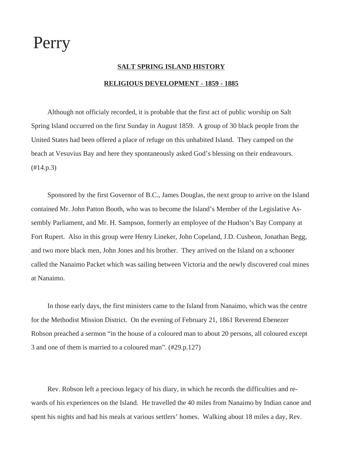# Perry

### **SALT SPRING ISLAND HISTORY RELIGIOUS DEVELOPMENT - 1859 - 1885**

Although not officialy recorded, it is probable that the first act of public worship on Salt Spring Island occurred on the first Sunday in August 1859. A group of 30 black people from the United States had been offered a place of refuge on this unhabited Island. They camped on the beach at Vesuvius Bay and here they spontaneously asked God's blessing on their endeavours. (#14.p.3)

Sponsored by the first Governor of B.C., James Douglas, the next group to arrive on the Island contained Mr. John Patton Booth, who was to become the Island's Member of the Legislative Assembly Parliament, and Mr. H. Sampson, formerly an employee of the Hudson's Bay Company at Fort Rupert. Also in this group were Henry Lineker, John Copeland, J.D. Cusheon, Jonathan Begg, and two more black men, John Jones and his brother. They arrived on the Island on a schooner called the Nanaimo Packet which was sailing between Victoria and the newly discovered coal mines at Nanaimo.

In those early days, the first ministers came to the Island from Nanaimo, which was the centre for the Methodist Mission District. On the evening of February 21, 1861 Reverend Ebenezer Robson preached a sermon "in the house of a coloured man to about 20 persons, all coloured except 3 and one of them is married to a coloured man". (#29.p.127)

Rev. Robson left a precious legacy of his diary, in which he records the difficulties and rewards of his experiences on the Island. He travelled the 40 miles from Nanaimo by Indian canoe and spent his nights and had his meals at various settlers' homes. Walking about 18 miles a day, Rev.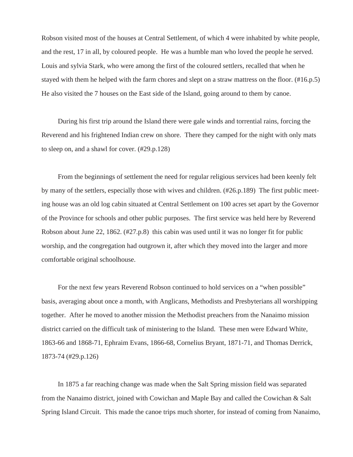Robson visited most of the houses at Central Settlement, of which 4 were inhabited by white people, and the rest, 17 in all, by coloured people. He was a humble man who loved the people he served. Louis and sylvia Stark, who were among the first of the coloured settlers, recalled that when he stayed with them he helped with the farm chores and slept on a straw mattress on the floor. (#16.p.5) He also visited the 7 houses on the East side of the Island, going around to them by canoe.

During his first trip around the Island there were gale winds and torrential rains, forcing the Reverend and his frightened Indian crew on shore. There they camped for the night with only mats to sleep on, and a shawl for cover. (#29.p.128)

From the beginnings of settlement the need for regular religious services had been keenly felt by many of the settlers, especially those with wives and children. (#26.p.189) The first public meeting house was an old log cabin situated at Central Settlement on 100 acres set apart by the Governor of the Province for schools and other public purposes. The first service was held here by Reverend Robson about June 22, 1862. (#27.p.8) this cabin was used until it was no longer fit for public worship, and the congregation had outgrown it, after which they moved into the larger and more comfortable original schoolhouse.

For the next few years Reverend Robson continued to hold services on a "when possible" basis, averaging about once a month, with Anglicans, Methodists and Presbyterians all worshipping together. After he moved to another mission the Methodist preachers from the Nanaimo mission district carried on the difficult task of ministering to the Island. These men were Edward White, 1863-66 and 1868-71, Ephraim Evans, 1866-68, Cornelius Bryant, 1871-71, and Thomas Derrick, 1873-74 (#29.p.126)

In 1875 a far reaching change was made when the Salt Spring mission field was separated from the Nanaimo district, joined with Cowichan and Maple Bay and called the Cowichan & Salt Spring Island Circuit. This made the canoe trips much shorter, for instead of coming from Nanaimo,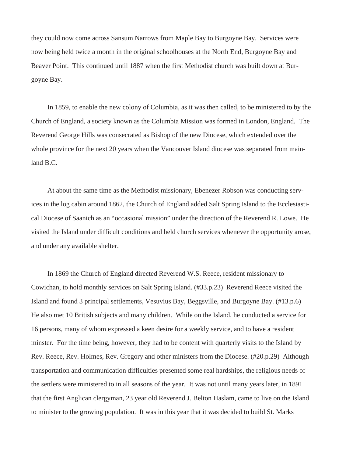they could now come across Sansum Narrows from Maple Bay to Burgoyne Bay. Services were now being held twice a month in the original schoolhouses at the North End, Burgoyne Bay and Beaver Point. This continued until 1887 when the first Methodist church was built down at Burgoyne Bay.

In 1859, to enable the new colony of Columbia, as it was then called, to be ministered to by the Church of England, a society known as the Columbia Mission was formed in London, England. The Reverend George Hills was consecrated as Bishop of the new Diocese, which extended over the whole province for the next 20 years when the Vancouver Island diocese was separated from mainland B.C.

At about the same time as the Methodist missionary, Ebenezer Robson was conducting services in the log cabin around 1862, the Church of England added Salt Spring Island to the Ecclesiastical Diocese of Saanich as an "occasional mission" under the direction of the Reverend R. Lowe. He visited the Island under difficult conditions and held church services whenever the opportunity arose, and under any available shelter.

In 1869 the Church of England directed Reverend W.S. Reece, resident missionary to Cowichan, to hold monthly services on Salt Spring Island. (#33.p.23) Reverend Reece visited the Island and found 3 principal settlements, Vesuvius Bay, Beggsville, and Burgoyne Bay. (#13.p.6) He also met 10 British subjects and many children. While on the Island, he conducted a service for 16 persons, many of whom expressed a keen desire for a weekly service, and to have a resident minster. For the time being, however, they had to be content with quarterly visits to the Island by Rev. Reece, Rev. Holmes, Rev. Gregory and other ministers from the Diocese. (#20.p.29) Although transportation and communication difficulties presented some real hardships, the religious needs of the settlers were ministered to in all seasons of the year. It was not until many years later, in 1891 that the first Anglican clergyman, 23 year old Reverend J. Belton Haslam, came to live on the Island to minister to the growing population. It was in this year that it was decided to build St. Marks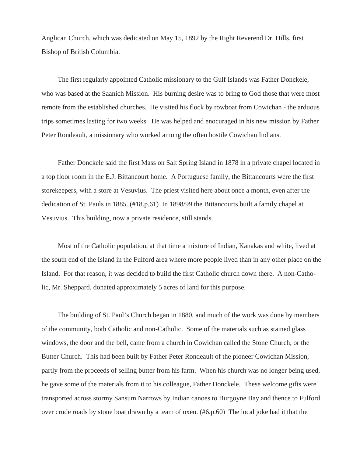Anglican Church, which was dedicated on May 15, 1892 by the Right Reverend Dr. Hills, first Bishop of British Columbia.

The first regularly appointed Catholic missionary to the Gulf Islands was Father Donckele, who was based at the Saanich Mission. His burning desire was to bring to God those that were most remote from the established churches. He visited his flock by rowboat from Cowichan - the arduous trips sometimes lasting for two weeks. He was helped and enocuraged in his new mission by Father Peter Rondeault, a missionary who worked among the often hostile Cowichan Indians.

Father Donckele said the first Mass on Salt Spring Island in 1878 in a private chapel located in a top floor room in the E.J. Bittancourt home. A Portuguese family, the Bittancourts were the first storekeepers, with a store at Vesuvius. The priest visited here about once a month, even after the dedication of St. Pauls in 1885. (#18.p.61) In 1898/99 the Bittancourts built a family chapel at Vesuvius. This building, now a private residence, still stands.

Most of the Catholic population, at that time a mixture of Indian, Kanakas and white, lived at the south end of the Island in the Fulford area where more people lived than in any other place on the Island. For that reason, it was decided to build the first Catholic church down there. A non-Catholic, Mr. Sheppard, donated approximately 5 acres of land for this purpose.

The building of St. Paul's Church began in 1880, and much of the work was done by members of the community, both Catholic and non-Catholic. Some of the materials such as stained glass windows, the door and the bell, came from a church in Cowichan called the Stone Church, or the Butter Church. This had been built by Father Peter Rondeault of the pioneer Cowichan Mission, partly from the proceeds of selling butter from his farm. When his church was no longer being used, he gave some of the materials from it to his colleague, Father Donckele. These welcome gifts were transported across stormy Sansum Narrows by Indian canoes to Burgoyne Bay and thence to Fulford over crude roads by stone boat drawn by a team of oxen. (#6.p.60) The local joke had it that the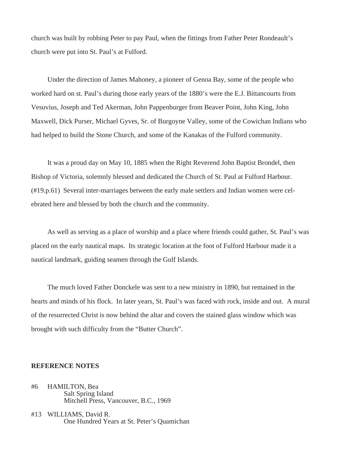church was built by robbing Peter to pay Paul, when the fittings from Father Peter Rondeault's church were put into St. Paul's at Fulford.

Under the direction of James Mahoney, a pioneer of Genoa Bay, some of the people who worked hard on st. Paul's during those early years of the 1880's were the E.J. Bittancourts from Vesuvius, Joseph and Ted Akerman, John Pappenburger from Beaver Point, John King, John Maxwell, Dick Purser, Michael Gyves, Sr. of Burgoyne Valley, some of the Cowichan Indians who had helped to build the Stone Church, and some of the Kanakas of the Fulford community.

It was a proud day on May 10, 1885 when the Right Reverend John Baptist Brondel, then Bishop of Victoria, solemnly blessed and dedicated the Church of St. Paul at Fulford Harbour. (#19.p.61) Several inter-marriages between the early male settlers and Indian women were celebrated here and blessed by both the church and the community.

As well as serving as a place of worship and a place where friends could gather, St. Paul's was placed on the early nautical maps. Its strategic location at the foot of Fulford Harbour made it a nautical landmark, guiding seamen through the Gulf Islands.

The much loved Father Donckele was sent to a new ministry in 1890, but remained in the hearts and minds of his flock. In later years, St. Paul's was faced with rock, inside and out. A mural of the resurrected Christ is now behind the altar and covers the stained glass window which was brought with such difficulty from the "Butter Church".

#### **REFERENCE NOTES**

- #6 HAMILTON, Bea Salt Spring Island Mitchell Press, Vancouver, B.C., 1969
- #13 WILLIAMS, David R. One Hundred Years at St. Peter's Quamichan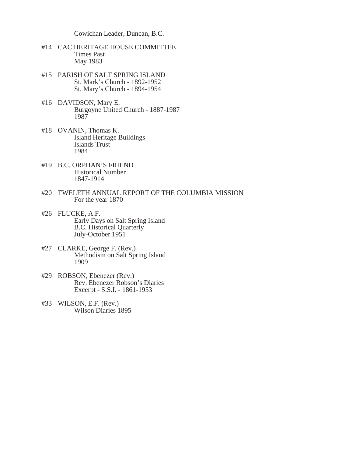Cowichan Leader, Duncan, B.C.

- #14 CAC HERITAGE HOUSE COMMITTEE Times Past May 1983
- #15 PARISH OF SALT SPRING ISLAND St. Mark's Church - 1892-1952 St. Mary's Church - 1894-1954
- #16 DAVIDSON, Mary E. Burgoyne United Church - 1887-1987 1987
- #18 OVANIN, Thomas K. Island Heritage Buildings Islands Trust 1984
- #19 B.C. ORPHAN'S FRIEND Historical Number 1847-1914
- #20 TWELFTH ANNUAL REPORT OF THE COLUMBIA MISSION For the year 1870
- #26 FLUCKE, A.F. Early Days on Salt Spring Island B.C. Historical Quarterly July-October 1951
- #27 CLARKE, George F. (Rev.) Methodism on Salt Spring Island 1909
- #29 ROBSON, Ebenezer (Rev.) Rev. Ebenezer Robson's Diaries Excerpt - S.S.I. - 1861-1953
- #33 WILSON, E.F. (Rev.) Wilson Diaries 1895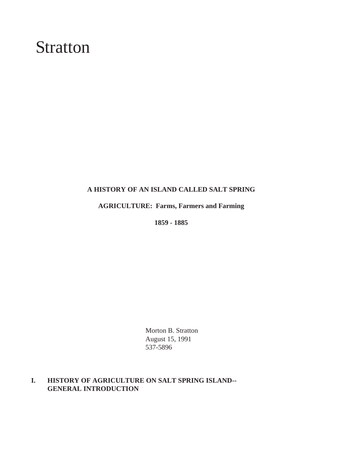# Stratton

#### **A HISTORY OF AN ISLAND CALLED SALT SPRING**

**AGRICULTURE: Farms, Farmers and Farming**

**1859 - 1885**

Morton B. Stratton August 15, 1991 537-5896

### **I. HISTORY OF AGRICULTURE ON SALT SPRING ISLAND-- GENERAL INTRODUCTION**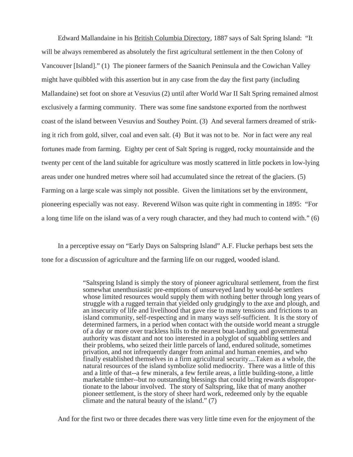Edward Mallandaine in his British Columbia Directory, 1887 says of Salt Spring Island: "It will be always remembered as absolutely the first agricultural settlement in the then Colony of Vancouver [Island]." (1) The pioneer farmers of the Saanich Peninsula and the Cowichan Valley might have quibbled with this assertion but in any case from the day the first party (including Mallandaine) set foot on shore at Vesuvius (2) until after World War II Salt Spring remained almost exclusively a farming community. There was some fine sandstone exported from the northwest coast of the island between Vesuvius and Southey Point. (3) And several farmers dreamed of striking it rich from gold, silver, coal and even salt. (4) But it was not to be. Nor in fact were any real fortunes made from farming. Eighty per cent of Salt Spring is rugged, rocky mountainside and the twenty per cent of the land suitable for agriculture was mostly scattered in little pockets in low-lying areas under one hundred metres where soil had accumulated since the retreat of the glaciers. (5) Farming on a large scale was simply not possible. Given the limitations set by the environment, pioneering especially was not easy. Reverend Wilson was quite right in commenting in 1895: "For a long time life on the island was of a very rough character, and they had much to contend with." (6)

In a perceptive essay on "Early Days on Saltspring Island" A.F. Flucke perhaps best sets the tone for a discussion of agriculture and the farming life on our rugged, wooded island.

> "Saltspring Island is simply the story of pioneer agricultural settlement, from the first somewhat unenthusiastic pre-emptions of unsurveyed land by would-be settlers whose limited resources would supply them with nothing better through long years of struggle with a rugged terrain that yielded only grudgingly to the axe and plough, and an insecurity of life and livelihood that gave rise to many tensions and frictions to an island community, self-respecting and in many ways self-sufficient. It is the story of determined farmers, in a period when contact with the outside world meant a struggle of a day or more over trackless hills to the nearest boat-landing and governmental authority was distant and not too interested in a polyglot of squabbling settlers and their problems, who seized their little parcels of land, endured solitude, sometimes privation, and not infrequently danger from animal and human enemies, and who finally established themselves in a firm agricultural security....Taken as a whole, the natural resources of the island symbolize solid mediocrity. There was a little of this and a little of that--a few minerals, a few fertile areas, a little building-stone, a little marketable timber--but no outstanding blessings that could bring rewards disproportionate to the labour involved. The story of Saltspring, like that of many another pioneer settlement, is the story of sheer hard work, redeemed only by the equable climate and the natural beauty of the island." (7)

And for the first two or three decades there was very little time even for the enjoyment of the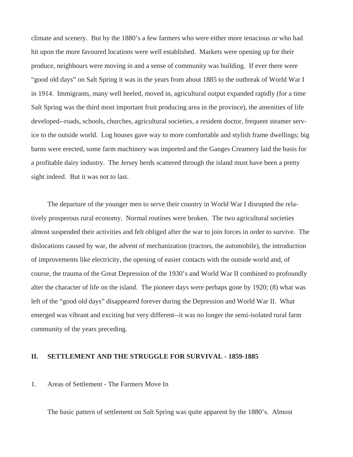climate and scenery. But by the 1880's a few farmers who were either more tenacious or who had hit upon the more favoured locations were well established. Markets were opening up for their produce, neighbours were moving in and a sense of community was building. If ever there were "good old days" on Salt Spring it was in the years from about 1885 to the outbreak of World War I in 1914. Immigrants, many well heeled, moved in, agricultural output expanded rapidly (for a time Salt Spring was the third most important fruit producing area in the province), the amenities of life developed--roads, schools, churches, agricultural societies, a resident doctor, frequent steamer service to the outside world. Log houses gave way to more comfortable and stylish frame dwellings; big barns were erected, some farm machinery was imported and the Ganges Creamery laid the basis for a profitable dairy industry. The Jersey herds scattered through the island must have been a pretty sight indeed. But it was not to last.

The departure of the younger men to serve their country in World War I disrupted the relatively prosperous rural economy. Normal routines were broken. The two agricultural societies almost suspended their activities and felt obliged after the war to join forces in order to survive. The dislocations caused by war, the advent of mechanization (tractors, the automobile), the introduction of improvements like electricity, the opening of easier contacts with the outside world and, of course, the trauma of the Great Depression of the 1930's and World War II combined to profoundly alter the character of life on the island. The pioneer days were perhaps gone by 1920; (8) what was left of the "good old days" disappeared forever during the Depression and World War II. What emerged was vibrant and exciting but very different--it was no longer the semi-isolated rural farm community of the years preceding.

#### **II. SETTLEMENT AND THE STRUGGLE FOR SURVIVAL - 1859-1885**

#### 1. Areas of Settlement - The Farmers Move In

The basic pattern of settlement on Salt Spring was quite apparent by the 1880's. Almost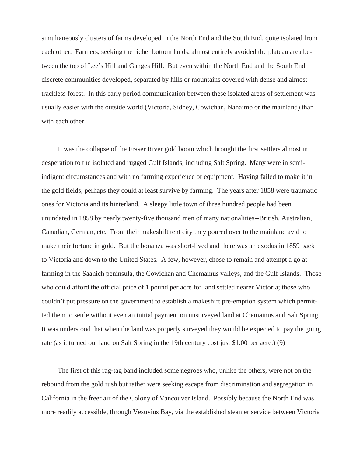simultaneously clusters of farms developed in the North End and the South End, quite isolated from each other. Farmers, seeking the richer bottom lands, almost entirely avoided the plateau area between the top of Lee's Hill and Ganges Hill. But even within the North End and the South End discrete communities developed, separated by hills or mountains covered with dense and almost trackless forest. In this early period communication between these isolated areas of settlement was usually easier with the outside world (Victoria, Sidney, Cowichan, Nanaimo or the mainland) than with each other.

It was the collapse of the Fraser River gold boom which brought the first settlers almost in desperation to the isolated and rugged Gulf Islands, including Salt Spring. Many were in semiindigent circumstances and with no farming experience or equipment. Having failed to make it in the gold fields, perhaps they could at least survive by farming. The years after 1858 were traumatic ones for Victoria and its hinterland. A sleepy little town of three hundred people had been unundated in 1858 by nearly twenty-five thousand men of many nationalities--British, Australian, Canadian, German, etc. From their makeshift tent city they poured over to the mainland avid to make their fortune in gold. But the bonanza was short-lived and there was an exodus in 1859 back to Victoria and down to the United States. A few, however, chose to remain and attempt a go at farming in the Saanich peninsula, the Cowichan and Chemainus valleys, and the Gulf Islands. Those who could afford the official price of 1 pound per acre for land settled nearer Victoria; those who couldn't put pressure on the government to establish a makeshift pre-emption system which permitted them to settle without even an initial payment on unsurveyed land at Chemainus and Salt Spring. It was understood that when the land was properly surveyed they would be expected to pay the going rate (as it turned out land on Salt Spring in the 19th century cost just \$1.00 per acre.) (9)

The first of this rag-tag band included some negroes who, unlike the others, were not on the rebound from the gold rush but rather were seeking escape from discrimination and segregation in California in the freer air of the Colony of Vancouver Island. Possibly because the North End was more readily accessible, through Vesuvius Bay, via the established steamer service between Victoria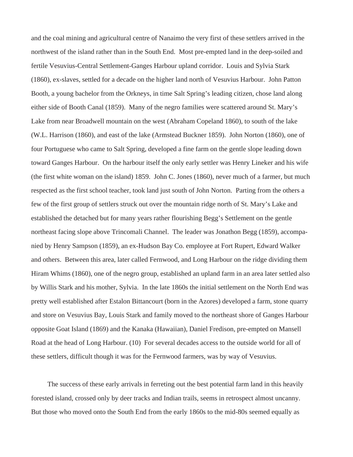and the coal mining and agricultural centre of Nanaimo the very first of these settlers arrived in the northwest of the island rather than in the South End. Most pre-empted land in the deep-soiled and fertile Vesuvius-Central Settlement-Ganges Harbour upland corridor. Louis and Sylvia Stark (1860), ex-slaves, settled for a decade on the higher land north of Vesuvius Harbour. John Patton Booth, a young bachelor from the Orkneys, in time Salt Spring's leading citizen, chose land along either side of Booth Canal (1859). Many of the negro families were scattered around St. Mary's Lake from near Broadwell mountain on the west (Abraham Copeland 1860), to south of the lake (W.L. Harrison (1860), and east of the lake (Armstead Buckner 1859). John Norton (1860), one of four Portuguese who came to Salt Spring, developed a fine farm on the gentle slope leading down toward Ganges Harbour. On the harbour itself the only early settler was Henry Lineker and his wife (the first white woman on the island) 1859. John C. Jones (1860), never much of a farmer, but much respected as the first school teacher, took land just south of John Norton. Parting from the others a few of the first group of settlers struck out over the mountain ridge north of St. Mary's Lake and established the detached but for many years rather flourishing Begg's Settlement on the gentle northeast facing slope above Trincomali Channel. The leader was Jonathon Begg (1859), accompanied by Henry Sampson (1859), an ex-Hudson Bay Co. employee at Fort Rupert, Edward Walker and others. Between this area, later called Fernwood, and Long Harbour on the ridge dividing them Hiram Whims (1860), one of the negro group, established an upland farm in an area later settled also by Willis Stark and his mother, Sylvia. In the late 1860s the initial settlement on the North End was pretty well established after Estalon Bittancourt (born in the Azores) developed a farm, stone quarry and store on Vesuvius Bay, Louis Stark and family moved to the northeast shore of Ganges Harbour opposite Goat Island (1869) and the Kanaka (Hawaiian), Daniel Fredison, pre-empted on Mansell Road at the head of Long Harbour. (10) For several decades access to the outside world for all of these settlers, difficult though it was for the Fernwood farmers, was by way of Vesuvius.

The success of these early arrivals in ferreting out the best potential farm land in this heavily forested island, crossed only by deer tracks and Indian trails, seems in retrospect almost uncanny. But those who moved onto the South End from the early 1860s to the mid-80s seemed equally as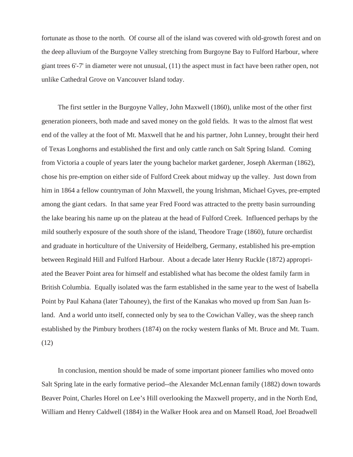fortunate as those to the north. Of course all of the island was covered with old-growth forest and on the deep alluvium of the Burgoyne Valley stretching from Burgoyne Bay to Fulford Harbour, where giant trees 6'-7' in diameter were not unusual, (11) the aspect must in fact have been rather open, not unlike Cathedral Grove on Vancouver Island today.

The first settler in the Burgoyne Valley, John Maxwell (1860), unlike most of the other first generation pioneers, both made and saved money on the gold fields. It was to the almost flat west end of the valley at the foot of Mt. Maxwell that he and his partner, John Lunney, brought their herd of Texas Longhorns and established the first and only cattle ranch on Salt Spring Island. Coming from Victoria a couple of years later the young bachelor market gardener, Joseph Akerman (1862), chose his pre-emption on either side of Fulford Creek about midway up the valley. Just down from him in 1864 a fellow countryman of John Maxwell, the young Irishman, Michael Gyves, pre-empted among the giant cedars. In that same year Fred Foord was attracted to the pretty basin surrounding the lake bearing his name up on the plateau at the head of Fulford Creek. Influenced perhaps by the mild southerly exposure of the south shore of the island, Theodore Trage (1860), future orchardist and graduate in horticulture of the University of Heidelberg, Germany, established his pre-emption between Reginald Hill and Fulford Harbour. About a decade later Henry Ruckle (1872) appropriated the Beaver Point area for himself and established what has become the oldest family farm in British Columbia. Equally isolated was the farm established in the same year to the west of Isabella Point by Paul Kahana (later Tahouney), the first of the Kanakas who moved up from San Juan Island. And a world unto itself, connected only by sea to the Cowichan Valley, was the sheep ranch established by the Pimbury brothers (1874) on the rocky western flanks of Mt. Bruce and Mt. Tuam. (12)

In conclusion, mention should be made of some important pioneer families who moved onto Salt Spring late in the early formative period--the Alexander McLennan family (1882) down towards Beaver Point, Charles Horel on Lee's Hill overlooking the Maxwell property, and in the North End, William and Henry Caldwell (1884) in the Walker Hook area and on Mansell Road, Joel Broadwell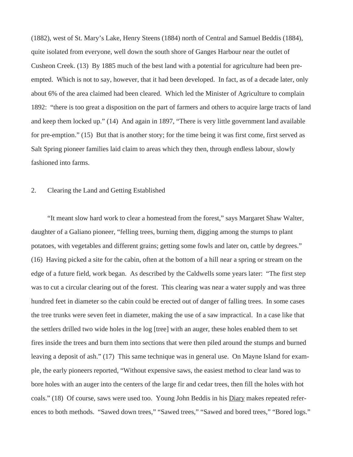(1882), west of St. Mary's Lake, Henry Steens (1884) north of Central and Samuel Beddis (1884), quite isolated from everyone, well down the south shore of Ganges Harbour near the outlet of Cusheon Creek. (13) By 1885 much of the best land with a potential for agriculture had been preempted. Which is not to say, however, that it had been developed. In fact, as of a decade later, only about 6% of the area claimed had been cleared. Which led the Minister of Agriculture to complain 1892: "there is too great a disposition on the part of farmers and others to acquire large tracts of land and keep them locked up." (14) And again in 1897, "There is very little government land available for pre-emption." (15) But that is another story; for the time being it was first come, first served as Salt Spring pioneer families laid claim to areas which they then, through endless labour, slowly fashioned into farms.

## 2. Clearing the Land and Getting Established

"It meant slow hard work to clear a homestead from the forest," says Margaret Shaw Walter, daughter of a Galiano pioneer, "felling trees, burning them, digging among the stumps to plant potatoes, with vegetables and different grains; getting some fowls and later on, cattle by degrees." (16) Having picked a site for the cabin, often at the bottom of a hill near a spring or stream on the edge of a future field, work began. As described by the Caldwells some years later: "The first step was to cut a circular clearing out of the forest. This clearing was near a water supply and was three hundred feet in diameter so the cabin could be erected out of danger of falling trees. In some cases the tree trunks were seven feet in diameter, making the use of a saw impractical. In a case like that the settlers drilled two wide holes in the log [tree] with an auger, these holes enabled them to set fires inside the trees and burn them into sections that were then piled around the stumps and burned leaving a deposit of ash." (17) This same technique was in general use. On Mayne Island for example, the early pioneers reported, "Without expensive saws, the easiest method to clear land was to bore holes with an auger into the centers of the large fir and cedar trees, then fill the holes with hot coals." (18) Of course, saws were used too. Young John Beddis in his Diary makes repeated references to both methods. "Sawed down trees," "Sawed trees," "Sawed and bored trees," "Bored logs."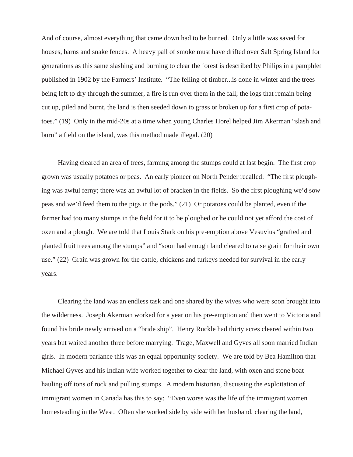And of course, almost everything that came down had to be burned. Only a little was saved for houses, barns and snake fences. A heavy pall of smoke must have drifted over Salt Spring Island for generations as this same slashing and burning to clear the forest is described by Philips in a pamphlet published in 1902 by the Farmers' Institute. "The felling of timber...is done in winter and the trees being left to dry through the summer, a fire is run over them in the fall; the logs that remain being cut up, piled and burnt, the land is then seeded down to grass or broken up for a first crop of potatoes." (19) Only in the mid-20s at a time when young Charles Horel helped Jim Akerman "slash and burn" a field on the island, was this method made illegal. (20)

Having cleared an area of trees, farming among the stumps could at last begin. The first crop grown was usually potatoes or peas. An early pioneer on North Pender recalled: "The first ploughing was awful ferny; there was an awful lot of bracken in the fields. So the first ploughing we'd sow peas and we'd feed them to the pigs in the pods." (21) Or potatoes could be planted, even if the farmer had too many stumps in the field for it to be ploughed or he could not yet afford the cost of oxen and a plough. We are told that Louis Stark on his pre-emption above Vesuvius "grafted and planted fruit trees among the stumps" and "soon had enough land cleared to raise grain for their own use." (22) Grain was grown for the cattle, chickens and turkeys needed for survival in the early years.

Clearing the land was an endless task and one shared by the wives who were soon brought into the wilderness. Joseph Akerman worked for a year on his pre-emption and then went to Victoria and found his bride newly arrived on a "bride ship". Henry Ruckle had thirty acres cleared within two years but waited another three before marrying. Trage, Maxwell and Gyves all soon married Indian girls. In modern parlance this was an equal opportunity society. We are told by Bea Hamilton that Michael Gyves and his Indian wife worked together to clear the land, with oxen and stone boat hauling off tons of rock and pulling stumps. A modern historian, discussing the exploitation of immigrant women in Canada has this to say: "Even worse was the life of the immigrant women homesteading in the West. Often she worked side by side with her husband, clearing the land,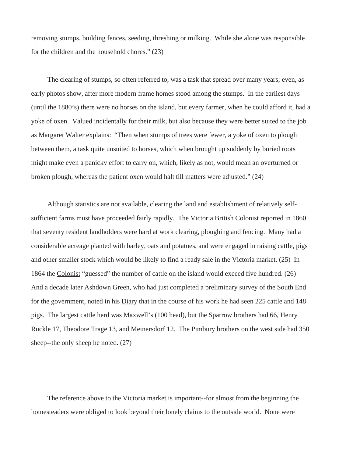removing stumps, building fences, seeding, threshing or milking. While she alone was responsible for the children and the household chores." (23)

The clearing of stumps, so often referred to, was a task that spread over many years; even, as early photos show, after more modern frame homes stood among the stumps. In the earliest days (until the 1880's) there were no horses on the island, but every farmer, when he could afford it, had a yoke of oxen. Valued incidentally for their milk, but also because they were better suited to the job as Margaret Walter explains: "Then when stumps of trees were fewer, a yoke of oxen to plough between them, a task quite unsuited to horses, which when brought up suddenly by buried roots might make even a panicky effort to carry on, which, likely as not, would mean an overturned or broken plough, whereas the patient oxen would halt till matters were adjusted." (24)

Although statistics are not available, clearing the land and establishment of relatively selfsufficient farms must have proceeded fairly rapidly. The Victoria British Colonist reported in 1860 that seventy resident landholders were hard at work clearing, ploughing and fencing. Many had a considerable acreage planted with barley, oats and potatoes, and were engaged in raising cattle, pigs and other smaller stock which would be likely to find a ready sale in the Victoria market. (25) In 1864 the Colonist "guessed" the number of cattle on the island would exceed five hundred. (26) And a decade later Ashdown Green, who had just completed a preliminary survey of the South End for the government, noted in his Diary that in the course of his work he had seen 225 cattle and 148 pigs. The largest cattle herd was Maxwell's (100 head), but the Sparrow brothers had 66, Henry Ruckle 17, Theodore Trage 13, and Meinersdorf 12. The Pimbury brothers on the west side had 350 sheep--the only sheep he noted. (27)

The reference above to the Victoria market is important--for almost from the beginning the homesteaders were obliged to look beyond their lonely claims to the outside world. None were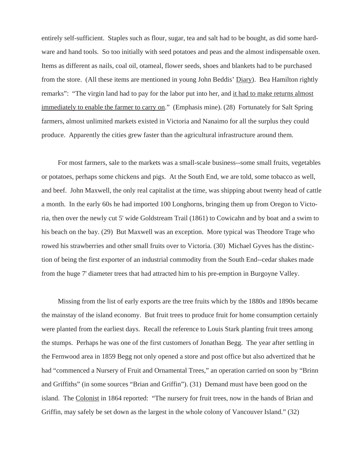entirely self-sufficient. Staples such as flour, sugar, tea and salt had to be bought, as did some hardware and hand tools. So too initially with seed potatoes and peas and the almost indispensable oxen. Items as different as nails, coal oil, otameal, flower seeds, shoes and blankets had to be purchased from the store. (All these items are mentioned in young John Beddis' Diary). Bea Hamilton rightly remarks": "The virgin land had to pay for the labor put into her, and it had to make returns almost immediately to enable the farmer to carry on." (Emphasis mine). (28) Fortunately for Salt Spring farmers, almost unlimited markets existed in Victoria and Nanaimo for all the surplus they could produce. Apparently the cities grew faster than the agricultural infrastructure around them.

For most farmers, sale to the markets was a small-scale business--some small fruits, vegetables or potatoes, perhaps some chickens and pigs. At the South End, we are told, some tobacco as well, and beef. John Maxwell, the only real capitalist at the time, was shipping about twenty head of cattle a month. In the early 60s he had imported 100 Longhorns, bringing them up from Oregon to Victoria, then over the newly cut 5' wide Goldstream Trail (1861) to Cowicahn and by boat and a swim to his beach on the bay. (29) But Maxwell was an exception. More typical was Theodore Trage who rowed his strawberries and other small fruits over to Victoria. (30) Michael Gyves has the distinction of being the first exporter of an industrial commodity from the South End--cedar shakes made from the huge 7' diameter trees that had attracted him to his pre-emption in Burgoyne Valley.

Missing from the list of early exports are the tree fruits which by the 1880s and 1890s became the mainstay of the island economy. But fruit trees to produce fruit for home consumption certainly were planted from the earliest days. Recall the reference to Louis Stark planting fruit trees among the stumps. Perhaps he was one of the first customers of Jonathan Begg. The year after settling in the Fernwood area in 1859 Begg not only opened a store and post office but also advertized that he had "commenced a Nursery of Fruit and Ornamental Trees," an operation carried on soon by "Brinn and Griffiths" (in some sources "Brian and Griffin"). (31) Demand must have been good on the island. The Colonist in 1864 reported: "The nursery for fruit trees, now in the hands of Brian and Griffin, may safely be set down as the largest in the whole colony of Vancouver Island." (32)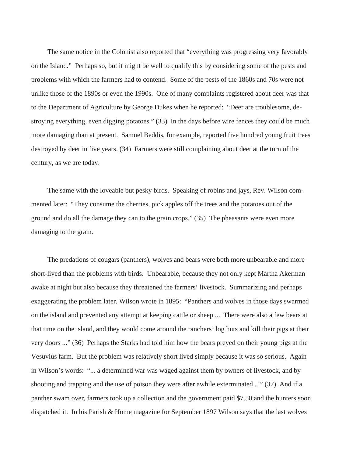The same notice in the Colonist also reported that "everything was progressing very favorably on the Island." Perhaps so, but it might be well to qualify this by considering some of the pests and problems with which the farmers had to contend. Some of the pests of the 1860s and 70s were not unlike those of the 1890s or even the 1990s. One of many complaints registered about deer was that to the Department of Agriculture by George Dukes when he reported: "Deer are troublesome, destroying everything, even digging potatoes." (33) In the days before wire fences they could be much more damaging than at present. Samuel Beddis, for example, reported five hundred young fruit trees destroyed by deer in five years. (34) Farmers were still complaining about deer at the turn of the century, as we are today.

The same with the loveable but pesky birds. Speaking of robins and jays, Rev. Wilson commented later: "They consume the cherries, pick apples off the trees and the potatoes out of the ground and do all the damage they can to the grain crops." (35) The pheasants were even more damaging to the grain.

The predations of cougars (panthers), wolves and bears were both more unbearable and more short-lived than the problems with birds. Unbearable, because they not only kept Martha Akerman awake at night but also because they threatened the farmers' livestock. Summarizing and perhaps exaggerating the problem later, Wilson wrote in 1895: "Panthers and wolves in those days swarmed on the island and prevented any attempt at keeping cattle or sheep ... There were also a few bears at that time on the island, and they would come around the ranchers' log huts and kill their pigs at their very doors ..." (36) Perhaps the Starks had told him how the bears preyed on their young pigs at the Vesuvius farm. But the problem was relatively short lived simply because it was so serious. Again in Wilson's words: "... a determined war was waged against them by owners of livestock, and by shooting and trapping and the use of poison they were after awhile exterminated ..." (37) And if a panther swam over, farmers took up a collection and the government paid \$7.50 and the hunters soon dispatched it. In his Parish & Home magazine for September 1897 Wilson says that the last wolves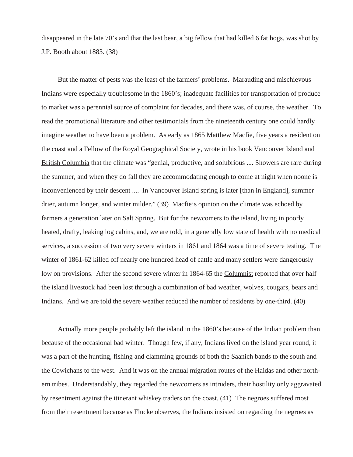disappeared in the late 70's and that the last bear, a big fellow that had killed 6 fat hogs, was shot by J.P. Booth about 1883. (38)

But the matter of pests was the least of the farmers' problems. Marauding and mischievous Indians were especially troublesome in the 1860's; inadequate facilities for transportation of produce to market was a perennial source of complaint for decades, and there was, of course, the weather. To read the promotional literature and other testimonials from the nineteenth century one could hardly imagine weather to have been a problem. As early as 1865 Matthew Macfie, five years a resident on the coast and a Fellow of the Royal Geographical Society, wrote in his book Vancouver Island and British Columbia that the climate was "genial, productive, and solubrious .... Showers are rare during the summer, and when they do fall they are accommodating enough to come at night when noone is inconvenienced by their descent .... In Vancouver Island spring is later [than in England], summer drier, autumn longer, and winter milder." (39) Macfie's opinion on the climate was echoed by farmers a generation later on Salt Spring. But for the newcomers to the island, living in poorly heated, drafty, leaking log cabins, and, we are told, in a generally low state of health with no medical services, a succession of two very severe winters in 1861 and 1864 was a time of severe testing. The winter of 1861-62 killed off nearly one hundred head of cattle and many settlers were dangerously low on provisions. After the second severe winter in 1864-65 the Columnist reported that over half the island livestock had been lost through a combination of bad weather, wolves, cougars, bears and Indians. And we are told the severe weather reduced the number of residents by one-third. (40)

Actually more people probably left the island in the 1860's because of the Indian problem than because of the occasional bad winter. Though few, if any, Indians lived on the island year round, it was a part of the hunting, fishing and clamming grounds of both the Saanich bands to the south and the Cowichans to the west. And it was on the annual migration routes of the Haidas and other northern tribes. Understandably, they regarded the newcomers as intruders, their hostility only aggravated by resentment against the itinerant whiskey traders on the coast. (41) The negroes suffered most from their resentment because as Flucke observes, the Indians insisted on regarding the negroes as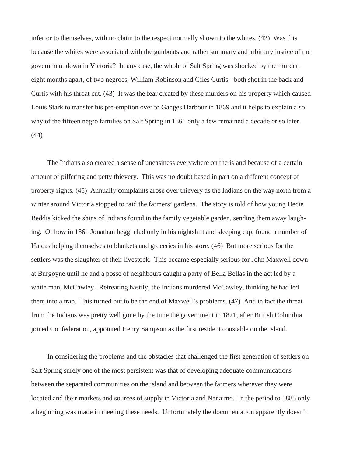inferior to themselves, with no claim to the respect normally shown to the whites. (42) Was this because the whites were associated with the gunboats and rather summary and arbitrary justice of the government down in Victoria? In any case, the whole of Salt Spring was shocked by the murder, eight months apart, of two negroes, William Robinson and Giles Curtis - both shot in the back and Curtis with his throat cut. (43) It was the fear created by these murders on his property which caused Louis Stark to transfer his pre-emption over to Ganges Harbour in 1869 and it helps to explain also why of the fifteen negro families on Salt Spring in 1861 only a few remained a decade or so later. (44)

The Indians also created a sense of uneasiness everywhere on the island because of a certain amount of pilfering and petty thievery. This was no doubt based in part on a different concept of property rights. (45) Annually complaints arose over thievery as the Indians on the way north from a winter around Victoria stopped to raid the farmers' gardens. The story is told of how young Decie Beddis kicked the shins of Indians found in the family vegetable garden, sending them away laughing. Or how in 1861 Jonathan begg, clad only in his nightshirt and sleeping cap, found a number of Haidas helping themselves to blankets and groceries in his store. (46) But more serious for the settlers was the slaughter of their livestock. This became especially serious for John Maxwell down at Burgoyne until he and a posse of neighbours caught a party of Bella Bellas in the act led by a white man, McCawley. Retreating hastily, the Indians murdered McCawley, thinking he had led them into a trap. This turned out to be the end of Maxwell's problems. (47) And in fact the threat from the Indians was pretty well gone by the time the government in 1871, after British Columbia joined Confederation, appointed Henry Sampson as the first resident constable on the island.

In considering the problems and the obstacles that challenged the first generation of settlers on Salt Spring surely one of the most persistent was that of developing adequate communications between the separated communities on the island and between the farmers wherever they were located and their markets and sources of supply in Victoria and Nanaimo. In the period to 1885 only a beginning was made in meeting these needs. Unfortunately the documentation apparently doesn't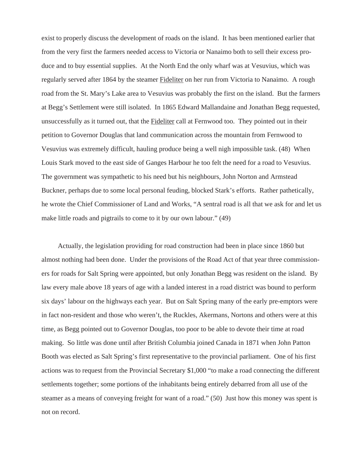exist to properly discuss the development of roads on the island. It has been mentioned earlier that from the very first the farmers needed access to Victoria or Nanaimo both to sell their excess produce and to buy essential supplies. At the North End the only wharf was at Vesuvius, which was regularly served after 1864 by the steamer Fideliter on her run from Victoria to Nanaimo. A rough road from the St. Mary's Lake area to Vesuvius was probably the first on the island. But the farmers at Begg's Settlement were still isolated. In 1865 Edward Mallandaine and Jonathan Begg requested, unsuccessfully as it turned out, that the Fideliter call at Fernwood too. They pointed out in their petition to Governor Douglas that land communication across the mountain from Fernwood to Vesuvius was extremely difficult, hauling produce being a well nigh impossible task. (48) When Louis Stark moved to the east side of Ganges Harbour he too felt the need for a road to Vesuvius. The government was sympathetic to his need but his neighbours, John Norton and Armstead Buckner, perhaps due to some local personal feuding, blocked Stark's efforts. Rather pathetically, he wrote the Chief Commissioner of Land and Works, "A sentral road is all that we ask for and let us make little roads and pigtrails to come to it by our own labour." (49)

Actually, the legislation providing for road construction had been in place since 1860 but almost nothing had been done. Under the provisions of the Road Act of that year three commissioners for roads for Salt Spring were appointed, but only Jonathan Begg was resident on the island. By law every male above 18 years of age with a landed interest in a road district was bound to perform six days' labour on the highways each year. But on Salt Spring many of the early pre-emptors were in fact non-resident and those who weren't, the Ruckles, Akermans, Nortons and others were at this time, as Begg pointed out to Governor Douglas, too poor to be able to devote their time at road making. So little was done until after British Columbia joined Canada in 1871 when John Patton Booth was elected as Salt Spring's first representative to the provincial parliament. One of his first actions was to request from the Provincial Secretary \$1,000 "to make a road connecting the different settlements together; some portions of the inhabitants being entirely debarred from all use of the steamer as a means of conveying freight for want of a road." (50) Just how this money was spent is not on record.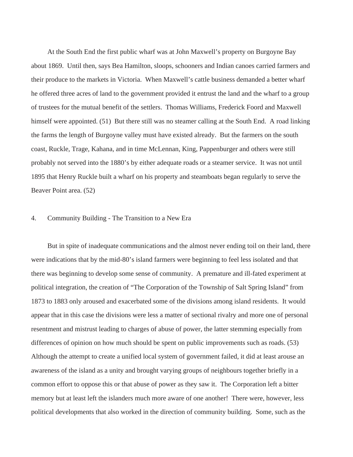At the South End the first public wharf was at John Maxwell's property on Burgoyne Bay about 1869. Until then, says Bea Hamilton, sloops, schooners and Indian canoes carried farmers and their produce to the markets in Victoria. When Maxwell's cattle business demanded a better wharf he offered three acres of land to the government provided it entrust the land and the wharf to a group of trustees for the mutual benefit of the settlers. Thomas Williams, Frederick Foord and Maxwell himself were appointed. (51) But there still was no steamer calling at the South End. A road linking the farms the length of Burgoyne valley must have existed already. But the farmers on the south coast, Ruckle, Trage, Kahana, and in time McLennan, King, Pappenburger and others were still probably not served into the 1880's by either adequate roads or a steamer service. It was not until 1895 that Henry Ruckle built a wharf on his property and steamboats began regularly to serve the Beaver Point area. (52)

#### 4. Community Building - The Transition to a New Era

But in spite of inadequate communications and the almost never ending toil on their land, there were indications that by the mid-80's island farmers were beginning to feel less isolated and that there was beginning to develop some sense of community. A premature and ill-fated experiment at political integration, the creation of "The Corporation of the Township of Salt Spring Island" from 1873 to 1883 only aroused and exacerbated some of the divisions among island residents. It would appear that in this case the divisions were less a matter of sectional rivalry and more one of personal resentment and mistrust leading to charges of abuse of power, the latter stemming especially from differences of opinion on how much should be spent on public improvements such as roads. (53) Although the attempt to create a unified local system of government failed, it did at least arouse an awareness of the island as a unity and brought varying groups of neighbours together briefly in a common effort to oppose this or that abuse of power as they saw it. The Corporation left a bitter memory but at least left the islanders much more aware of one another! There were, however, less political developments that also worked in the direction of community building. Some, such as the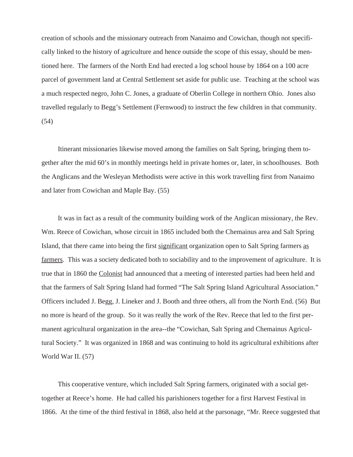creation of schools and the missionary outreach from Nanaimo and Cowichan, though not specifically linked to the history of agriculture and hence outside the scope of this essay, should be mentioned here. The farmers of the North End had erected a log school house by 1864 on a 100 acre parcel of government land at Central Settlement set aside for public use. Teaching at the school was a much respected negro, John C. Jones, a graduate of Oberlin College in northern Ohio. Jones also travelled regularly to Begg's Settlement (Fernwood) to instruct the few children in that community. (54)

Itinerant missionaries likewise moved among the families on Salt Spring, bringing them together after the mid 60's in monthly meetings held in private homes or, later, in schoolhouses. Both the Anglicans and the Wesleyan Methodists were active in this work travelling first from Nanaimo and later from Cowichan and Maple Bay. (55)

It was in fact as a result of the community building work of the Anglican missionary, the Rev. Wm. Reece of Cowichan, whose circuit in 1865 included both the Chemainus area and Salt Spring Island, that there came into being the first significant organization open to Salt Spring farmers as farmers. This was a society dedicated both to sociability and to the improvement of agriculture. It is true that in 1860 the Colonist had announced that a meeting of interested parties had been held and that the farmers of Salt Spring Island had formed "The Salt Spring Island Agricultural Association." Officers included J. Begg, J. Lineker and J. Booth and three others, all from the North End. (56) But no more is heard of the group. So it was really the work of the Rev. Reece that led to the first permanent agricultural organization in the area--the "Cowichan, Salt Spring and Chemainus Agricultural Society." It was organized in 1868 and was continuing to hold its agricultural exhibitions after World War II. (57)

This cooperative venture, which included Salt Spring farmers, originated with a social gettogether at Reece's home. He had called his parishioners together for a first Harvest Festival in 1866. At the time of the third festival in 1868, also held at the parsonage, "Mr. Reece suggested that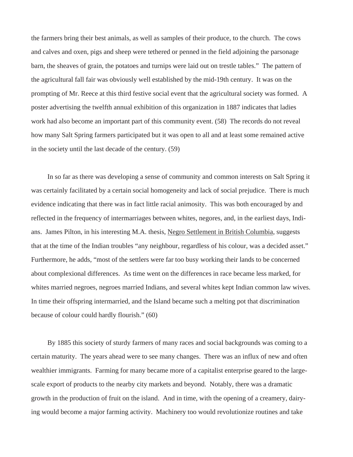the farmers bring their best animals, as well as samples of their produce, to the church. The cows and calves and oxen, pigs and sheep were tethered or penned in the field adjoining the parsonage barn, the sheaves of grain, the potatoes and turnips were laid out on trestle tables." The pattern of the agricultural fall fair was obviously well established by the mid-19th century. It was on the prompting of Mr. Reece at this third festive social event that the agricultural society was formed. A poster advertising the twelfth annual exhibition of this organization in 1887 indicates that ladies work had also become an important part of this community event. (58) The records do not reveal how many Salt Spring farmers participated but it was open to all and at least some remained active in the society until the last decade of the century. (59)

In so far as there was developing a sense of community and common interests on Salt Spring it was certainly facilitated by a certain social homogeneity and lack of social prejudice. There is much evidence indicating that there was in fact little racial animosity. This was both encouraged by and reflected in the frequency of intermarriages between whites, negores, and, in the earliest days, Indians. James Pilton, in his interesting M.A. thesis, Negro Settlement in British Columbia, suggests that at the time of the Indian troubles "any neighbour, regardless of his colour, was a decided asset." Furthermore, he adds, "most of the settlers were far too busy working their lands to be concerned about complexional differences. As time went on the differences in race became less marked, for whites married negroes, negroes married Indians, and several whites kept Indian common law wives. In time their offspring intermarried, and the Island became such a melting pot that discrimination because of colour could hardly flourish." (60)

By 1885 this society of sturdy farmers of many races and social backgrounds was coming to a certain maturity. The years ahead were to see many changes. There was an influx of new and often wealthier immigrants. Farming for many became more of a capitalist enterprise geared to the largescale export of products to the nearby city markets and beyond. Notably, there was a dramatic growth in the production of fruit on the island. And in time, with the opening of a creamery, dairying would become a major farming activity. Machinery too would revolutionize routines and take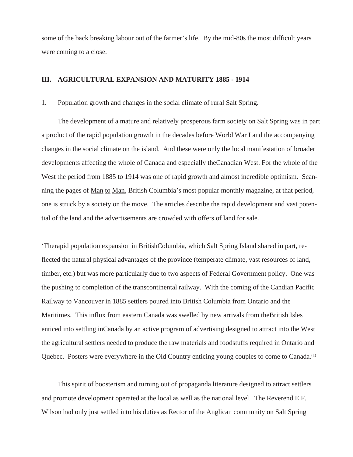some of the back breaking labour out of the farmer's life. By the mid-80s the most difficult years were coming to a close.

# **III. AGRICULTURAL EXPANSION AND MATURITY 1885 - 1914**

## 1. Population growth and changes in the social climate of rural Salt Spring.

The development of a mature and relatively prosperous farm society on Salt Spring was in part a product of the rapid population growth in the decades before World War I and the accompanying changes in the social climate on the island. And these were only the local manifestation of broader developments affecting the whole of Canada and especially theCanadian West. For the whole of the West the period from 1885 to 1914 was one of rapid growth and almost incredible optimism. Scanning the pages of Man to Man, British Columbia's most popular monthly magazine, at that period, one is struck by a society on the move. The articles describe the rapid development and vast potential of the land and the advertisements are crowded with offers of land for sale.

'Therapid population expansion in BritishColumbia, which Salt Spring Island shared in part, reflected the natural physical advantages of the province (temperate climate, vast resources of land, timber, etc.) but was more particularly due to two aspects of Federal Government policy. One was the pushing to completion of the transcontinental railway. With the coming of the Candian Pacific Railway to Vancouver in 1885 settlers poured into British Columbia from Ontario and the Maritimes. This influx from eastern Canada was swelled by new arrivals from theBritish Isles enticed into settling inCanada by an active program of advertising designed to attract into the West the agricultural settlers needed to produce the raw materials and foodstuffs required in Ontario and Quebec. Posters were everywhere in the Old Country enticing young couples to come to Canada.(1)

This spirit of boosterism and turning out of propaganda literature designed to attract settlers and promote development operated at the local as well as the national level. The Reverend E.F. Wilson had only just settled into his duties as Rector of the Anglican community on Salt Spring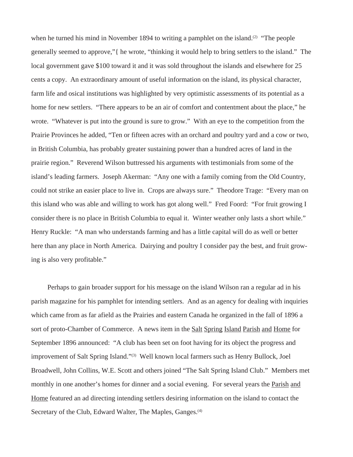when he turned his mind in November 1894 to writing a pamphlet on the island.<sup>(2)</sup> "The people generally seemed to approve,"{ he wrote, "thinking it would help to bring settlers to the island." The local government gave \$100 toward it and it was sold throughout the islands and elsewhere for 25 cents a copy. An extraordinary amount of useful information on the island, its physical character, farm life and osical institutions was highlighted by very optimistic assessments of its potential as a home for new settlers. "There appears to be an air of comfort and contentment about the place," he wrote. "Whatever is put into the ground is sure to grow." With an eye to the competition from the Prairie Provinces he added, "Ten or fifteen acres with an orchard and poultry yard and a cow or two, in British Columbia, has probably greater sustaining power than a hundred acres of land in the prairie region." Reverend Wilson buttressed his arguments with testimonials from some of the island's leading farmers. Joseph Akerman: "Any one with a family coming from the Old Country, could not strike an easier place to live in. Crops are always sure." Theodore Trage: "Every man on this island who was able and willing to work has got along well." Fred Foord: "For fruit growing I consider there is no place in British Columbia to equal it. Winter weather only lasts a short while." Henry Ruckle: "A man who understands farming and has a little capital will do as well or better here than any place in North America. Dairying and poultry I consider pay the best, and fruit growing is also very profitable."

Perhaps to gain broader support for his message on the island Wilson ran a regular ad in his parish magazine for his pamphlet for intending settlers. And as an agency for dealing with inquiries which came from as far afield as the Prairies and eastern Canada he organized in the fall of 1896 a sort of proto-Chamber of Commerce. A news item in the Salt Spring Island Parish and Home for September 1896 announced: "A club has been set on foot having for its object the progress and improvement of Salt Spring Island."<sup>(3)</sup> Well known local farmers such as Henry Bullock, Joel Broadwell, John Collins, W.E. Scott and others joined "The Salt Spring Island Club." Members met monthly in one another's homes for dinner and a social evening. For several years the Parish and Home featured an ad directing intending settlers desiring information on the island to contact the Secretary of the Club, Edward Walter, The Maples, Ganges.<sup>(4)</sup>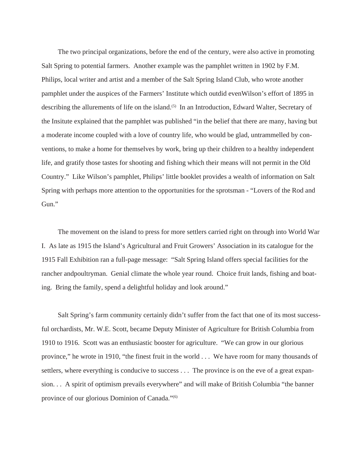The two principal organizations, before the end of the century, were also active in promoting Salt Spring to potential farmers. Another example was the pamphlet written in 1902 by F.M. Philips, local writer and artist and a member of the Salt Spring Island Club, who wrote another pamphlet under the auspices of the Farmers' Institute which outdid evenWilson's effort of 1895 in describing the allurements of life on the island.<sup>(5)</sup> In an Introduction, Edward Walter, Secretary of the Insitute explained that the pamphlet was published "in the belief that there are many, having but a moderate income coupled with a love of country life, who would be glad, untrammelled by conventions, to make a home for themselves by work, bring up their children to a healthy independent life, and gratify those tastes for shooting and fishing which their means will not permit in the Old Country." Like Wilson's pamphlet, Philips' little booklet provides a wealth of information on Salt Spring with perhaps more attention to the opportunities for the sprotsman - "Lovers of the Rod and Gun."

The movement on the island to press for more settlers carried right on through into World War I. As late as 1915 the Island's Agricultural and Fruit Growers' Association in its catalogue for the 1915 Fall Exhibition ran a full-page message: "Salt Spring Island offers special facilities for the rancher andpoultryman. Genial climate the whole year round. Choice fruit lands, fishing and boating. Bring the family, spend a delightful holiday and look around."

Salt Spring's farm community certainly didn't suffer from the fact that one of its most successful orchardists, Mr. W.E. Scott, became Deputy Minister of Agriculture for British Columbia from 1910 to 1916. Scott was an enthusiastic booster for agriculture. "We can grow in our glorious province," he wrote in 1910, "the finest fruit in the world . . . We have room for many thousands of settlers, where everything is conducive to success . . . The province is on the eve of a great expansion. . . A spirit of optimism prevails everywhere" and will make of British Columbia "the banner province of our glorious Dominion of Canada."<sup>(6)</sup>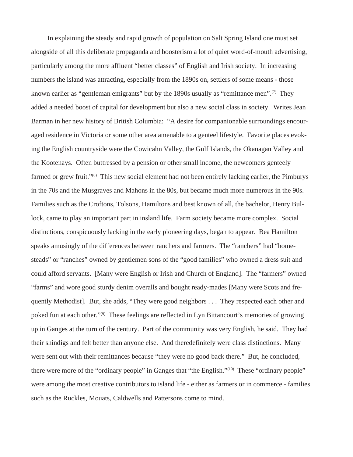In explaining the steady and rapid growth of population on Salt Spring Island one must set alongside of all this deliberate propaganda and boosterism a lot of quiet word-of-mouth advertising, particularly among the more affluent "better classes" of English and Irish society. In increasing numbers the island was attracting, especially from the 1890s on, settlers of some means - those known earlier as "gentleman emigrants" but by the 1890s usually as "remittance men".<sup>(7)</sup> They added a needed boost of capital for development but also a new social class in society. Writes Jean Barman in her new history of British Columbia: "A desire for companionable surroundings encouraged residence in Victoria or some other area amenable to a genteel lifestyle. Favorite places evoking the English countryside were the Cowicahn Valley, the Gulf Islands, the Okanagan Valley and the Kootenays. Often buttressed by a pension or other small income, the newcomers genteely farmed or grew fruit."<sup>(8)</sup> This new social element had not been entirely lacking earlier, the Pimburys in the 70s and the Musgraves and Mahons in the 80s, but became much more numerous in the 90s. Families such as the Croftons, Tolsons, Hamiltons and best known of all, the bachelor, Henry Bullock, came to play an important part in insland life. Farm society became more complex. Social distinctions, conspicuously lacking in the early pioneering days, began to appear. Bea Hamilton speaks amusingly of the differences between ranchers and farmers. The "ranchers" had "homesteads" or "ranches" owned by gentlemen sons of the "good families" who owned a dress suit and could afford servants. [Many were English or Irish and Church of England]. The "farmers" owned "farms" and wore good sturdy denim overalls and bought ready-mades [Many were Scots and frequently Methodist]. But, she adds, "They were good neighbors . . . They respected each other and poked fun at each other."(9) These feelings are reflected in Lyn Bittancourt's memories of growing up in Ganges at the turn of the century. Part of the community was very English, he said. They had their shindigs and felt better than anyone else. And theredefinitely were class distinctions. Many were sent out with their remittances because "they were no good back there." But, he concluded, there were more of the "ordinary people" in Ganges that "the English."(10) These "ordinary people" were among the most creative contributors to island life - either as farmers or in commerce - families such as the Ruckles, Mouats, Caldwells and Pattersons come to mind.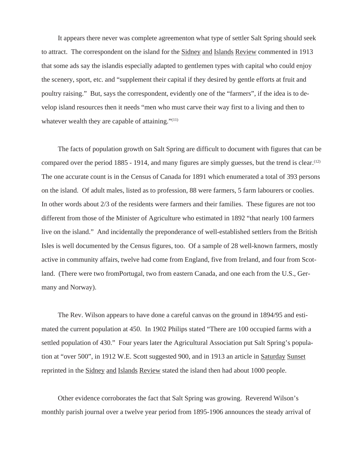It appears there never was complete agreementon what type of settler Salt Spring should seek to attract. The correspondent on the island for the Sidney and Islands Review commented in 1913 that some ads say the islandis especially adapted to gentlemen types with capital who could enjoy the scenery, sport, etc. and "supplement their capital if they desired by gentle efforts at fruit and poultry raising." But, says the correspondent, evidently one of the "farmers", if the idea is to develop island resources then it needs "men who must carve their way first to a living and then to whatever wealth they are capable of attaining." $(11)$ 

The facts of population growth on Salt Spring are difficult to document with figures that can be compared over the period 1885 - 1914, and many figures are simply guesses, but the trend is clear.<sup>(12)</sup> The one accurate count is in the Census of Canada for 1891 which enumerated a total of 393 persons on the island. Of adult males, listed as to profession, 88 were farmers, 5 farm labourers or coolies. In other words about 2/3 of the residents were farmers and their families. These figures are not too different from those of the Minister of Agriculture who estimated in 1892 "that nearly 100 farmers live on the island." And incidentally the preponderance of well-established settlers from the British Isles is well documented by the Census figures, too. Of a sample of 28 well-known farmers, mostly active in community affairs, twelve had come from England, five from Ireland, and four from Scotland. (There were two fromPortugal, two from eastern Canada, and one each from the U.S., Germany and Norway).

The Rev. Wilson appears to have done a careful canvas on the ground in 1894/95 and estimated the current population at 450. In 1902 Philips stated "There are 100 occupied farms with a settled population of 430." Four years later the Agricultural Association put Salt Spring's population at "over 500", in 1912 W.E. Scott suggested 900, and in 1913 an article in Saturday Sunset reprinted in the Sidney and Islands Review stated the island then had about 1000 people.

Other evidence corroborates the fact that Salt Spring was growing. Reverend Wilson's monthly parish journal over a twelve year period from 1895-1906 announces the steady arrival of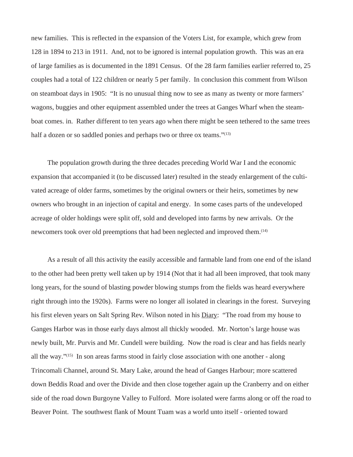new families. This is reflected in the expansion of the Voters List, for example, which grew from 128 in 1894 to 213 in 1911. And, not to be ignored is internal population growth. This was an era of large families as is documented in the 1891 Census. Of the 28 farm families earlier referred to, 25 couples had a total of 122 children or nearly 5 per family. In conclusion this comment from Wilson on steamboat days in 1905: "It is no unusual thing now to see as many as twenty or more farmers' wagons, buggies and other equipment assembled under the trees at Ganges Wharf when the steamboat comes. in. Rather different to ten years ago when there might be seen tethered to the same trees half a dozen or so saddled ponies and perhaps two or three ox teams."<sup>(13)</sup>

The population growth during the three decades preceding World War I and the economic expansion that accompanied it (to be discussed later) resulted in the steady enlargement of the cultivated acreage of older farms, sometimes by the original owners or their heirs, sometimes by new owners who brought in an injection of capital and energy. In some cases parts of the undeveloped acreage of older holdings were split off, sold and developed into farms by new arrivals. Or the newcomers took over old preemptions that had been neglected and improved them.(14)

As a result of all this activity the easily accessible and farmable land from one end of the island to the other had been pretty well taken up by 1914 (Not that it had all been improved, that took many long years, for the sound of blasting powder blowing stumps from the fields was heard everywhere right through into the 1920s). Farms were no longer all isolated in clearings in the forest. Surveying his first eleven years on Salt Spring Rev. Wilson noted in his Diary: "The road from my house to Ganges Harbor was in those early days almost all thickly wooded. Mr. Norton's large house was newly built, Mr. Purvis and Mr. Cundell were building. Now the road is clear and has fields nearly all the way."(15) In son areas farms stood in fairly close association with one another - along Trincomali Channel, around St. Mary Lake, around the head of Ganges Harbour; more scattered down Beddis Road and over the Divide and then close together again up the Cranberry and on either side of the road down Burgoyne Valley to Fulford. More isolated were farms along or off the road to Beaver Point. The southwest flank of Mount Tuam was a world unto itself - oriented toward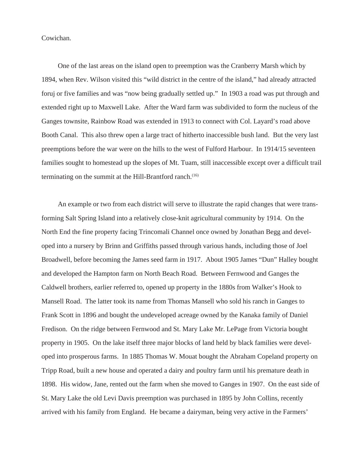Cowichan.

One of the last areas on the island open to preemption was the Cranberry Marsh which by 1894, when Rev. Wilson visited this "wild district in the centre of the island," had already attracted foruj or five families and was "now being gradually settled up." In 1903 a road was put through and extended right up to Maxwell Lake. After the Ward farm was subdivided to form the nucleus of the Ganges townsite, Rainbow Road was extended in 1913 to connect with Col. Layard's road above Booth Canal. This also threw open a large tract of hitherto inaccessible bush land. But the very last preemptions before the war were on the hills to the west of Fulford Harbour. In 1914/15 seventeen families sought to homestead up the slopes of Mt. Tuam, still inaccessible except over a difficult trail terminating on the summit at the Hill-Brantford ranch.<sup>(16)</sup>

An example or two from each district will serve to illustrate the rapid changes that were transforming Salt Spring Island into a relatively close-knit agricultural community by 1914. On the North End the fine property facing Trincomali Channel once owned by Jonathan Begg and developed into a nursery by Brinn and Griffiths passed through various hands, including those of Joel Broadwell, before becoming the James seed farm in 1917. About 1905 James "Dun" Halley bought and developed the Hampton farm on North Beach Road. Between Fernwood and Ganges the Caldwell brothers, earlier referred to, opened up property in the 1880s from Walker's Hook to Mansell Road. The latter took its name from Thomas Mansell who sold his ranch in Ganges to Frank Scott in 1896 and bought the undeveloped acreage owned by the Kanaka family of Daniel Fredison. On the ridge between Fernwood and St. Mary Lake Mr. LePage from Victoria bought property in 1905. On the lake itself three major blocks of land held by black families were developed into prosperous farms. In 1885 Thomas W. Mouat bought the Abraham Copeland property on Tripp Road, built a new house and operated a dairy and poultry farm until his premature death in 1898. His widow, Jane, rented out the farm when she moved to Ganges in 1907. On the east side of St. Mary Lake the old Levi Davis preemption was purchased in 1895 by John Collins, recently arrived with his family from England. He became a dairyman, being very active in the Farmers'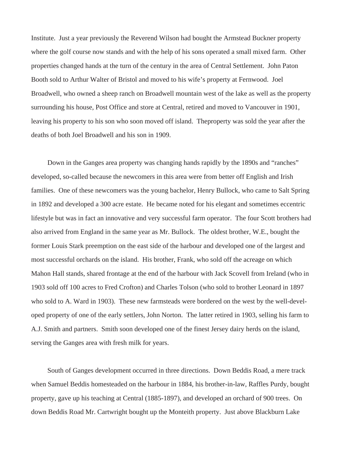Institute. Just a year previously the Reverend Wilson had bought the Armstead Buckner property where the golf course now stands and with the help of his sons operated a small mixed farm. Other properties changed hands at the turn of the century in the area of Central Settlement. John Paton Booth sold to Arthur Walter of Bristol and moved to his wife's property at Fernwood. Joel Broadwell, who owned a sheep ranch on Broadwell mountain west of the lake as well as the property surrounding his house, Post Office and store at Central, retired and moved to Vancouver in 1901, leaving his property to his son who soon moved off island. Theproperty was sold the year after the deaths of both Joel Broadwell and his son in 1909.

Down in the Ganges area property was changing hands rapidly by the 1890s and "ranches" developed, so-called because the newcomers in this area were from better off English and Irish families. One of these newcomers was the young bachelor, Henry Bullock, who came to Salt Spring in 1892 and developed a 300 acre estate. He became noted for his elegant and sometimes eccentric lifestyle but was in fact an innovative and very successful farm operator. The four Scott brothers had also arrived from England in the same year as Mr. Bullock. The oldest brother, W.E., bought the former Louis Stark preemption on the east side of the harbour and developed one of the largest and most successful orchards on the island. His brother, Frank, who sold off the acreage on which Mahon Hall stands, shared frontage at the end of the harbour with Jack Scovell from Ireland (who in 1903 sold off 100 acres to Fred Crofton) and Charles Tolson (who sold to brother Leonard in 1897 who sold to A. Ward in 1903). These new farmsteads were bordered on the west by the well-developed property of one of the early settlers, John Norton. The latter retired in 1903, selling his farm to A.J. Smith and partners. Smith soon developed one of the finest Jersey dairy herds on the island, serving the Ganges area with fresh milk for years.

South of Ganges development occurred in three directions. Down Beddis Road, a mere track when Samuel Beddis homesteaded on the harbour in 1884, his brother-in-law, Raffles Purdy, bought property, gave up his teaching at Central (1885-1897), and developed an orchard of 900 trees. On down Beddis Road Mr. Cartwright bought up the Monteith property. Just above Blackburn Lake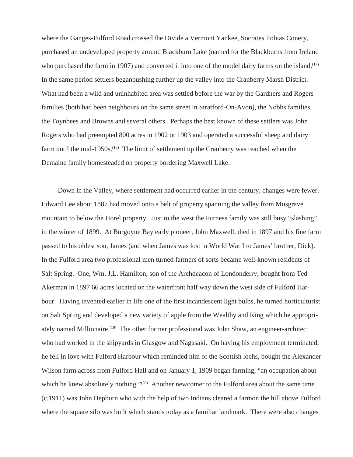where the Ganges-Fulford Road crossed the Divide a Vermont Yankee, Socrates Tobias Conery, purchased an undeveloped property around Blackburn Lake (named for the Blackburns from Ireland who purchased the farm in 1907) and converted it into one of the model dairy farms on the island.<sup>(17)</sup> In the same period settlers beganpushing further up the valley into the Cranberry Marsh District. What had been a wild and uninhabited area was settled before the war by the Gardners and Rogers families (both had been neighbours on the same street in Stratford-On-Avon), the Nobbs families, the Toynbees and Browns and several others. Perhaps the best known of these settlers was John Rogers who had preempted 800 acres in 1902 or 1903 and operated a successful sheep and dairy farm until the mid-1950s.<sup>(18)</sup> The limit of settlement up the Cranberry was reached when the Demaine family homesteaded on property bordering Maxwell Lake.

Down in the Valley, where settlement had occurred earlier in the century, changes were fewer. Edward Lee about 1887 had moved onto a belt of property spanning the valley from Musgrave mountain to below the Horel property. Just to the west the Furness family was still busy "slashing" in the winter of 1899. At Burgoyne Bay early pioneer, John Maxwell, died in 1897 and his fine farm passed to his oldest son, James (and when James was lost in World War I to James' brother, Dick). In the Fulford area two professional men turned farmers of sorts became well-known residents of Salt Spring. One, Wm. J.L. Hamilton, son of the Archdeacon of Londonderry, bought from Ted Akerman in 1897 66 acres located on the waterfront half way down the west side of Fulford Harbour. Having invented earlier in life one of the first incandescent light bulbs, he turned horticulturist on Salt Spring and developed a new variety of apple from the Wealthy and King which he appropriately named Millionaire.(19) The other former professional was John Shaw, an engineer-architect who had worked in the shipyards in Glasgow and Nagasaki. On having his employment terminated, he fell in love with Fulford Harbour which reminded him of the Scottish lochs, bought the Alexander Wilson farm across from Fulford Hall and on January 1, 1909 began farming, "an occupation about which he knew absolutely nothing."<sup>(20)</sup> Another newcomer to the Fulford area about the same time (c.1911) was John Hepburn who with the help of two Indians cleared a farmon the hill above Fulford where the square silo was built which stands today as a familiar landmark. There were also changes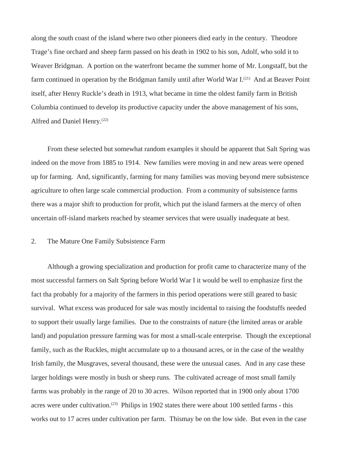along the south coast of the island where two other pioneers died early in the century. Theodore Trage's fine orchard and sheep farm passed on his death in 1902 to his son, Adolf, who sold it to Weaver Bridgman. A portion on the waterfront became the summer home of Mr. Longstaff, but the farm continued in operation by the Bridgman family until after World War I.(21) And at Beaver Point itself, after Henry Ruckle's death in 1913, what became in time the oldest family farm in British Columbia continued to develop its productive capacity under the above management of his sons, Alfred and Daniel Henry.(22)

From these selected but somewhat random examples it should be apparent that Salt Spring was indeed on the move from 1885 to 1914. New families were moving in and new areas were opened up for farming. And, significantly, farming for many families was moving beyond mere subsistence agriculture to often large scale commercial production. From a community of subsistence farms there was a major shift to production for profit, which put the island farmers at the mercy of often uncertain off-island markets reached by steamer services that were usually inadequate at best.

## 2. The Mature One Family Subsistence Farm

Although a growing specialization and production for profit came to characterize many of the most successful farmers on Salt Spring before World War I it would be well to emphasize first the fact tha probably for a majority of the farmers in this period operations were still geared to basic survival. What excess was produced for sale was mostly incidental to raising the foodstuffs needed to support their usually large families. Due to the constraints of nature (the limited areas or arable land) and population pressure farming was for most a small-scale enterprise. Though the exceptional family, such as the Ruckles, might accumulate up to a thousand acres, or in the case of the wealthy Irish family, the Musgraves, several thousand, these were the unusual cases. And in any case these larger holdings were mostly in bush or sheep runs. The cultivated acreage of most small family farms was probably in the range of 20 to 30 acres. Wilson reported that in 1900 only about 1700 acres were under cultivation.<sup>(23)</sup> Philips in 1902 states there were about 100 settled farms - this works out to 17 acres under cultivation per farm. Thismay be on the low side. But even in the case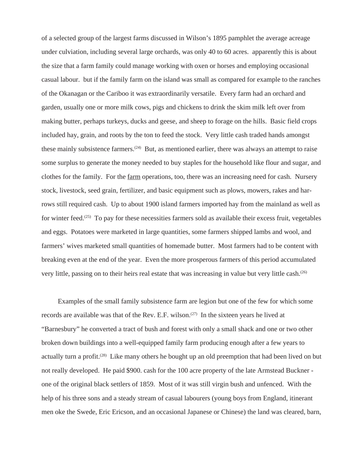of a selected group of the largest farms discussed in Wilson's 1895 pamphlet the average acreage under culviation, including several large orchards, was only 40 to 60 acres. apparently this is about the size that a farm family could manage working with oxen or horses and employing occasional casual labour. but if the family farm on the island was small as compared for example to the ranches of the Okanagan or the Cariboo it was extraordinarily versatile. Every farm had an orchard and garden, usually one or more milk cows, pigs and chickens to drink the skim milk left over from making butter, perhaps turkeys, ducks and geese, and sheep to forage on the hills. Basic field crops included hay, grain, and roots by the ton to feed the stock. Very little cash traded hands amongst these mainly subsistence farmers.(24) But, as mentioned earlier, there was always an attempt to raise some surplus to generate the money needed to buy staples for the household like flour and sugar, and clothes for the family. For the farm operations, too, there was an increasing need for cash. Nursery stock, livestock, seed grain, fertilizer, and basic equipment such as plows, mowers, rakes and harrows still required cash. Up to about 1900 island farmers imported hay from the mainland as well as for winter feed.(25) To pay for these necessities farmers sold as available their excess fruit, vegetables and eggs. Potatoes were marketed in large quantities, some farmers shipped lambs and wool, and farmers' wives marketed small quantities of homemade butter. Most farmers had to be content with breaking even at the end of the year. Even the more prosperous farmers of this period accumulated very little, passing on to their heirs real estate that was increasing in value but very little cash.<sup>(26)</sup>

Examples of the small family subsistence farm are legion but one of the few for which some records are available was that of the Rev. E.F. wilson.<sup> $(27)$ </sup> In the sixteen years he lived at "Barnesbury" he converted a tract of bush and forest with only a small shack and one or two other broken down buildings into a well-equipped family farm producing enough after a few years to actually turn a profit.<sup>(28)</sup> Like many others he bought up an old preemption that had been lived on but not really developed. He paid \$900. cash for the 100 acre property of the late Armstead Buckner one of the original black settlers of 1859. Most of it was still virgin bush and unfenced. With the help of his three sons and a steady stream of casual labourers (young boys from England, itinerant men oke the Swede, Eric Ericson, and an occasional Japanese or Chinese) the land was cleared, barn,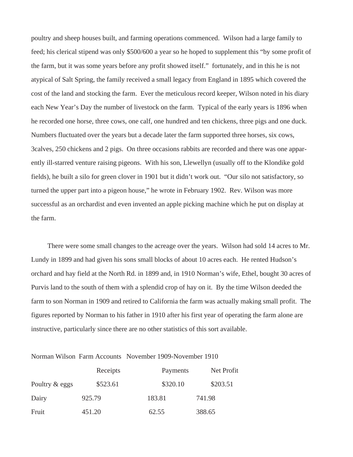poultry and sheep houses built, and farming operations commenced. Wilson had a large family to feed; his clerical stipend was only \$500/600 a year so he hoped to supplement this "by some profit of the farm, but it was some years before any profit showed itself." fortunately, and in this he is not atypical of Salt Spring, the family received a small legacy from England in 1895 which covered the cost of the land and stocking the farm. Ever the meticulous record keeper, Wilson noted in his diary each New Year's Day the number of livestock on the farm. Typical of the early years is 1896 when he recorded one horse, three cows, one calf, one hundred and ten chickens, three pigs and one duck. Numbers fluctuated over the years but a decade later the farm supported three horses, six cows, 3calves, 250 chickens and 2 pigs. On three occasions rabbits are recorded and there was one apparently ill-starred venture raising pigeons. With his son, Llewellyn (usually off to the Klondike gold fields), he built a silo for green clover in 1901 but it didn't work out. "Our silo not satisfactory, so turned the upper part into a pigeon house," he wrote in February 1902. Rev. Wilson was more successful as an orchardist and even invented an apple picking machine which he put on display at the farm.

There were some small changes to the acreage over the years. Wilson had sold 14 acres to Mr. Lundy in 1899 and had given his sons small blocks of about 10 acres each. He rented Hudson's orchard and hay field at the North Rd. in 1899 and, in 1910 Norman's wife, Ethel, bought 30 acres of Purvis land to the south of them with a splendid crop of hay on it. By the time Wilson deeded the farm to son Norman in 1909 and retired to California the farm was actually making small profit. The figures reported by Norman to his father in 1910 after his first year of operating the farm alone are instructive, particularly since there are no other statistics of this sort available.

Norman Wilson Farm Accounts November 1909-November 1910

|                | Receipts | Payments | Net Profit |
|----------------|----------|----------|------------|
| Poultry & eggs | \$523.61 | \$320.10 | \$203.51   |
| Dairy          | 925.79   | 183.81   | 741.98     |
| Fruit          | 451.20   | 62.55    | 388.65     |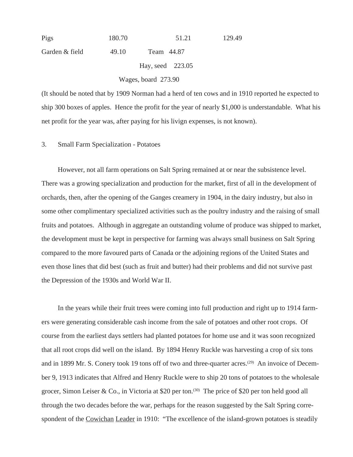| Pigs           | 180.70              | 51.21            | 129.49 |
|----------------|---------------------|------------------|--------|
| Garden & field | 49.10               | Team 44.87       |        |
|                |                     | Hay, seed 223.05 |        |
|                | Wages, board 273.90 |                  |        |

(It should be noted that by 1909 Norman had a herd of ten cows and in 1910 reported he expected to ship 300 boxes of apples. Hence the profit for the year of nearly \$1,000 is understandable. What his net profit for the year was, after paying for his livign expenses, is not known).

#### 3. Small Farm Specialization - Potatoes

However, not all farm operations on Salt Spring remained at or near the subsistence level. There was a growing specialization and production for the market, first of all in the development of orchards, then, after the opening of the Ganges creamery in 1904, in the dairy industry, but also in some other complimentary specialized activities such as the poultry industry and the raising of small fruits and potatoes. Although in aggregate an outstanding volume of produce was shipped to market, the development must be kept in perspective for farming was always small business on Salt Spring compared to the more favoured parts of Canada or the adjoining regions of the United States and even those lines that did best (such as fruit and butter) had their problems and did not survive past the Depression of the 1930s and World War II.

In the years while their fruit trees were coming into full production and right up to 1914 farmers were generating considerable cash income from the sale of potatoes and other root crops. Of course from the earliest days settlers had planted potatoes for home use and it was soon recognized that all root crops did well on the island. By 1894 Henry Ruckle was harvesting a crop of six tons and in 1899 Mr. S. Conery took 19 tons off of two and three-quarter acres.<sup>(29)</sup> An invoice of December 9, 1913 indicates that Alfred and Henry Ruckle were to ship 20 tons of potatoes to the wholesale grocer, Simon Leiser & Co., in Victoria at \$20 per ton.<sup>(30)</sup> The price of \$20 per ton held good all through the two decades before the war, perhaps for the reason suggested by the Salt Spring correspondent of the Cowichan Leader in 1910: "The excellence of the island-grown potatoes is steadily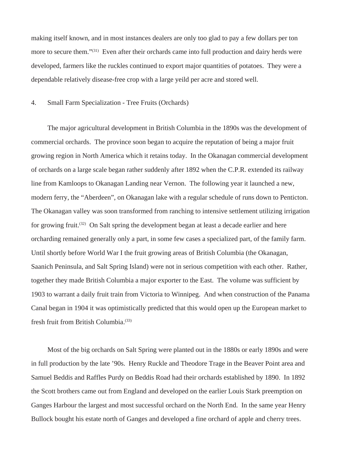making itself known, and in most instances dealers are only too glad to pay a few dollars per ton more to secure them."<sup>(31)</sup> Even after their orchards came into full production and dairy herds were developed, farmers like the ruckles continued to export major quantities of potatoes. They were a dependable relatively disease-free crop with a large yeild per acre and stored well.

#### 4. Small Farm Specialization - Tree Fruits (Orchards)

The major agricultural development in British Columbia in the 1890s was the development of commercial orchards. The province soon began to acquire the reputation of being a major fruit growing region in North America which it retains today. In the Okanagan commercial development of orchards on a large scale began rather suddenly after 1892 when the C.P.R. extended its railway line from Kamloops to Okanagan Landing near Vernon. The following year it launched a new, modern ferry, the "Aberdeen", on Okanagan lake with a regular schedule of runs down to Penticton. The Okanagan valley was soon transformed from ranching to intensive settlement utilizing irrigation for growing fruit.(32) On Salt spring the development began at least a decade earlier and here orcharding remained generally only a part, in some few cases a specialized part, of the family farm. Until shortly before World War I the fruit growing areas of British Columbia (the Okanagan, Saanich Peninsula, and Salt Spring Island) were not in serious competition with each other. Rather, together they made British Columbia a major exporter to the East. The volume was sufficient by 1903 to warrant a daily fruit train from Victoria to Winnipeg. And when construction of the Panama Canal began in 1904 it was optimistically predicted that this would open up the European market to fresh fruit from British Columbia.(33)

Most of the big orchards on Salt Spring were planted out in the 1880s or early 1890s and were in full production by the late '90s. Henry Ruckle and Theodore Trage in the Beaver Point area and Samuel Beddis and Raffles Purdy on Beddis Road had their orchards established by 1890. In 1892 the Scott brothers came out from England and developed on the earlier Louis Stark preemption on Ganges Harbour the largest and most successful orchard on the North End. In the same year Henry Bullock bought his estate north of Ganges and developed a fine orchard of apple and cherry trees.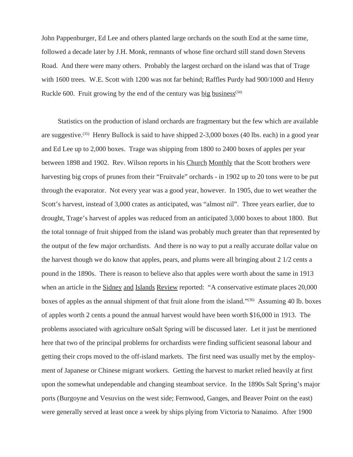John Pappenburger, Ed Lee and others planted large orchards on the south End at the same time, followed a decade later by J.H. Monk, remnants of whose fine orchard still stand down Stevens Road. And there were many others. Probably the largest orchard on the island was that of Trage with 1600 trees. W.E. Scott with 1200 was not far behind; Raffles Purdy had 900/1000 and Henry Ruckle 600. Fruit growing by the end of the century was big business<sup>(34)</sup>

Statistics on the production of island orchards are fragmentary but the few which are available are suggestive.(35) Henry Bullock is said to have shipped 2-3,000 boxes (40 lbs. each) in a good year and Ed Lee up to 2,000 boxes. Trage was shipping from 1800 to 2400 boxes of apples per year between 1898 and 1902. Rev. Wilson reports in his Church Monthly that the Scott brothers were harvesting big crops of prunes from their "Fruitvale" orchards - in 1902 up to 20 tons were to be put through the evaporator. Not every year was a good year, however. In 1905, due to wet weather the Scott's harvest, instead of 3,000 crates as anticipated, was "almost nil". Three years earlier, due to drought, Trage's harvest of apples was reduced from an anticipated 3,000 boxes to about 1800. But the total tonnage of fruit shipped from the island was probably much greater than that represented by the output of the few major orchardists. And there is no way to put a really accurate dollar value on the harvest though we do know that apples, pears, and plums were all bringing about 2 1/2 cents a pound in the 1890s. There is reason to believe also that apples were worth about the same in 1913 when an article in the Sidney and Islands Review reported: "A conservative estimate places 20,000 boxes of apples as the annual shipment of that fruit alone from the island."<sup>(36)</sup> Assuming 40 lb. boxes of apples worth 2 cents a pound the annual harvest would have been worth \$16,000 in 1913. The problems associated with agriculture onSalt Spring will be discussed later. Let it just be mentioned here that two of the principal problems for orchardists were finding sufficient seasonal labour and getting their crops moved to the off-island markets. The first need was usually met by the employment of Japanese or Chinese migrant workers. Getting the harvest to market relied heavily at first upon the somewhat undependable and changing steamboat service. In the 1890s Salt Spring's major ports (Burgoyne and Vesuvius on the west side; Fernwood, Ganges, and Beaver Point on the east) were generally served at least once a week by ships plying from Victoria to Nanaimo. After 1900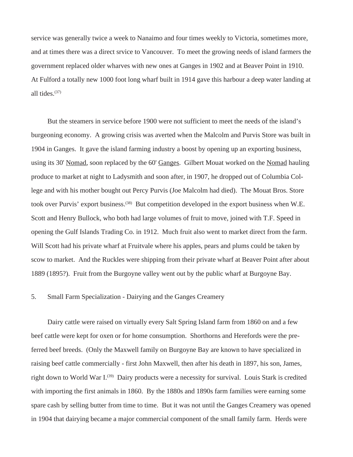service was generally twice a week to Nanaimo and four times weekly to Victoria, sometimes more, and at times there was a direct srvice to Vancouver. To meet the growing needs of island farmers the government replaced older wharves with new ones at Ganges in 1902 and at Beaver Point in 1910. At Fulford a totally new 1000 foot long wharf built in 1914 gave this harbour a deep water landing at all tides. $(37)$ 

But the steamers in service before 1900 were not sufficient to meet the needs of the island's burgeoning economy. A growing crisis was averted when the Malcolm and Purvis Store was built in 1904 in Ganges. It gave the island farming industry a boost by opening up an exporting business, using its 30' Nomad, soon replaced by the 60' Ganges. Gilbert Mouat worked on the Nomad hauling produce to market at night to Ladysmith and soon after, in 1907, he dropped out of Columbia College and with his mother bought out Percy Purvis (Joe Malcolm had died). The Mouat Bros. Store took over Purvis' export business.(38) But competition developed in the export business when W.E. Scott and Henry Bullock, who both had large volumes of fruit to move, joined with T.F. Speed in opening the Gulf Islands Trading Co. in 1912. Much fruit also went to market direct from the farm. Will Scott had his private wharf at Fruitvale where his apples, pears and plums could be taken by scow to market. And the Ruckles were shipping from their private wharf at Beaver Point after about 1889 (1895?). Fruit from the Burgoyne valley went out by the public wharf at Burgoyne Bay.

# 5. Small Farm Specialization - Dairying and the Ganges Creamery

Dairy cattle were raised on virtually every Salt Spring Island farm from 1860 on and a few beef cattle were kept for oxen or for home consumption. Shorthorns and Herefords were the preferred beef breeds. (Only the Maxwell family on Burgoyne Bay are known to have specialized in raising beef cattle commercially - first John Maxwell, then after his death in 1897, his son, James, right down to World War I.<sup>(39)</sup> Dairy products were a necessity for survival. Louis Stark is credited with importing the first animals in 1860. By the 1880s and 1890s farm families were earning some spare cash by selling butter from time to time. But it was not until the Ganges Creamery was opened in 1904 that dairying became a major commercial component of the small family farm. Herds were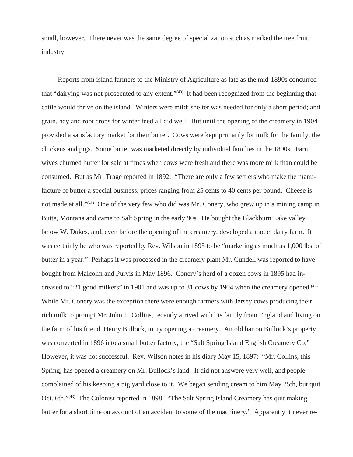small, however. There never was the same degree of specialization such as marked the tree fruit industry.

Reports from island farmers to the Ministry of Agriculture as late as the mid-1890s concurred that "dairying was not prosecuted to any extent."(40) It had been recognized from the beginning that cattle would thrive on the island. Winters were mild; shelter was needed for only a short period; and grain, hay and root crops for winter feed all did well. But until the opening of the creamery in 1904 provided a satisfactory market for their butter. Cows were kept primarily for milk for the family, the chickens and pigs. Some butter was marketed directly by individual families in the 1890s. Farm wives churned butter for sale at times when cows were fresh and there was more milk than could be consumed. But as Mr. Trage reported in 1892: "There are only a few settlers who make the manufacture of butter a special business, prices ranging from 25 cents to 40 cents per pound. Cheese is not made at all."<sup>(41)</sup> One of the very few who did was Mr. Conery, who grew up in a mining camp in Butte, Montana and came to Salt Spring in the early 90s. He bought the Blackburn Lake valley below W. Dukes, and, even before the opening of the creamery, developed a model dairy farm. It was certainly he who was reported by Rev. Wilson in 1895 to be "marketing as much as 1,000 lbs. of butter in a year." Perhaps it was processed in the creamery plant Mr. Cundell was reported to have bought from Malcolm and Purvis in May 1896. Conery's herd of a dozen cows in 1895 had increased to "21 good milkers" in 1901 and was up to 31 cows by 1904 when the creamery opened.<sup> $(42)$ </sup> While Mr. Conery was the exception there were enough farmers with Jersey cows producing their rich milk to prompt Mr. John T. Collins, recently arrived with his family from England and living on the farm of his friend, Henry Bullock, to try opening a creamery. An old bar on Bullock's property was converted in 1896 into a small butter factory, the "Salt Spring Island English Creamery Co." However, it was not successful. Rev. Wilson notes in his diary May 15, 1897: "Mr. Collins, this Spring, has opened a creamery on Mr. Bullock's land. It did not answere very well, and people complained of his keeping a pig yard close to it. We began sending cream to him May 25th, but quit Oct. 6th."<sup>(43)</sup> The Colonist reported in 1898: "The Salt Spring Island Creamery has quit making butter for a short time on account of an accident to some of the machinery." Apparently it never re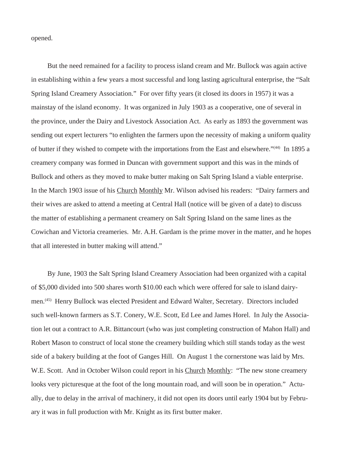opened.

But the need remained for a facility to process island cream and Mr. Bullock was again active in establishing within a few years a most successful and long lasting agricultural enterprise, the "Salt Spring Island Creamery Association." For over fifty years (it closed its doors in 1957) it was a mainstay of the island economy. It was organized in July 1903 as a cooperative, one of several in the province, under the Dairy and Livestock Association Act. As early as 1893 the government was sending out expert lecturers "to enlighten the farmers upon the necessity of making a uniform quality of butter if they wished to compete with the importations from the East and elsewhere."(44) In 1895 a creamery company was formed in Duncan with government support and this was in the minds of Bullock and others as they moved to make butter making on Salt Spring Island a viable enterprise. In the March 1903 issue of his Church Monthly Mr. Wilson advised his readers: "Dairy farmers and their wives are asked to attend a meeting at Central Hall (notice will be given of a date) to discuss the matter of establishing a permanent creamery on Salt Spring Island on the same lines as the Cowichan and Victoria creameries. Mr. A.H. Gardam is the prime mover in the matter, and he hopes that all interested in butter making will attend."

By June, 1903 the Salt Spring Island Creamery Association had been organized with a capital of \$5,000 divided into 500 shares worth \$10.00 each which were offered for sale to island dairymen.(45) Henry Bullock was elected President and Edward Walter, Secretary. Directors included such well-known farmers as S.T. Conery, W.E. Scott, Ed Lee and James Horel. In July the Association let out a contract to A.R. Bittancourt (who was just completing construction of Mahon Hall) and Robert Mason to construct of local stone the creamery building which still stands today as the west side of a bakery building at the foot of Ganges Hill. On August 1 the cornerstone was laid by Mrs. W.E. Scott. And in October Wilson could report in his Church Monthly: "The new stone creamery looks very picturesque at the foot of the long mountain road, and will soon be in operation." Actually, due to delay in the arrival of machinery, it did not open its doors until early 1904 but by February it was in full production with Mr. Knight as its first butter maker.